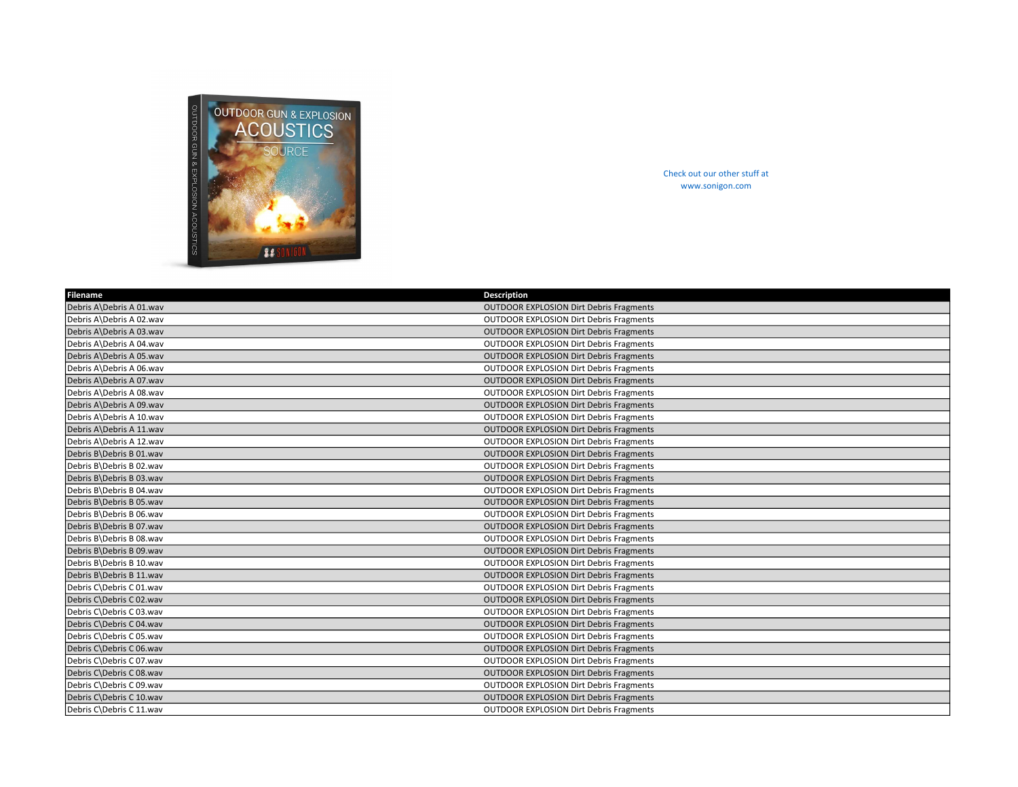

Check out our other stuff at www.sonigon.com

| Filename                 | Description                                    |
|--------------------------|------------------------------------------------|
| Debris A\Debris A 01.wav | <b>OUTDOOR EXPLOSION Dirt Debris Fragments</b> |
| Debris A\Debris A 02.wav | <b>OUTDOOR EXPLOSION Dirt Debris Fragments</b> |
| Debris A\Debris A 03.wav | <b>OUTDOOR EXPLOSION Dirt Debris Fragments</b> |
| Debris A\Debris A 04.wav | <b>OUTDOOR EXPLOSION Dirt Debris Fragments</b> |
| Debris A\Debris A 05.wav | <b>OUTDOOR EXPLOSION Dirt Debris Fragments</b> |
| Debris A\Debris A 06.wav | <b>OUTDOOR EXPLOSION Dirt Debris Fragments</b> |
| Debris A\Debris A 07.wav | <b>OUTDOOR EXPLOSION Dirt Debris Fragments</b> |
| Debris A\Debris A 08.wav | <b>OUTDOOR EXPLOSION Dirt Debris Fragments</b> |
| Debris A\Debris A 09.wav | <b>OUTDOOR EXPLOSION Dirt Debris Fragments</b> |
| Debris A\Debris A 10.wav | <b>OUTDOOR EXPLOSION Dirt Debris Fragments</b> |
| Debris A\Debris A 11.wav | <b>OUTDOOR EXPLOSION Dirt Debris Fragments</b> |
| Debris A\Debris A 12.wav | <b>OUTDOOR EXPLOSION Dirt Debris Fragments</b> |
| Debris B\Debris B 01.wav | <b>OUTDOOR EXPLOSION Dirt Debris Fragments</b> |
| Debris B\Debris B 02.wav | <b>OUTDOOR EXPLOSION Dirt Debris Fragments</b> |
| Debris B\Debris B 03.wav | <b>OUTDOOR EXPLOSION Dirt Debris Fragments</b> |
| Debris B\Debris B 04.wav | <b>OUTDOOR EXPLOSION Dirt Debris Fragments</b> |
| Debris B\Debris B 05.wav | <b>OUTDOOR EXPLOSION Dirt Debris Fragments</b> |
| Debris B\Debris B 06.wav | <b>OUTDOOR EXPLOSION Dirt Debris Fragments</b> |
| Debris B\Debris B 07.wav | <b>OUTDOOR EXPLOSION Dirt Debris Fragments</b> |
| Debris B\Debris B 08.wav | <b>OUTDOOR EXPLOSION Dirt Debris Fragments</b> |
| Debris B\Debris B 09.wav | <b>OUTDOOR EXPLOSION Dirt Debris Fragments</b> |
| Debris B\Debris B 10.wav | <b>OUTDOOR EXPLOSION Dirt Debris Fragments</b> |
| Debris B\Debris B 11.wav | <b>OUTDOOR EXPLOSION Dirt Debris Fragments</b> |
| Debris C\Debris C 01.wav | <b>OUTDOOR EXPLOSION Dirt Debris Fragments</b> |
| Debris C\Debris C 02.wav | <b>OUTDOOR EXPLOSION Dirt Debris Fragments</b> |
| Debris C\Debris C 03.wav | <b>OUTDOOR EXPLOSION Dirt Debris Fragments</b> |
| Debris C\Debris C 04.wav | <b>OUTDOOR EXPLOSION Dirt Debris Fragments</b> |
| Debris C\Debris C 05.wav | <b>OUTDOOR EXPLOSION Dirt Debris Fragments</b> |
| Debris C\Debris C 06.wav | <b>OUTDOOR EXPLOSION Dirt Debris Fragments</b> |
| Debris C\Debris C 07.wav | <b>OUTDOOR EXPLOSION Dirt Debris Fragments</b> |
| Debris C\Debris C 08.wav | <b>OUTDOOR EXPLOSION Dirt Debris Fragments</b> |
| Debris C\Debris C 09.wav | <b>OUTDOOR EXPLOSION Dirt Debris Fragments</b> |
| Debris C\Debris C 10.wav | <b>OUTDOOR EXPLOSION Dirt Debris Fragments</b> |
| Debris C\Debris C 11.wav | <b>OUTDOOR EXPLOSION Dirt Debris Fragments</b> |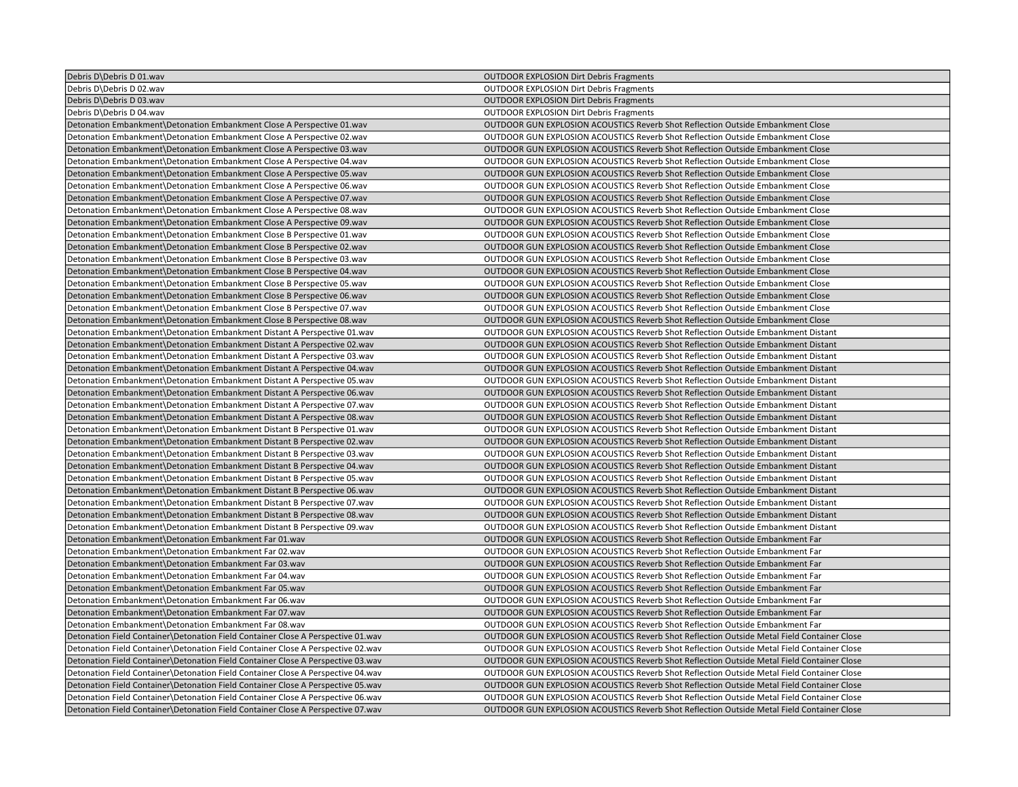| Debris D\Debris D 01.wav                                                          | <b>OUTDOOR EXPLOSION Dirt Debris Fragments</b>                                                    |
|-----------------------------------------------------------------------------------|---------------------------------------------------------------------------------------------------|
| Debris D\Debris D 02.wav                                                          | <b>OUTDOOR EXPLOSION Dirt Debris Fragments</b>                                                    |
| Debris D\Debris D 03.wav                                                          | <b>OUTDOOR EXPLOSION Dirt Debris Fragments</b>                                                    |
| Debris D\Debris D 04.wav                                                          | <b>OUTDOOR EXPLOSION Dirt Debris Fragments</b>                                                    |
| Detonation Embankment\Detonation Embankment Close A Perspective 01.wav            | OUTDOOR GUN EXPLOSION ACOUSTICS Reverb Shot Reflection Outside Embankment Close                   |
| Detonation Embankment\Detonation Embankment Close A Perspective 02.wav            | OUTDOOR GUN EXPLOSION ACOUSTICS Reverb Shot Reflection Outside Embankment Close                   |
| Detonation Embankment\Detonation Embankment Close A Perspective 03.wav            | OUTDOOR GUN EXPLOSION ACOUSTICS Reverb Shot Reflection Outside Embankment Close                   |
| Detonation Embankment\Detonation Embankment Close A Perspective 04.wav            | OUTDOOR GUN EXPLOSION ACOUSTICS Reverb Shot Reflection Outside Embankment Close                   |
| Detonation Embankment\Detonation Embankment Close A Perspective 05.wav            | OUTDOOR GUN EXPLOSION ACOUSTICS Reverb Shot Reflection Outside Embankment Close                   |
| Detonation Embankment Detonation Embankment Close A Perspective 06.wav            | OUTDOOR GUN EXPLOSION ACOUSTICS Reverb Shot Reflection Outside Embankment Close                   |
| Detonation Embankment\Detonation Embankment Close A Perspective 07.wav            | OUTDOOR GUN EXPLOSION ACOUSTICS Reverb Shot Reflection Outside Embankment Close                   |
| Detonation Embankment\Detonation Embankment Close A Perspective 08.wav            | OUTDOOR GUN EXPLOSION ACOUSTICS Reverb Shot Reflection Outside Embankment Close                   |
| Detonation Embankment\Detonation Embankment Close A Perspective 09.wav            | OUTDOOR GUN EXPLOSION ACOUSTICS Reverb Shot Reflection Outside Embankment Close                   |
| Detonation Embankment Detonation Embankment Close B Perspective 01. wav           | <b>OUTDOOR GUN EXPLOSION ACOUSTICS Reverb Shot Reflection Outside Embankment Close</b>            |
| Detonation Embankment\Detonation Embankment Close B Perspective 02.wav            | OUTDOOR GUN EXPLOSION ACOUSTICS Reverb Shot Reflection Outside Embankment Close                   |
| Detonation Embankment\Detonation Embankment Close B Perspective 03.wav            | OUTDOOR GUN EXPLOSION ACOUSTICS Reverb Shot Reflection Outside Embankment Close                   |
| Detonation Embankment Detonation Embankment Close B Perspective 04. wav           | OUTDOOR GUN EXPLOSION ACOUSTICS Reverb Shot Reflection Outside Embankment Close                   |
| Detonation Embankment\Detonation Embankment Close B Perspective 05.wav            | OUTDOOR GUN EXPLOSION ACOUSTICS Reverb Shot Reflection Outside Embankment Close                   |
| Detonation Embankment\Detonation Embankment Close B Perspective 06.wav            | OUTDOOR GUN EXPLOSION ACOUSTICS Reverb Shot Reflection Outside Embankment Close                   |
| Detonation Embankment\Detonation Embankment Close B Perspective 07.wav            | OUTDOOR GUN EXPLOSION ACOUSTICS Reverb Shot Reflection Outside Embankment Close                   |
| Detonation Embankment\Detonation Embankment Close B Perspective 08.wav            | <b>OUTDOOR GUN EXPLOSION ACOUSTICS Reverb Shot Reflection Outside Embankment Close</b>            |
| Detonation Embankment\Detonation Embankment Distant A Perspective 01.wav          | OUTDOOR GUN EXPLOSION ACOUSTICS Reverb Shot Reflection Outside Embankment Distant                 |
| Detonation Embankment Detonation Embankment Distant A Perspective 02. wav         | OUTDOOR GUN EXPLOSION ACOUSTICS Reverb Shot Reflection Outside Embankment Distant                 |
| Detonation Embankment Detonation Embankment Distant A Perspective 03.wav          | OUTDOOR GUN EXPLOSION ACOUSTICS Reverb Shot Reflection Outside Embankment Distant                 |
| Detonation Embankment\Detonation Embankment Distant A Perspective 04.wav          | OUTDOOR GUN EXPLOSION ACOUSTICS Reverb Shot Reflection Outside Embankment Distant                 |
| Detonation Embankment Detonation Embankment Distant A Perspective 05. wav         | OUTDOOR GUN EXPLOSION ACOUSTICS Reverb Shot Reflection Outside Embankment Distant                 |
| Detonation Embankment\Detonation Embankment Distant A Perspective 06.wav          | OUTDOOR GUN EXPLOSION ACOUSTICS Reverb Shot Reflection Outside Embankment Distant                 |
| Detonation Embankment\Detonation Embankment Distant A Perspective 07.wav          | OUTDOOR GUN EXPLOSION ACOUSTICS Reverb Shot Reflection Outside Embankment Distant                 |
| Detonation Embankment\Detonation Embankment Distant A Perspective 08.wav          | OUTDOOR GUN EXPLOSION ACOUSTICS Reverb Shot Reflection Outside Embankment Distant                 |
| Detonation Embankment\Detonation Embankment Distant B Perspective 01.wav          | OUTDOOR GUN EXPLOSION ACOUSTICS Reverb Shot Reflection Outside Embankment Distant                 |
| Detonation Embankment\Detonation Embankment Distant B Perspective 02.wav          | OUTDOOR GUN EXPLOSION ACOUSTICS Reverb Shot Reflection Outside Embankment Distant                 |
| Detonation Embankment\Detonation Embankment Distant B Perspective 03.wav          | OUTDOOR GUN EXPLOSION ACOUSTICS Reverb Shot Reflection Outside Embankment Distant                 |
| Detonation Embankment\Detonation Embankment Distant B Perspective 04.wav          | OUTDOOR GUN EXPLOSION ACOUSTICS Reverb Shot Reflection Outside Embankment Distant                 |
| Detonation Embankment\Detonation Embankment Distant B Perspective 05. wav         | OUTDOOR GUN EXPLOSION ACOUSTICS Reverb Shot Reflection Outside Embankment Distant                 |
| Detonation Embankment Detonation Embankment Distant B Perspective 06.wav          | OUTDOOR GUN EXPLOSION ACOUSTICS Reverb Shot Reflection Outside Embankment Distant                 |
| Detonation Embankment\Detonation Embankment Distant B Perspective 07.wav          | OUTDOOR GUN EXPLOSION ACOUSTICS Reverb Shot Reflection Outside Embankment Distant                 |
| Detonation Embankment Detonation Embankment Distant B Perspective 08. wav         | OUTDOOR GUN EXPLOSION ACOUSTICS Reverb Shot Reflection Outside Embankment Distant                 |
| Detonation Embankment Detonation Embankment Distant B Perspective 09. wav         | OUTDOOR GUN EXPLOSION ACOUSTICS Reverb Shot Reflection Outside Embankment Distant                 |
| Detonation Embankment\Detonation Embankment Far 01.wav                            | OUTDOOR GUN EXPLOSION ACOUSTICS Reverb Shot Reflection Outside Embankment Far                     |
| Detonation Embankment\Detonation Embankment Far 02.wav                            | OUTDOOR GUN EXPLOSION ACOUSTICS Reverb Shot Reflection Outside Embankment Far                     |
| Detonation Embankment \Detonation Embankment Far 03.wav                           | OUTDOOR GUN EXPLOSION ACOUSTICS Reverb Shot Reflection Outside Embankment Far                     |
| Detonation Embankment\Detonation Embankment Far 04.wav                            | OUTDOOR GUN EXPLOSION ACOUSTICS Reverb Shot Reflection Outside Embankment Far                     |
| Detonation Embankment\Detonation Embankment Far 05.wav                            | OUTDOOR GUN EXPLOSION ACOUSTICS Reverb Shot Reflection Outside Embankment Far                     |
| Detonation Embankment\Detonation Embankment Far 06.wav                            | OUTDOOR GUN EXPLOSION ACOUSTICS Reverb Shot Reflection Outside Embankment Far                     |
| Detonation Embankment\Detonation Embankment Far 07.wav                            | OUTDOOR GUN EXPLOSION ACOUSTICS Reverb Shot Reflection Outside Embankment Far                     |
| Detonation Embankment\Detonation Embankment Far 08.wav                            | OUTDOOR GUN EXPLOSION ACOUSTICS Reverb Shot Reflection Outside Embankment Far                     |
| Detonation Field Container\Detonation Field Container Close A Perspective 01.wav  | OUTDOOR GUN EXPLOSION ACOUSTICS Reverb Shot Reflection Outside Metal Field Container Close        |
| Detonation Field Container\Detonation Field Container Close A Perspective 02.wav  | <b>OUTDOOR GUN EXPLOSION ACOUSTICS Reverb Shot Reflection Outside Metal Field Container Close</b> |
| Detonation Field Container \Detonation Field Container Close A Perspective 03.wav | OUTDOOR GUN EXPLOSION ACOUSTICS Reverb Shot Reflection Outside Metal Field Container Close        |
| Detonation Field Container\Detonation Field Container Close A Perspective 04.wav  | OUTDOOR GUN EXPLOSION ACOUSTICS Reverb Shot Reflection Outside Metal Field Container Close        |
| Detonation Field Container\Detonation Field Container Close A Perspective 05.wav  | OUTDOOR GUN EXPLOSION ACOUSTICS Reverb Shot Reflection Outside Metal Field Container Close        |
| Detonation Field Container Detonation Field Container Close A Perspective 06.wav  | OUTDOOR GUN EXPLOSION ACOUSTICS Reverb Shot Reflection Outside Metal Field Container Close        |
| Detonation Field Container Detonation Field Container Close A Perspective 07.wav  | OUTDOOR GUN EXPLOSION ACOUSTICS Reverb Shot Reflection Outside Metal Field Container Close        |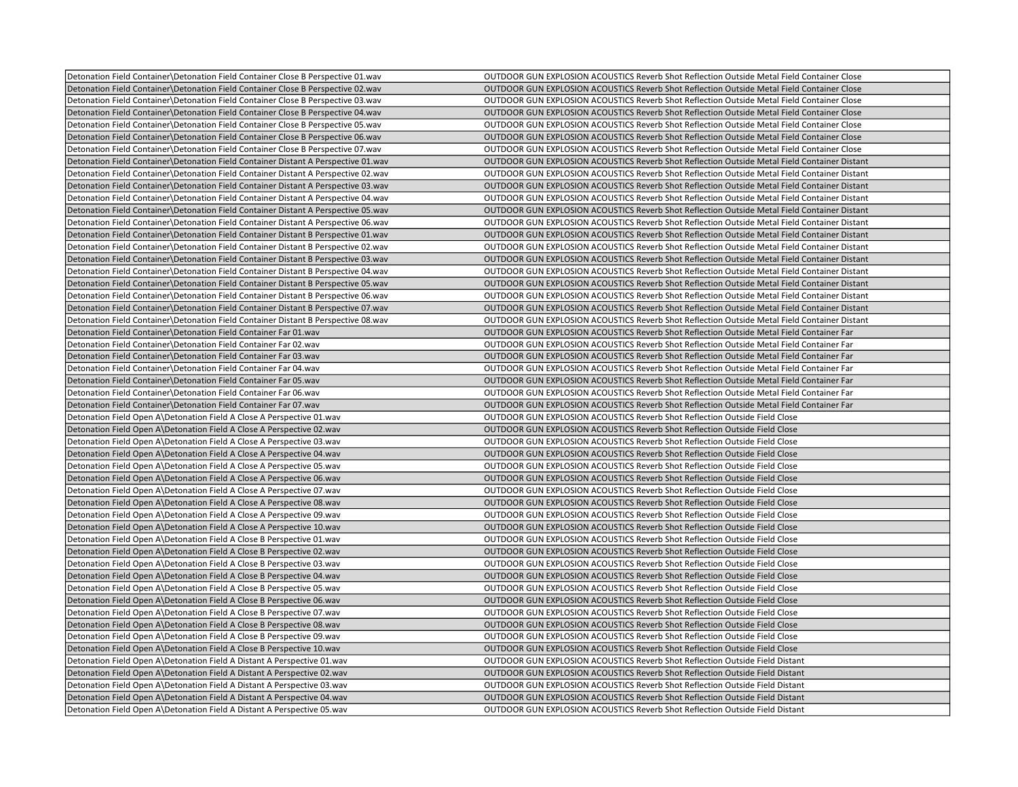| Detonation Field Container Detonation Field Container Close B Perspective 01.wav   | OUTDOOR GUN EXPLOSION ACOUSTICS Reverb Shot Reflection Outside Metal Field Container Close   |
|------------------------------------------------------------------------------------|----------------------------------------------------------------------------------------------|
| Detonation Field Container\Detonation Field Container Close B Perspective 02.wav   | OUTDOOR GUN EXPLOSION ACOUSTICS Reverb Shot Reflection Outside Metal Field Container Close   |
| Detonation Field Container\Detonation Field Container Close B Perspective 03.wav   | OUTDOOR GUN EXPLOSION ACOUSTICS Reverb Shot Reflection Outside Metal Field Container Close   |
| Detonation Field Container\Detonation Field Container Close B Perspective 04.wav   | OUTDOOR GUN EXPLOSION ACOUSTICS Reverb Shot Reflection Outside Metal Field Container Close   |
| Detonation Field Container Detonation Field Container Close B Perspective 05.wav   | OUTDOOR GUN EXPLOSION ACOUSTICS Reverb Shot Reflection Outside Metal Field Container Close   |
| Detonation Field Container\Detonation Field Container Close B Perspective 06.wav   | OUTDOOR GUN EXPLOSION ACOUSTICS Reverb Shot Reflection Outside Metal Field Container Close   |
| Detonation Field Container Detonation Field Container Close B Perspective 07.wav   | OUTDOOR GUN EXPLOSION ACOUSTICS Reverb Shot Reflection Outside Metal Field Container Close   |
| Detonation Field Container\Detonation Field Container Distant A Perspective 01.wav | OUTDOOR GUN EXPLOSION ACOUSTICS Reverb Shot Reflection Outside Metal Field Container Distant |
| Detonation Field Container Detonation Field Container Distant A Perspective 02.wav | OUTDOOR GUN EXPLOSION ACOUSTICS Reverb Shot Reflection Outside Metal Field Container Distant |
| Detonation Field Container\Detonation Field Container Distant A Perspective 03.wav | OUTDOOR GUN EXPLOSION ACOUSTICS Reverb Shot Reflection Outside Metal Field Container Distant |
| Detonation Field Container\Detonation Field Container Distant A Perspective 04.wav | OUTDOOR GUN EXPLOSION ACOUSTICS Reverb Shot Reflection Outside Metal Field Container Distant |
| Detonation Field Container\Detonation Field Container Distant A Perspective 05.wav | OUTDOOR GUN EXPLOSION ACOUSTICS Reverb Shot Reflection Outside Metal Field Container Distant |
| Detonation Field Container Detonation Field Container Distant A Perspective 06.wav | OUTDOOR GUN EXPLOSION ACOUSTICS Reverb Shot Reflection Outside Metal Field Container Distant |
| Detonation Field Container Detonation Field Container Distant B Perspective 01.wav | OUTDOOR GUN EXPLOSION ACOUSTICS Reverb Shot Reflection Outside Metal Field Container Distant |
| Detonation Field Container Detonation Field Container Distant B Perspective 02.wav | OUTDOOR GUN EXPLOSION ACOUSTICS Reverb Shot Reflection Outside Metal Field Container Distant |
| Detonation Field Container\Detonation Field Container Distant B Perspective 03.wav | OUTDOOR GUN EXPLOSION ACOUSTICS Reverb Shot Reflection Outside Metal Field Container Distant |
| Detonation Field Container Detonation Field Container Distant B Perspective 04 wav | OUTDOOR GUN EXPLOSION ACOUSTICS Reverb Shot Reflection Outside Metal Field Container Distant |
| Detonation Field Container\Detonation Field Container Distant B Perspective 05.wav | OUTDOOR GUN EXPLOSION ACOUSTICS Reverb Shot Reflection Outside Metal Field Container Distant |
| Detonation Field Container\Detonation Field Container Distant B Perspective 06.wav | OUTDOOR GUN EXPLOSION ACOUSTICS Reverb Shot Reflection Outside Metal Field Container Distant |
| Detonation Field Container Detonation Field Container Distant B Perspective 07.wav | OUTDOOR GUN EXPLOSION ACOUSTICS Reverb Shot Reflection Outside Metal Field Container Distant |
| Detonation Field Container\Detonation Field Container Distant B Perspective 08.wav | OUTDOOR GUN EXPLOSION ACOUSTICS Reverb Shot Reflection Outside Metal Field Container Distant |
| Detonation Field Container \Detonation Field Container Far 01.wav                  | OUTDOOR GUN EXPLOSION ACOUSTICS Reverb Shot Reflection Outside Metal Field Container Far     |
|                                                                                    |                                                                                              |
| Detonation Field Container Detonation Field Container Far 02. wav                  | OUTDOOR GUN EXPLOSION ACOUSTICS Reverb Shot Reflection Outside Metal Field Container Far     |
| Detonation Field Container\Detonation Field Container Far 03.wav                   | OUTDOOR GUN EXPLOSION ACOUSTICS Reverb Shot Reflection Outside Metal Field Container Far     |
| Detonation Field Container Detonation Field Container Far 04. wav                  | OUTDOOR GUN EXPLOSION ACOUSTICS Reverb Shot Reflection Outside Metal Field Container Far     |
| Detonation Field Container\Detonation Field Container Far 05.wav                   | OUTDOOR GUN EXPLOSION ACOUSTICS Reverb Shot Reflection Outside Metal Field Container Far     |
| Detonation Field Container\Detonation Field Container Far 06.wav                   | OUTDOOR GUN EXPLOSION ACOUSTICS Reverb Shot Reflection Outside Metal Field Container Far     |
| Detonation Field Container Detonation Field Container Far 07 wav                   | OUTDOOR GUN EXPLOSION ACOUSTICS Reverb Shot Reflection Outside Metal Field Container Far     |
| Detonation Field Open A\Detonation Field A Close A Perspective 01.wav              | OUTDOOR GUN EXPLOSION ACOUSTICS Reverb Shot Reflection Outside Field Close                   |
| Detonation Field Open A\Detonation Field A Close A Perspective 02.wav              | OUTDOOR GUN EXPLOSION ACOUSTICS Reverb Shot Reflection Outside Field Close                   |
| Detonation Field Open A\Detonation Field A Close A Perspective 03.wav              | OUTDOOR GUN EXPLOSION ACOUSTICS Reverb Shot Reflection Outside Field Close                   |
| Detonation Field Open A\Detonation Field A Close A Perspective 04.wav              | <b>OUTDOOR GUN EXPLOSION ACOUSTICS Reverb Shot Reflection Outside Field Close</b>            |
| Detonation Field Open A\Detonation Field A Close A Perspective 05.wav              | OUTDOOR GUN EXPLOSION ACOUSTICS Reverb Shot Reflection Outside Field Close                   |
| Detonation Field Open A\Detonation Field A Close A Perspective 06.wav              | OUTDOOR GUN EXPLOSION ACOUSTICS Reverb Shot Reflection Outside Field Close                   |
| Detonation Field Open A\Detonation Field A Close A Perspective 07.wav              | OUTDOOR GUN EXPLOSION ACOUSTICS Reverb Shot Reflection Outside Field Close                   |
| Detonation Field Open A\Detonation Field A Close A Perspective 08 wav              | <b>OUTDOOR GUN EXPLOSION ACOUSTICS Reverb Shot Reflection Outside Field Close</b>            |
| Detonation Field Open A\Detonation Field A Close A Perspective 09.wav              | OUTDOOR GUN EXPLOSION ACOUSTICS Reverb Shot Reflection Outside Field Close                   |
| Detonation Field Open A\Detonation Field A Close A Perspective 10.wav              | OUTDOOR GUN EXPLOSION ACOUSTICS Reverb Shot Reflection Outside Field Close                   |
| Detonation Field Open A\Detonation Field A Close B Perspective 01.wav              | OUTDOOR GUN EXPLOSION ACOUSTICS Reverb Shot Reflection Outside Field Close                   |
| Detonation Field Open A\Detonation Field A Close B Perspective 02.wav              | <b>OUTDOOR GUN EXPLOSION ACOUSTICS Reverb Shot Reflection Outside Field Close</b>            |
| Detonation Field Open A\Detonation Field A Close B Perspective 03.wav              | OUTDOOR GUN EXPLOSION ACOUSTICS Reverb Shot Reflection Outside Field Close                   |
| Detonation Field Open A\Detonation Field A Close B Perspective 04.wav              | OUTDOOR GUN EXPLOSION ACOUSTICS Reverb Shot Reflection Outside Field Close                   |
| Detonation Field Open A\Detonation Field A Close B Perspective 05.wav              | OUTDOOR GUN EXPLOSION ACOUSTICS Reverb Shot Reflection Outside Field Close                   |
| Detonation Field Open A\Detonation Field A Close B Perspective 06 wav              | OUTDOOR GUN EXPLOSION ACOUSTICS Reverb Shot Reflection Outside Field Close                   |
| Detonation Field Open A\Detonation Field A Close B Perspective 07.wav              | OUTDOOR GUN EXPLOSION ACOUSTICS Reverb Shot Reflection Outside Field Close                   |
| Detonation Field Open A\Detonation Field A Close B Perspective 08.wav              | OUTDOOR GUN EXPLOSION ACOUSTICS Reverb Shot Reflection Outside Field Close                   |
| Detonation Field Open A\Detonation Field A Close B Perspective 09.wav              | OUTDOOR GUN EXPLOSION ACOUSTICS Reverb Shot Reflection Outside Field Close                   |
| Detonation Field Open A\Detonation Field A Close B Perspective 10.wav              | <b>OUTDOOR GUN EXPLOSION ACOUSTICS Reverb Shot Reflection Outside Field Close</b>            |
| Detonation Field Open A\Detonation Field A Distant A Perspective 01.wav            | OUTDOOR GUN EXPLOSION ACOUSTICS Reverb Shot Reflection Outside Field Distant                 |
| Detonation Field Open A\Detonation Field A Distant A Perspective 02.wav            | OUTDOOR GUN EXPLOSION ACOUSTICS Reverb Shot Reflection Outside Field Distant                 |
| Detonation Field Open A\Detonation Field A Distant A Perspective 03.wav            | OUTDOOR GUN EXPLOSION ACOUSTICS Reverb Shot Reflection Outside Field Distant                 |
| Detonation Field Open A\Detonation Field A Distant A Perspective 04.wav            | OUTDOOR GUN EXPLOSION ACOUSTICS Reverb Shot Reflection Outside Field Distant                 |
| Detonation Field Open A\Detonation Field A Distant A Perspective 05.wav            | OUTDOOR GUN EXPLOSION ACOUSTICS Reverb Shot Reflection Outside Field Distant                 |
|                                                                                    |                                                                                              |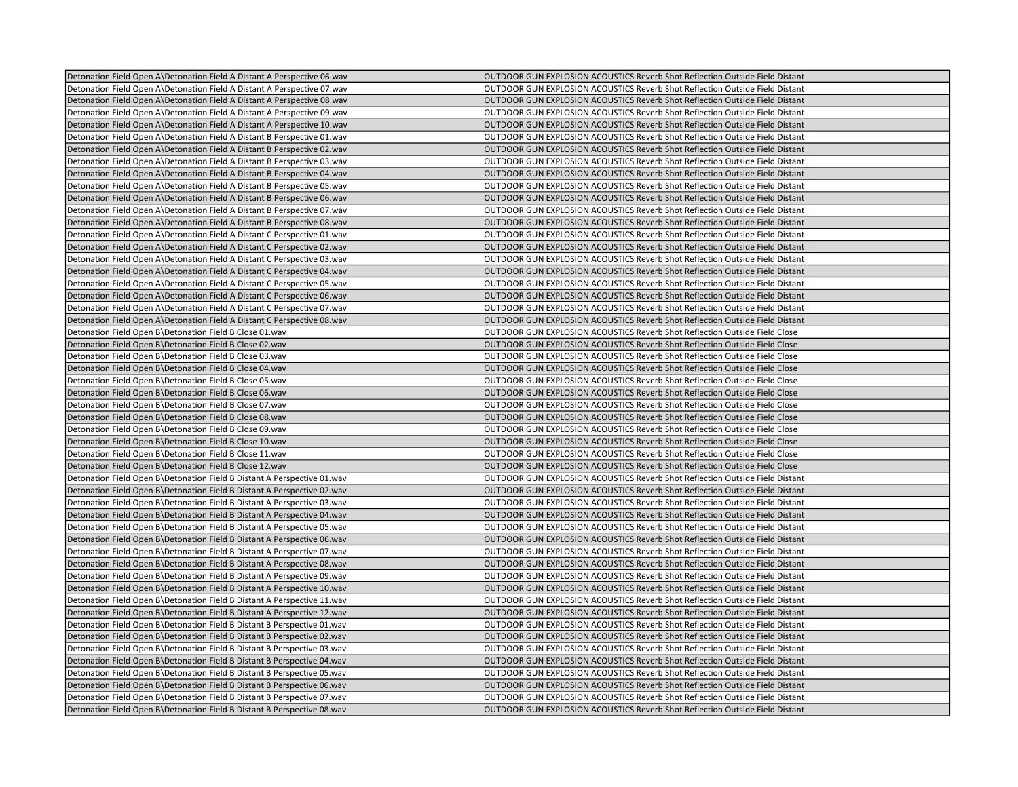| Detonation Field Open A\Detonation Field A Distant A Perspective 06.wav  | OUTDOOR GUN EXPLOSION ACOUSTICS Reverb Shot Reflection Outside Field Distant        |
|--------------------------------------------------------------------------|-------------------------------------------------------------------------------------|
| Detonation Field Open A\Detonation Field A Distant A Perspective 07.wav  | OUTDOOR GUN EXPLOSION ACOUSTICS Reverb Shot Reflection Outside Field Distant        |
| Detonation Field Open A\Detonation Field A Distant A Perspective 08.wav  | OUTDOOR GUN EXPLOSION ACOUSTICS Reverb Shot Reflection Outside Field Distant        |
| Detonation Field Open A\Detonation Field A Distant A Perspective 09.wav  | OUTDOOR GUN EXPLOSION ACOUSTICS Reverb Shot Reflection Outside Field Distant        |
| Detonation Field Open A\Detonation Field A Distant A Perspective 10.wav  | OUTDOOR GUN EXPLOSION ACOUSTICS Reverb Shot Reflection Outside Field Distant        |
| Detonation Field Open A\Detonation Field A Distant B Perspective 01.wav  | OUTDOOR GUN EXPLOSION ACOUSTICS Reverb Shot Reflection Outside Field Distant        |
| Detonation Field Open A\Detonation Field A Distant B Perspective 02.wav  | OUTDOOR GUN EXPLOSION ACOUSTICS Reverb Shot Reflection Outside Field Distant        |
| Detonation Field Open A\Detonation Field A Distant B Perspective 03.wav  | OUTDOOR GUN EXPLOSION ACOUSTICS Reverb Shot Reflection Outside Field Distant        |
| Detonation Field Open A\Detonation Field A Distant B Perspective 04.wav  | OUTDOOR GUN EXPLOSION ACOUSTICS Reverb Shot Reflection Outside Field Distant        |
| Detonation Field Open A\Detonation Field A Distant B Perspective 05.wav  | OUTDOOR GUN EXPLOSION ACOUSTICS Reverb Shot Reflection Outside Field Distant        |
| Detonation Field Open A\Detonation Field A Distant B Perspective 06.wav  | OUTDOOR GUN EXPLOSION ACOUSTICS Reverb Shot Reflection Outside Field Distant        |
| Detonation Field Open A Detonation Field A Distant B Perspective 07. wav | OUTDOOR GUN EXPLOSION ACOUSTICS Reverb Shot Reflection Outside Field Distant        |
| Detonation Field Open A\Detonation Field A Distant B Perspective 08.wav  | OUTDOOR GUN EXPLOSION ACOUSTICS Reverb Shot Reflection Outside Field Distant        |
| Detonation Field Open A\Detonation Field A Distant C Perspective 01.wav  | OUTDOOR GUN EXPLOSION ACOUSTICS Reverb Shot Reflection Outside Field Distant        |
| Detonation Field Open A\Detonation Field A Distant C Perspective 02.wav  | OUTDOOR GUN EXPLOSION ACOUSTICS Reverb Shot Reflection Outside Field Distant        |
| Detonation Field Open A\Detonation Field A Distant C Perspective 03.wav  | OUTDOOR GUN EXPLOSION ACOUSTICS Reverb Shot Reflection Outside Field Distant        |
| Detonation Field Open A\Detonation Field A Distant C Perspective 04.wav  | OUTDOOR GUN EXPLOSION ACOUSTICS Reverb Shot Reflection Outside Field Distant        |
| Detonation Field Open A\Detonation Field A Distant C Perspective 05.wav  | OUTDOOR GUN EXPLOSION ACOUSTICS Reverb Shot Reflection Outside Field Distant        |
| Detonation Field Open A\Detonation Field A Distant C Perspective 06.wav  | OUTDOOR GUN EXPLOSION ACOUSTICS Reverb Shot Reflection Outside Field Distant        |
| Detonation Field Open A\Detonation Field A Distant C Perspective 07.wav  | OUTDOOR GUN EXPLOSION ACOUSTICS Reverb Shot Reflection Outside Field Distant        |
| Detonation Field Open A\Detonation Field A Distant C Perspective 08.wav  | OUTDOOR GUN EXPLOSION ACOUSTICS Reverb Shot Reflection Outside Field Distant        |
| Detonation Field Open B\Detonation Field B Close 01.wav                  | OUTDOOR GUN EXPLOSION ACOUSTICS Reverb Shot Reflection Outside Field Close          |
| Detonation Field Open B\Detonation Field B Close 02.wav                  | <b>OUTDOOR GUN EXPLOSION ACOUSTICS Reverb Shot Reflection Outside Field Close</b>   |
| Detonation Field Open B\Detonation Field B Close 03.wav                  | OUTDOOR GUN EXPLOSION ACOUSTICS Reverb Shot Reflection Outside Field Close          |
| Detonation Field Open B\Detonation Field B Close 04.wav                  | OUTDOOR GUN EXPLOSION ACOUSTICS Reverb Shot Reflection Outside Field Close          |
| Detonation Field Open B\Detonation Field B Close 05.wav                  | OUTDOOR GUN EXPLOSION ACOUSTICS Reverb Shot Reflection Outside Field Close          |
| Detonation Field Open B\Detonation Field B Close 06.wav                  | OUTDOOR GUN EXPLOSION ACOUSTICS Reverb Shot Reflection Outside Field Close          |
| Detonation Field Open B\Detonation Field B Close 07.wav                  | OUTDOOR GUN EXPLOSION ACOUSTICS Reverb Shot Reflection Outside Field Close          |
| Detonation Field Open B\Detonation Field B Close 08.wav                  | OUTDOOR GUN EXPLOSION ACOUSTICS Reverb Shot Reflection Outside Field Close          |
| Detonation Field Open B\Detonation Field B Close 09.wav                  | OUTDOOR GUN EXPLOSION ACOUSTICS Reverb Shot Reflection Outside Field Close          |
| Detonation Field Open B\Detonation Field B Close 10.wav                  | OUTDOOR GUN EXPLOSION ACOUSTICS Reverb Shot Reflection Outside Field Close          |
| Detonation Field Open B\Detonation Field B Close 11.wav                  | OUTDOOR GUN EXPLOSION ACOUSTICS Reverb Shot Reflection Outside Field Close          |
| Detonation Field Open B\Detonation Field B Close 12.wav                  | OUTDOOR GUN EXPLOSION ACOUSTICS Reverb Shot Reflection Outside Field Close          |
| Detonation Field Open B\Detonation Field B Distant A Perspective 01.wav  | OUTDOOR GUN EXPLOSION ACOUSTICS Reverb Shot Reflection Outside Field Distant        |
| Detonation Field Open B\Detonation Field B Distant A Perspective 02.wav  | OUTDOOR GUN EXPLOSION ACOUSTICS Reverb Shot Reflection Outside Field Distant        |
| Detonation Field Open B\Detonation Field B Distant A Perspective 03.wav  | OUTDOOR GUN EXPLOSION ACOUSTICS Reverb Shot Reflection Outside Field Distant        |
| Detonation Field Open B\Detonation Field B Distant A Perspective 04.wav  | OUTDOOR GUN EXPLOSION ACOUSTICS Reverb Shot Reflection Outside Field Distant        |
| Detonation Field Open B Detonation Field B Distant A Perspective 05. wav | OUTDOOR GUN EXPLOSION ACOUSTICS Reverb Shot Reflection Outside Field Distant        |
| Detonation Field Open B\Detonation Field B Distant A Perspective 06.wav  | <b>OUTDOOR GUN EXPLOSION ACOUSTICS Reverb Shot Reflection Outside Field Distant</b> |
| Detonation Field Open B\Detonation Field B Distant A Perspective 07.wav  | <b>OUTDOOR GUN EXPLOSION ACOUSTICS Reverb Shot Reflection Outside Field Distant</b> |
| Detonation Field Open B\Detonation Field B Distant A Perspective 08.wav  | OUTDOOR GUN EXPLOSION ACOUSTICS Reverb Shot Reflection Outside Field Distant        |
| Detonation Field Open B\Detonation Field B Distant A Perspective 09.wav  | OUTDOOR GUN EXPLOSION ACOUSTICS Reverb Shot Reflection Outside Field Distant        |
| Detonation Field Open B\Detonation Field B Distant A Perspective 10.wav  | OUTDOOR GUN EXPLOSION ACOUSTICS Reverb Shot Reflection Outside Field Distant        |
| Detonation Field Open B\Detonation Field B Distant A Perspective 11.wav  | OUTDOOR GUN EXPLOSION ACOUSTICS Reverb Shot Reflection Outside Field Distant        |
| Detonation Field Open B\Detonation Field B Distant A Perspective 12.wav  | OUTDOOR GUN EXPLOSION ACOUSTICS Reverb Shot Reflection Outside Field Distant        |
| Detonation Field Open B\Detonation Field B Distant B Perspective 01.wav  | OUTDOOR GUN EXPLOSION ACOUSTICS Reverb Shot Reflection Outside Field Distant        |
| Detonation Field Open B\Detonation Field B Distant B Perspective 02.wav  | OUTDOOR GUN EXPLOSION ACOUSTICS Reverb Shot Reflection Outside Field Distant        |
| Detonation Field Open B\Detonation Field B Distant B Perspective 03.wav  | OUTDOOR GUN EXPLOSION ACOUSTICS Reverb Shot Reflection Outside Field Distant        |
| Detonation Field Open B\Detonation Field B Distant B Perspective 04.wav  | OUTDOOR GUN EXPLOSION ACOUSTICS Reverb Shot Reflection Outside Field Distant        |
| Detonation Field Open B\Detonation Field B Distant B Perspective 05.wav  | OUTDOOR GUN EXPLOSION ACOUSTICS Reverb Shot Reflection Outside Field Distant        |
| Detonation Field Open B\Detonation Field B Distant B Perspective 06.wav  | OUTDOOR GUN EXPLOSION ACOUSTICS Reverb Shot Reflection Outside Field Distant        |
| Detonation Field Open B\Detonation Field B Distant B Perspective 07.wav  | OUTDOOR GUN EXPLOSION ACOUSTICS Reverb Shot Reflection Outside Field Distant        |
| Detonation Field Open B\Detonation Field B Distant B Perspective 08.wav  | OUTDOOR GUN EXPLOSION ACOUSTICS Reverb Shot Reflection Outside Field Distant        |
|                                                                          |                                                                                     |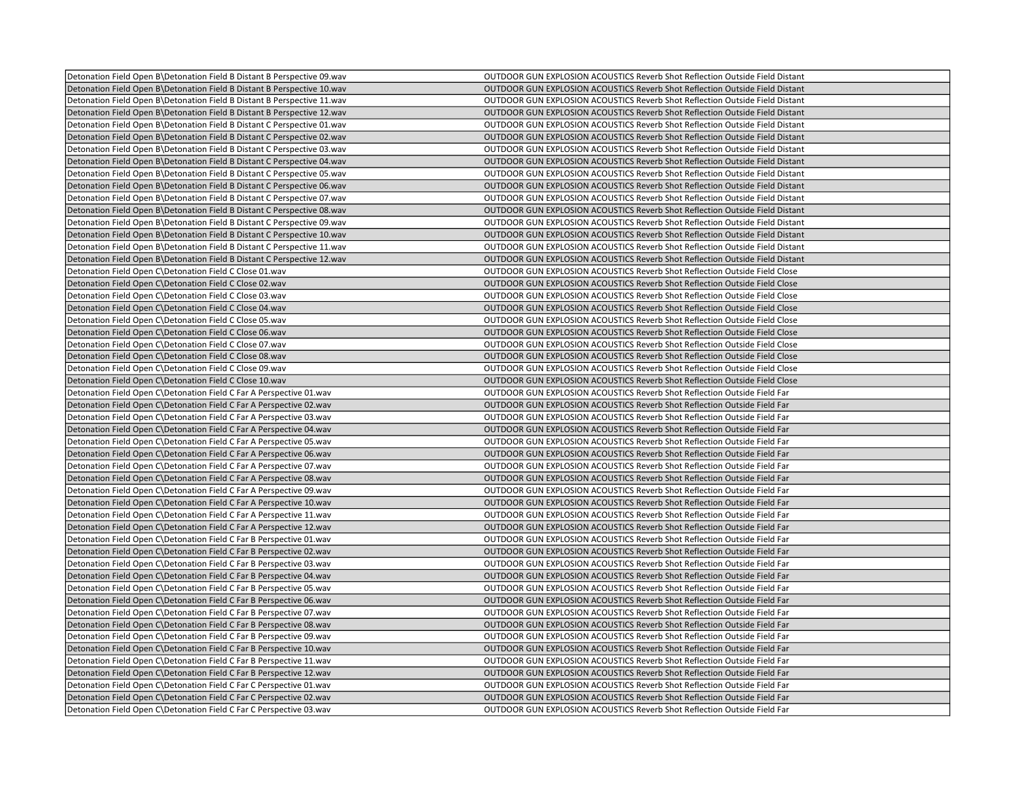| Detonation Field Open B\Detonation Field B Distant B Perspective 09.wav  | OUTDOOR GUN EXPLOSION ACOUSTICS Reverb Shot Reflection Outside Field Distant        |
|--------------------------------------------------------------------------|-------------------------------------------------------------------------------------|
| Detonation Field Open B\Detonation Field B Distant B Perspective 10.wav  | OUTDOOR GUN EXPLOSION ACOUSTICS Reverb Shot Reflection Outside Field Distant        |
| Detonation Field Open B\Detonation Field B Distant B Perspective 11.wav  | OUTDOOR GUN EXPLOSION ACOUSTICS Reverb Shot Reflection Outside Field Distant        |
| Detonation Field Open B\Detonation Field B Distant B Perspective 12.wav  | OUTDOOR GUN EXPLOSION ACOUSTICS Reverb Shot Reflection Outside Field Distant        |
| Detonation Field Open B\Detonation Field B Distant C Perspective 01.wav  | OUTDOOR GUN EXPLOSION ACOUSTICS Reverb Shot Reflection Outside Field Distant        |
| Detonation Field Open B\Detonation Field B Distant C Perspective 02.wav  | OUTDOOR GUN EXPLOSION ACOUSTICS Reverb Shot Reflection Outside Field Distant        |
| Detonation Field Open B\Detonation Field B Distant C Perspective 03.wav  | OUTDOOR GUN EXPLOSION ACOUSTICS Reverb Shot Reflection Outside Field Distant        |
| Detonation Field Open B\Detonation Field B Distant C Perspective 04.wav  | OUTDOOR GUN EXPLOSION ACOUSTICS Reverb Shot Reflection Outside Field Distant        |
| Detonation Field Open B\Detonation Field B Distant C Perspective 05.wav  | <b>OUTDOOR GUN EXPLOSION ACOUSTICS Reverb Shot Reflection Outside Field Distant</b> |
| Detonation Field Open B\Detonation Field B Distant C Perspective 06.wav  | OUTDOOR GUN EXPLOSION ACOUSTICS Reverb Shot Reflection Outside Field Distant        |
| Detonation Field Open B\Detonation Field B Distant C Perspective 07.wav  | OUTDOOR GUN EXPLOSION ACOUSTICS Reverb Shot Reflection Outside Field Distant        |
| Detonation Field Open B Detonation Field B Distant C Perspective 08. way | <b>OUTDOOR GUN EXPLOSION ACOUSTICS Reverb Shot Reflection Outside Field Distant</b> |
| Detonation Field Open B\Detonation Field B Distant C Perspective 09.wav  | OUTDOOR GUN EXPLOSION ACOUSTICS Reverb Shot Reflection Outside Field Distant        |
| Detonation Field Open B\Detonation Field B Distant C Perspective 10.wav  | OUTDOOR GUN EXPLOSION ACOUSTICS Reverb Shot Reflection Outside Field Distant        |
| Detonation Field Open B Detonation Field B Distant C Perspective 11. wav | OUTDOOR GUN EXPLOSION ACOUSTICS Reverb Shot Reflection Outside Field Distant        |
| Detonation Field Open B\Detonation Field B Distant C Perspective 12.wav  | OUTDOOR GUN EXPLOSION ACOUSTICS Reverb Shot Reflection Outside Field Distant        |
| Detonation Field Open C\Detonation Field C Close 01.wav                  | <b>OUTDOOR GUN EXPLOSION ACOUSTICS Reverb Shot Reflection Outside Field Close</b>   |
| Detonation Field Open C\Detonation Field C Close 02.wav                  | OUTDOOR GUN EXPLOSION ACOUSTICS Reverb Shot Reflection Outside Field Close          |
| Detonation Field Open C\Detonation Field C Close 03.wav                  | OUTDOOR GUN EXPLOSION ACOUSTICS Reverb Shot Reflection Outside Field Close          |
| Detonation Field Open C\Detonation Field C Close 04.wav                  | <b>OUTDOOR GUN EXPLOSION ACOUSTICS Reverb Shot Reflection Outside Field Close</b>   |
| Detonation Field Open C\Detonation Field C Close 05.wav                  | OUTDOOR GUN EXPLOSION ACOUSTICS Reverb Shot Reflection Outside Field Close          |
| Detonation Field Open C\Detonation Field C Close 06.wav                  | OUTDOOR GUN EXPLOSION ACOUSTICS Reverb Shot Reflection Outside Field Close          |
| Detonation Field Open C\Detonation Field C Close 07.wav                  | <b>OUTDOOR GUN EXPLOSION ACOUSTICS Reverb Shot Reflection Outside Field Close</b>   |
| Detonation Field Open C\Detonation Field C Close 08.wav                  | OUTDOOR GUN EXPLOSION ACOUSTICS Reverb Shot Reflection Outside Field Close          |
| Detonation Field Open C\Detonation Field C Close 09.wav                  | OUTDOOR GUN EXPLOSION ACOUSTICS Reverb Shot Reflection Outside Field Close          |
| Detonation Field Open C\Detonation Field C Close 10.wav                  | OUTDOOR GUN EXPLOSION ACOUSTICS Reverb Shot Reflection Outside Field Close          |
| Detonation Field Open C\Detonation Field C Far A Perspective 01.wav      | OUTDOOR GUN EXPLOSION ACOUSTICS Reverb Shot Reflection Outside Field Far            |
| Detonation Field Open C\Detonation Field C Far A Perspective 02.wav      | OUTDOOR GUN EXPLOSION ACOUSTICS Reverb Shot Reflection Outside Field Far            |
| Detonation Field Open C\Detonation Field C Far A Perspective 03.wav      | OUTDOOR GUN EXPLOSION ACOUSTICS Reverb Shot Reflection Outside Field Far            |
| Detonation Field Open C\Detonation Field C Far A Perspective 04.wav      | OUTDOOR GUN EXPLOSION ACOUSTICS Reverb Shot Reflection Outside Field Far            |
| Detonation Field Open C\Detonation Field C Far A Perspective 05.wav      | OUTDOOR GUN EXPLOSION ACOUSTICS Reverb Shot Reflection Outside Field Far            |
| Detonation Field Open C\Detonation Field C Far A Perspective 06.wav      | OUTDOOR GUN EXPLOSION ACOUSTICS Reverb Shot Reflection Outside Field Far            |
| Detonation Field Open C\Detonation Field C Far A Perspective 07.wav      | OUTDOOR GUN EXPLOSION ACOUSTICS Reverb Shot Reflection Outside Field Far            |
| Detonation Field Open C\Detonation Field C Far A Perspective 08 wav      | OUTDOOR GUN EXPLOSION ACOUSTICS Reverb Shot Reflection Outside Field Far            |
| Detonation Field Open C\Detonation Field C Far A Perspective 09.wav      | OUTDOOR GUN EXPLOSION ACOUSTICS Reverb Shot Reflection Outside Field Far            |
| Detonation Field Open C\Detonation Field C Far A Perspective 10.wav      | OUTDOOR GUN EXPLOSION ACOUSTICS Reverb Shot Reflection Outside Field Far            |
| Detonation Field Open C\Detonation Field C Far A Perspective 11.wav      | OUTDOOR GUN EXPLOSION ACOUSTICS Reverb Shot Reflection Outside Field Far            |
| Detonation Field Open C\Detonation Field C Far A Perspective 12.wav      | OUTDOOR GUN EXPLOSION ACOUSTICS Reverb Shot Reflection Outside Field Far            |
| Detonation Field Open C\Detonation Field C Far B Perspective 01.wav      | OUTDOOR GUN EXPLOSION ACOUSTICS Reverb Shot Reflection Outside Field Far            |
| Detonation Field Open C\Detonation Field C Far B Perspective 02.wav      | OUTDOOR GUN EXPLOSION ACOUSTICS Reverb Shot Reflection Outside Field Far            |
| Detonation Field Open C\Detonation Field C Far B Perspective 03.wav      | OUTDOOR GUN EXPLOSION ACOUSTICS Reverb Shot Reflection Outside Field Far            |
| Detonation Field Open C\Detonation Field C Far B Perspective 04.wav      | OUTDOOR GUN EXPLOSION ACOUSTICS Reverb Shot Reflection Outside Field Far            |
| Detonation Field Open C\Detonation Field C Far B Perspective 05.wav      | OUTDOOR GUN EXPLOSION ACOUSTICS Reverb Shot Reflection Outside Field Far            |
| Detonation Field Open C\Detonation Field C Far B Perspective 06.wav      | OUTDOOR GUN EXPLOSION ACOUSTICS Reverb Shot Reflection Outside Field Far            |
| Detonation Field Open C\Detonation Field C Far B Perspective 07.wav      | OUTDOOR GUN EXPLOSION ACOUSTICS Reverb Shot Reflection Outside Field Far            |
| Detonation Field Open C\Detonation Field C Far B Perspective 08.wav      | OUTDOOR GUN EXPLOSION ACOUSTICS Reverb Shot Reflection Outside Field Far            |
| Detonation Field Open C\Detonation Field C Far B Perspective 09.wav      | OUTDOOR GUN EXPLOSION ACOUSTICS Reverb Shot Reflection Outside Field Far            |
| Detonation Field Open C\Detonation Field C Far B Perspective 10.wav      | OUTDOOR GUN EXPLOSION ACOUSTICS Reverb Shot Reflection Outside Field Far            |
| Detonation Field Open C\Detonation Field C Far B Perspective 11.wav      | OUTDOOR GUN EXPLOSION ACOUSTICS Reverb Shot Reflection Outside Field Far            |
| Detonation Field Open C\Detonation Field C Far B Perspective 12.wav      | OUTDOOR GUN EXPLOSION ACOUSTICS Reverb Shot Reflection Outside Field Far            |
| Detonation Field Open C\Detonation Field C Far C Perspective 01.wav      | OUTDOOR GUN EXPLOSION ACOUSTICS Reverb Shot Reflection Outside Field Far            |
| Detonation Field Open C\Detonation Field C Far C Perspective 02.wav      | OUTDOOR GUN EXPLOSION ACOUSTICS Reverb Shot Reflection Outside Field Far            |
| Detonation Field Open C\Detonation Field C Far C Perspective 03.wav      | OUTDOOR GUN EXPLOSION ACOUSTICS Reverb Shot Reflection Outside Field Far            |
|                                                                          |                                                                                     |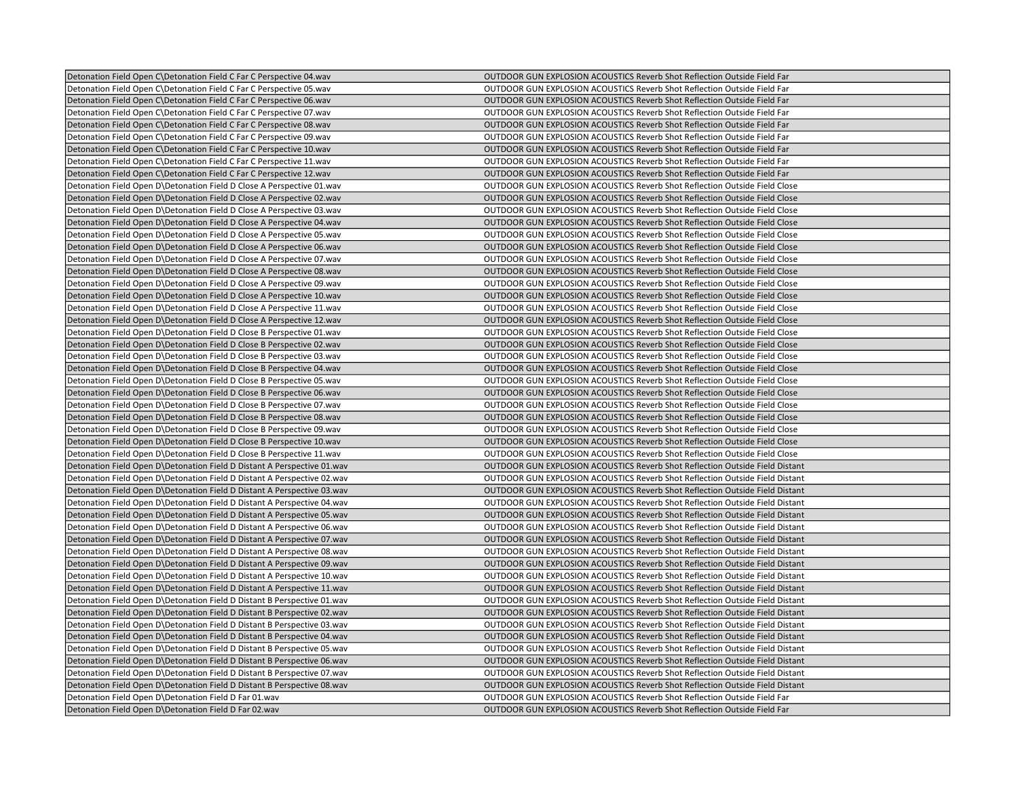| Detonation Field Open C\Detonation Field C Far C Perspective 04.wav     | OUTDOOR GUN EXPLOSION ACOUSTICS Reverb Shot Reflection Outside Field Far          |
|-------------------------------------------------------------------------|-----------------------------------------------------------------------------------|
| Detonation Field Open C\Detonation Field C Far C Perspective 05.wav     | OUTDOOR GUN EXPLOSION ACOUSTICS Reverb Shot Reflection Outside Field Far          |
| Detonation Field Open C\Detonation Field C Far C Perspective 06.wav     | OUTDOOR GUN EXPLOSION ACOUSTICS Reverb Shot Reflection Outside Field Far          |
| Detonation Field Open C\Detonation Field C Far C Perspective 07.wav     | OUTDOOR GUN EXPLOSION ACOUSTICS Reverb Shot Reflection Outside Field Far          |
| Detonation Field Open C\Detonation Field C Far C Perspective 08.wav     | OUTDOOR GUN EXPLOSION ACOUSTICS Reverb Shot Reflection Outside Field Far          |
| Detonation Field Open C\Detonation Field C Far C Perspective 09.wav     | OUTDOOR GUN EXPLOSION ACOUSTICS Reverb Shot Reflection Outside Field Far          |
| Detonation Field Open C\Detonation Field C Far C Perspective 10.wav     | OUTDOOR GUN EXPLOSION ACOUSTICS Reverb Shot Reflection Outside Field Far          |
| Detonation Field Open C\Detonation Field C Far C Perspective 11.wav     | OUTDOOR GUN EXPLOSION ACOUSTICS Reverb Shot Reflection Outside Field Far          |
| Detonation Field Open C\Detonation Field C Far C Perspective 12.wav     | OUTDOOR GUN EXPLOSION ACOUSTICS Reverb Shot Reflection Outside Field Far          |
| Detonation Field Open D\Detonation Field D Close A Perspective 01.wav   | OUTDOOR GUN EXPLOSION ACOUSTICS Reverb Shot Reflection Outside Field Close        |
| Detonation Field Open D\Detonation Field D Close A Perspective 02.wav   | OUTDOOR GUN EXPLOSION ACOUSTICS Reverb Shot Reflection Outside Field Close        |
| Detonation Field Open D\Detonation Field D Close A Perspective 03.wav   | <b>OUTDOOR GUN EXPLOSION ACOUSTICS Reverb Shot Reflection Outside Field Close</b> |
| Detonation Field Open D\Detonation Field D Close A Perspective 04.wav   | OUTDOOR GUN EXPLOSION ACOUSTICS Reverb Shot Reflection Outside Field Close        |
| Detonation Field Open D\Detonation Field D Close A Perspective 05.wav   | OUTDOOR GUN EXPLOSION ACOUSTICS Reverb Shot Reflection Outside Field Close        |
| Detonation Field Open D\Detonation Field D Close A Perspective 06.wav   | <b>OUTDOOR GUN EXPLOSION ACOUSTICS Reverb Shot Reflection Outside Field Close</b> |
| Detonation Field Open D\Detonation Field D Close A Perspective 07.wav   | OUTDOOR GUN EXPLOSION ACOUSTICS Reverb Shot Reflection Outside Field Close        |
| Detonation Field Open D\Detonation Field D Close A Perspective 08.wav   | OUTDOOR GUN EXPLOSION ACOUSTICS Reverb Shot Reflection Outside Field Close        |
| Detonation Field Open D\Detonation Field D Close A Perspective 09.wav   | OUTDOOR GUN EXPLOSION ACOUSTICS Reverb Shot Reflection Outside Field Close        |
| Detonation Field Open D\Detonation Field D Close A Perspective 10.wav   | OUTDOOR GUN EXPLOSION ACOUSTICS Reverb Shot Reflection Outside Field Close        |
| Detonation Field Open D\Detonation Field D Close A Perspective 11.wav   | OUTDOOR GUN EXPLOSION ACOUSTICS Reverb Shot Reflection Outside Field Close        |
| Detonation Field Open D\Detonation Field D Close A Perspective 12.wav   | OUTDOOR GUN EXPLOSION ACOUSTICS Reverb Shot Reflection Outside Field Close        |
| Detonation Field Open D\Detonation Field D Close B Perspective 01.wav   | OUTDOOR GUN EXPLOSION ACOUSTICS Reverb Shot Reflection Outside Field Close        |
| Detonation Field Open D\Detonation Field D Close B Perspective 02.wav   | <b>OUTDOOR GUN EXPLOSION ACOUSTICS Reverb Shot Reflection Outside Field Close</b> |
| Detonation Field Open D\Detonation Field D Close B Perspective 03.wav   | OUTDOOR GUN EXPLOSION ACOUSTICS Reverb Shot Reflection Outside Field Close        |
| Detonation Field Open D\Detonation Field D Close B Perspective 04.wav   | OUTDOOR GUN EXPLOSION ACOUSTICS Reverb Shot Reflection Outside Field Close        |
| Detonation Field Open D\Detonation Field D Close B Perspective 05.wav   | OUTDOOR GUN EXPLOSION ACOUSTICS Reverb Shot Reflection Outside Field Close        |
| Detonation Field Open D\Detonation Field D Close B Perspective 06.wav   | OUTDOOR GUN EXPLOSION ACOUSTICS Reverb Shot Reflection Outside Field Close        |
| Detonation Field Open D\Detonation Field D Close B Perspective 07.wav   | OUTDOOR GUN EXPLOSION ACOUSTICS Reverb Shot Reflection Outside Field Close        |
| Detonation Field Open D\Detonation Field D Close B Perspective 08.wav   | OUTDOOR GUN EXPLOSION ACOUSTICS Reverb Shot Reflection Outside Field Close        |
| Detonation Field Open D\Detonation Field D Close B Perspective 09.wav   | OUTDOOR GUN EXPLOSION ACOUSTICS Reverb Shot Reflection Outside Field Close        |
| Detonation Field Open D\Detonation Field D Close B Perspective 10.wav   | OUTDOOR GUN EXPLOSION ACOUSTICS Reverb Shot Reflection Outside Field Close        |
| Detonation Field Open D\Detonation Field D Close B Perspective 11.wav   | <b>OUTDOOR GUN EXPLOSION ACOUSTICS Reverb Shot Reflection Outside Field Close</b> |
|                                                                         |                                                                                   |
| Detonation Field Open D\Detonation Field D Distant A Perspective 01.wav | OUTDOOR GUN EXPLOSION ACOUSTICS Reverb Shot Reflection Outside Field Distant      |
| Detonation Field Open D\Detonation Field D Distant A Perspective 02.wav | OUTDOOR GUN EXPLOSION ACOUSTICS Reverb Shot Reflection Outside Field Distant      |
| Detonation Field Open D\Detonation Field D Distant A Perspective 03.wav | OUTDOOR GUN EXPLOSION ACOUSTICS Reverb Shot Reflection Outside Field Distant      |
| Detonation Field Open D\Detonation Field D Distant A Perspective 04.wav | OUTDOOR GUN EXPLOSION ACOUSTICS Reverb Shot Reflection Outside Field Distant      |
| Detonation Field Open D\Detonation Field D Distant A Perspective 05.wav | OUTDOOR GUN EXPLOSION ACOUSTICS Reverb Shot Reflection Outside Field Distant      |
| Detonation Field Open D\Detonation Field D Distant A Perspective 06.wav | OUTDOOR GUN EXPLOSION ACOUSTICS Reverb Shot Reflection Outside Field Distant      |
| Detonation Field Open D\Detonation Field D Distant A Perspective 07.wav | OUTDOOR GUN EXPLOSION ACOUSTICS Reverb Shot Reflection Outside Field Distant      |
| Detonation Field Open D\Detonation Field D Distant A Perspective 08.wav | OUTDOOR GUN EXPLOSION ACOUSTICS Reverb Shot Reflection Outside Field Distant      |
| Detonation Field Open D\Detonation Field D Distant A Perspective 09.wav | OUTDOOR GUN EXPLOSION ACOUSTICS Reverb Shot Reflection Outside Field Distant      |
| Detonation Field Open D\Detonation Field D Distant A Perspective 10.wav | OUTDOOR GUN EXPLOSION ACOUSTICS Reverb Shot Reflection Outside Field Distant      |
| Detonation Field Open D\Detonation Field D Distant A Perspective 11.wav | OUTDOOR GUN EXPLOSION ACOUSTICS Reverb Shot Reflection Outside Field Distant      |
| Detonation Field Open D\Detonation Field D Distant B Perspective 01.wav | OUTDOOR GUN EXPLOSION ACOUSTICS Reverb Shot Reflection Outside Field Distant      |
| Detonation Field Open D\Detonation Field D Distant B Perspective 02.wav | OUTDOOR GUN EXPLOSION ACOUSTICS Reverb Shot Reflection Outside Field Distant      |
| Detonation Field Open D\Detonation Field D Distant B Perspective 03.wav | OUTDOOR GUN EXPLOSION ACOUSTICS Reverb Shot Reflection Outside Field Distant      |
| Detonation Field Open D\Detonation Field D Distant B Perspective 04.wav | OUTDOOR GUN EXPLOSION ACOUSTICS Reverb Shot Reflection Outside Field Distant      |
| Detonation Field Open D\Detonation Field D Distant B Perspective 05.wav | OUTDOOR GUN EXPLOSION ACOUSTICS Reverb Shot Reflection Outside Field Distant      |
| Detonation Field Open D\Detonation Field D Distant B Perspective 06.wav | OUTDOOR GUN EXPLOSION ACOUSTICS Reverb Shot Reflection Outside Field Distant      |
| Detonation Field Open D\Detonation Field D Distant B Perspective 07.wav | OUTDOOR GUN EXPLOSION ACOUSTICS Reverb Shot Reflection Outside Field Distant      |
| Detonation Field Open D\Detonation Field D Distant B Perspective 08.wav | OUTDOOR GUN EXPLOSION ACOUSTICS Reverb Shot Reflection Outside Field Distant      |
| Detonation Field Open D\Detonation Field D Far 01.wav                   | OUTDOOR GUN EXPLOSION ACOUSTICS Reverb Shot Reflection Outside Field Far          |
| Detonation Field Open D\Detonation Field D Far 02.wav                   | OUTDOOR GUN EXPLOSION ACOUSTICS Reverb Shot Reflection Outside Field Far          |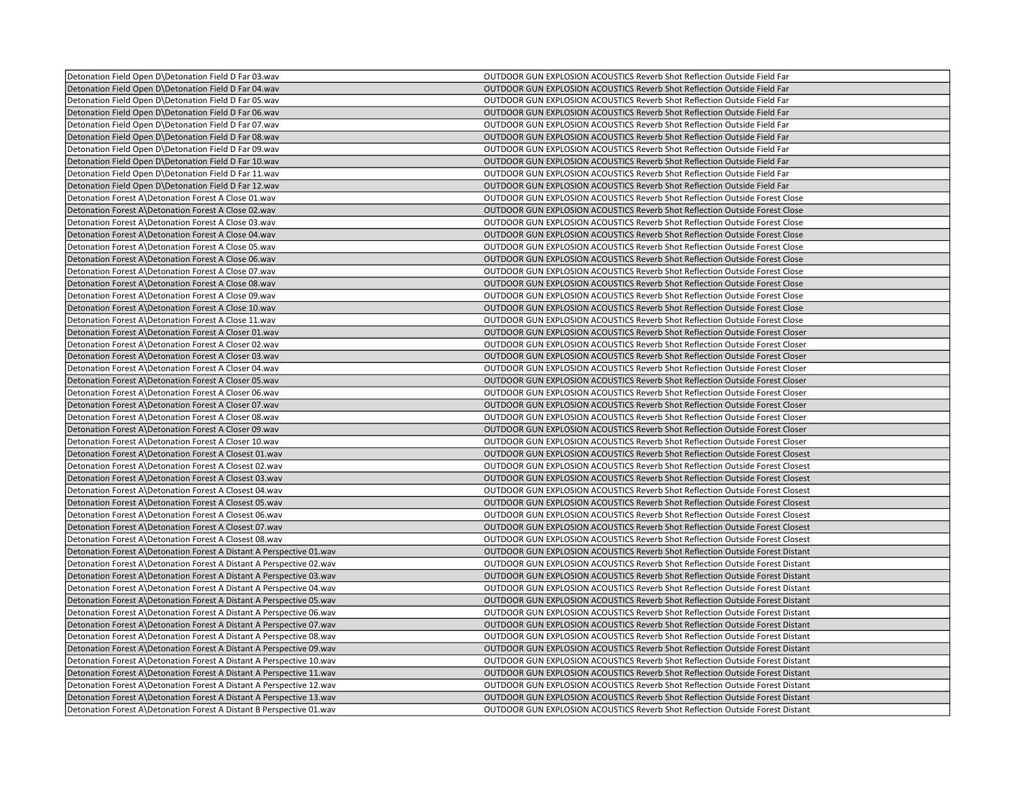| Detonation Field Open D\Detonation Field D Far 03.wav                | OUTDOOR GUN EXPLOSION ACOUSTICS Reverb Shot Reflection Outside Field Far             |
|----------------------------------------------------------------------|--------------------------------------------------------------------------------------|
| Detonation Field Open D\Detonation Field D Far 04.wav                | OUTDOOR GUN EXPLOSION ACOUSTICS Reverb Shot Reflection Outside Field Far             |
| Detonation Field Open D\Detonation Field D Far 05.wav                | OUTDOOR GUN EXPLOSION ACOUSTICS Reverb Shot Reflection Outside Field Far             |
| Detonation Field Open D\Detonation Field D Far 06.wav                | OUTDOOR GUN EXPLOSION ACOUSTICS Reverb Shot Reflection Outside Field Far             |
| Detonation Field Open D\Detonation Field D Far 07.wav                | OUTDOOR GUN EXPLOSION ACOUSTICS Reverb Shot Reflection Outside Field Far             |
| Detonation Field Open D\Detonation Field D Far 08.wav                | OUTDOOR GUN EXPLOSION ACOUSTICS Reverb Shot Reflection Outside Field Far             |
| Detonation Field Open D\Detonation Field D Far 09.wav                | OUTDOOR GUN EXPLOSION ACOUSTICS Reverb Shot Reflection Outside Field Far             |
| Detonation Field Open D\Detonation Field D Far 10.wav                | OUTDOOR GUN EXPLOSION ACOUSTICS Reverb Shot Reflection Outside Field Far             |
| Detonation Field Open D\Detonation Field D Far 11.wav                | OUTDOOR GUN EXPLOSION ACOUSTICS Reverb Shot Reflection Outside Field Far             |
| Detonation Field Open D\Detonation Field D Far 12.wav                | OUTDOOR GUN EXPLOSION ACOUSTICS Reverb Shot Reflection Outside Field Far             |
| Detonation Forest A\Detonation Forest A Close 01.wav                 | <b>OUTDOOR GUN EXPLOSION ACOUSTICS Reverb Shot Reflection Outside Forest Close</b>   |
| Detonation Forest A\Detonation Forest A Close 02.wav                 | OUTDOOR GUN EXPLOSION ACOUSTICS Reverb Shot Reflection Outside Forest Close          |
| Detonation Forest A\Detonation Forest A Close 03.wav                 | OUTDOOR GUN EXPLOSION ACOUSTICS Reverb Shot Reflection Outside Forest Close          |
| Detonation Forest A\Detonation Forest A Close 04.wav                 | OUTDOOR GUN EXPLOSION ACOUSTICS Reverb Shot Reflection Outside Forest Close          |
|                                                                      |                                                                                      |
| Detonation Forest A\Detonation Forest A Close 05.wav                 | OUTDOOR GUN EXPLOSION ACOUSTICS Reverb Shot Reflection Outside Forest Close          |
| Detonation Forest A\Detonation Forest A Close 06.wav                 | OUTDOOR GUN EXPLOSION ACOUSTICS Reverb Shot Reflection Outside Forest Close          |
| Detonation Forest A\Detonation Forest A Close 07.wav                 | <b>OUTDOOR GUN EXPLOSION ACOUSTICS Reverb Shot Reflection Outside Forest Close</b>   |
| Detonation Forest A\Detonation Forest A Close 08.wav                 | OUTDOOR GUN EXPLOSION ACOUSTICS Reverb Shot Reflection Outside Forest Close          |
| Detonation Forest A\Detonation Forest A Close 09.wav                 | OUTDOOR GUN EXPLOSION ACOUSTICS Reverb Shot Reflection Outside Forest Close          |
| Detonation Forest A\Detonation Forest A Close 10.wav                 | <b>OUTDOOR GUN EXPLOSION ACOUSTICS Reverb Shot Reflection Outside Forest Close</b>   |
| Detonation Forest A\Detonation Forest A Close 11.wav                 | <b>OUTDOOR GUN EXPLOSION ACOUSTICS Reverb Shot Reflection Outside Forest Close</b>   |
| Detonation Forest A\Detonation Forest A Closer 01.wav                | OUTDOOR GUN EXPLOSION ACOUSTICS Reverb Shot Reflection Outside Forest Closer         |
| Detonation Forest A\Detonation Forest A Closer 02.wav                | <b>OUTDOOR GUN EXPLOSION ACOUSTICS Reverb Shot Reflection Outside Forest Closer</b>  |
| Detonation Forest A\Detonation Forest A Closer 03.wav                | OUTDOOR GUN EXPLOSION ACOUSTICS Reverb Shot Reflection Outside Forest Closer         |
| Detonation Forest A\Detonation Forest A Closer 04.wav                | OUTDOOR GUN EXPLOSION ACOUSTICS Reverb Shot Reflection Outside Forest Closer         |
| Detonation Forest A\Detonation Forest A Closer 05.wav                | OUTDOOR GUN EXPLOSION ACOUSTICS Reverb Shot Reflection Outside Forest Closer         |
| Detonation Forest A\Detonation Forest A Closer 06.wav                | OUTDOOR GUN EXPLOSION ACOUSTICS Reverb Shot Reflection Outside Forest Closer         |
| Detonation Forest A\Detonation Forest A Closer 07.wav                | OUTDOOR GUN EXPLOSION ACOUSTICS Reverb Shot Reflection Outside Forest Closer         |
| Detonation Forest A\Detonation Forest A Closer 08.wav                | OUTDOOR GUN EXPLOSION ACOUSTICS Reverb Shot Reflection Outside Forest Closer         |
| Detonation Forest A\Detonation Forest A Closer 09.wav                | OUTDOOR GUN EXPLOSION ACOUSTICS Reverb Shot Reflection Outside Forest Closer         |
| Detonation Forest A\Detonation Forest A Closer 10.wav                | OUTDOOR GUN EXPLOSION ACOUSTICS Reverb Shot Reflection Outside Forest Closer         |
| Detonation Forest A\Detonation Forest A Closest 01.wav               | OUTDOOR GUN EXPLOSION ACOUSTICS Reverb Shot Reflection Outside Forest Closest        |
| Detonation Forest A\Detonation Forest A Closest 02.wav               | OUTDOOR GUN EXPLOSION ACOUSTICS Reverb Shot Reflection Outside Forest Closest        |
| Detonation Forest A\Detonation Forest A Closest 03.wav               | OUTDOOR GUN EXPLOSION ACOUSTICS Reverb Shot Reflection Outside Forest Closest        |
| Detonation Forest A\Detonation Forest A Closest 04.wav               | OUTDOOR GUN EXPLOSION ACOUSTICS Reverb Shot Reflection Outside Forest Closest        |
| Detonation Forest A\Detonation Forest A Closest 05.wav               | OUTDOOR GUN EXPLOSION ACOUSTICS Reverb Shot Reflection Outside Forest Closest        |
| Detonation Forest A\Detonation Forest A Closest 06.wav               | OUTDOOR GUN EXPLOSION ACOUSTICS Reverb Shot Reflection Outside Forest Closest        |
| Detonation Forest A\Detonation Forest A Closest 07.wav               | OUTDOOR GUN EXPLOSION ACOUSTICS Reverb Shot Reflection Outside Forest Closest        |
| Detonation Forest A\Detonation Forest A Closest 08.wav               | <b>OUTDOOR GUN EXPLOSION ACOUSTICS Reverb Shot Reflection Outside Forest Closest</b> |
| Detonation Forest A\Detonation Forest A Distant A Perspective 01.wav | OUTDOOR GUN EXPLOSION ACOUSTICS Reverb Shot Reflection Outside Forest Distant        |
| Detonation Forest A\Detonation Forest A Distant A Perspective 02.wav | OUTDOOR GUN EXPLOSION ACOUSTICS Reverb Shot Reflection Outside Forest Distant        |
| Detonation Forest A\Detonation Forest A Distant A Perspective 03.wav | OUTDOOR GUN EXPLOSION ACOUSTICS Reverb Shot Reflection Outside Forest Distant        |
| Detonation Forest A\Detonation Forest A Distant A Perspective 04.wav | <b>OUTDOOR GUN EXPLOSION ACOUSTICS Reverb Shot Reflection Outside Forest Distant</b> |
| Detonation Forest A\Detonation Forest A Distant A Perspective 05.wav | OUTDOOR GUN EXPLOSION ACOUSTICS Reverb Shot Reflection Outside Forest Distant        |
| Detonation Forest A\Detonation Forest A Distant A Perspective 06.wav | OUTDOOR GUN EXPLOSION ACOUSTICS Reverb Shot Reflection Outside Forest Distant        |
| Detonation Forest A\Detonation Forest A Distant A Perspective 07 wav | <b>OUTDOOR GUN EXPLOSION ACOUSTICS Reverb Shot Reflection Outside Forest Distant</b> |
| Detonation Forest A\Detonation Forest A Distant A Perspective 08.wav | OUTDOOR GUN EXPLOSION ACOUSTICS Reverb Shot Reflection Outside Forest Distant        |
| Detonation Forest A\Detonation Forest A Distant A Perspective 09.wav | OUTDOOR GUN EXPLOSION ACOUSTICS Reverb Shot Reflection Outside Forest Distant        |
| Detonation Forest A\Detonation Forest A Distant A Perspective 10.wav | <b>OUTDOOR GUN EXPLOSION ACOUSTICS Reverb Shot Reflection Outside Forest Distant</b> |
| Detonation Forest A\Detonation Forest A Distant A Perspective 11.wav | OUTDOOR GUN EXPLOSION ACOUSTICS Reverb Shot Reflection Outside Forest Distant        |
| Detonation Forest A\Detonation Forest A Distant A Perspective 12.wav | OUTDOOR GUN EXPLOSION ACOUSTICS Reverb Shot Reflection Outside Forest Distant        |
| Detonation Forest A Detonation Forest A Distant A Perspective 13 way | OUTDOOR GUN EXPLOSION ACOUSTICS Reverb Shot Reflection Outside Forest Distant        |
| Detonation Forest A\Detonation Forest A Distant B Perspective 01.wav | OUTDOOR GUN EXPLOSION ACOUSTICS Reverb Shot Reflection Outside Forest Distant        |
|                                                                      |                                                                                      |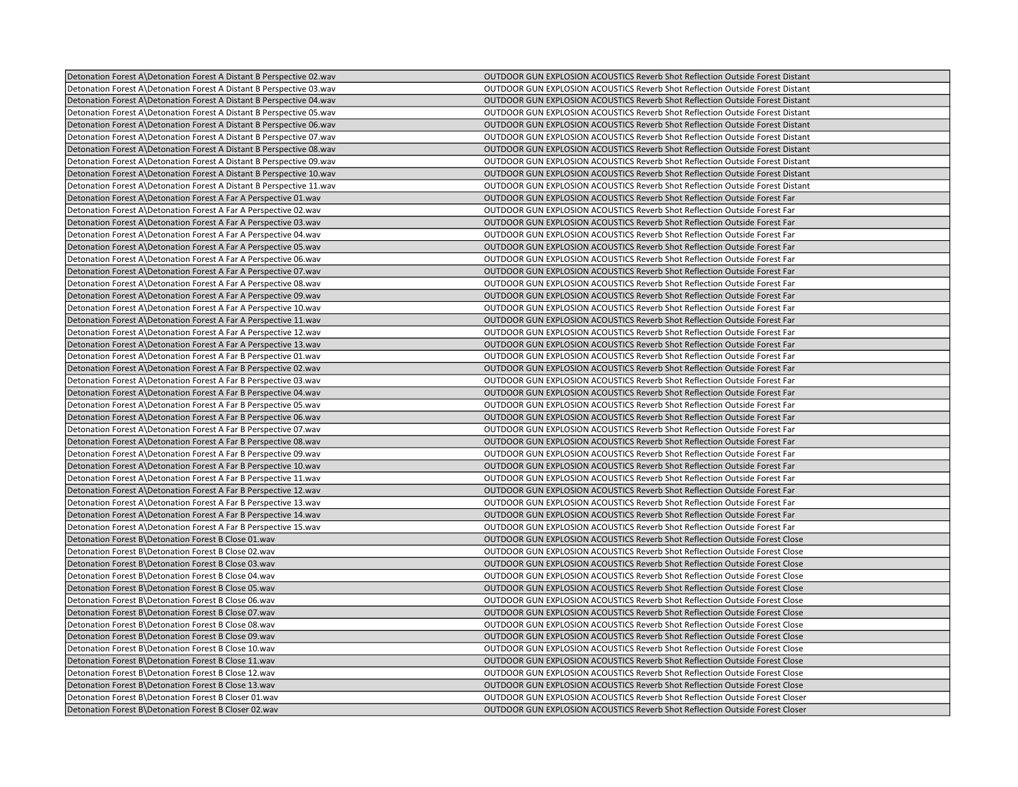| Detonation Forest A\Detonation Forest A Distant B Perspective 02.wav | OUTDOOR GUN EXPLOSION ACOUSTICS Reverb Shot Reflection Outside Forest Distant        |
|----------------------------------------------------------------------|--------------------------------------------------------------------------------------|
| Detonation Forest A\Detonation Forest A Distant B Perspective 03.wav | OUTDOOR GUN EXPLOSION ACOUSTICS Reverb Shot Reflection Outside Forest Distant        |
| Detonation Forest A\Detonation Forest A Distant B Perspective 04.wav | OUTDOOR GUN EXPLOSION ACOUSTICS Reverb Shot Reflection Outside Forest Distant        |
| Detonation Forest A\Detonation Forest A Distant B Perspective 05.wav | <b>OUTDOOR GUN EXPLOSION ACOUSTICS Reverb Shot Reflection Outside Forest Distant</b> |
| Detonation Forest A\Detonation Forest A Distant B Perspective 06.wav | OUTDOOR GUN EXPLOSION ACOUSTICS Reverb Shot Reflection Outside Forest Distant        |
| Detonation Forest A\Detonation Forest A Distant B Perspective 07.wav | OUTDOOR GUN EXPLOSION ACOUSTICS Reverb Shot Reflection Outside Forest Distant        |
| Detonation Forest A\Detonation Forest A Distant B Perspective 08.wav | OUTDOOR GUN EXPLOSION ACOUSTICS Reverb Shot Reflection Outside Forest Distant        |
| Detonation Forest A\Detonation Forest A Distant B Perspective 09.wav | OUTDOOR GUN EXPLOSION ACOUSTICS Reverb Shot Reflection Outside Forest Distant        |
| Detonation Forest A\Detonation Forest A Distant B Perspective 10.wav | OUTDOOR GUN EXPLOSION ACOUSTICS Reverb Shot Reflection Outside Forest Distant        |
| Detonation Forest A\Detonation Forest A Distant B Perspective 11.wav | OUTDOOR GUN EXPLOSION ACOUSTICS Reverb Shot Reflection Outside Forest Distant        |
| Detonation Forest A\Detonation Forest A Far A Perspective 01.wav     | OUTDOOR GUN EXPLOSION ACOUSTICS Reverb Shot Reflection Outside Forest Far            |
| Detonation Forest A\Detonation Forest A Far A Perspective 02.wav     | OUTDOOR GUN EXPLOSION ACOUSTICS Reverb Shot Reflection Outside Forest Far            |
| Detonation Forest A\Detonation Forest A Far A Perspective 03.wav     | OUTDOOR GUN EXPLOSION ACOUSTICS Reverb Shot Reflection Outside Forest Far            |
| Detonation Forest A\Detonation Forest A Far A Perspective 04.wav     | <b>OUTDOOR GUN EXPLOSION ACOUSTICS Reverb Shot Reflection Outside Forest Far</b>     |
| Detonation Forest A\Detonation Forest A Far A Perspective 05.wav     | OUTDOOR GUN EXPLOSION ACOUSTICS Reverb Shot Reflection Outside Forest Far            |
| Detonation Forest A\Detonation Forest A Far A Perspective 06.wav     | OUTDOOR GUN EXPLOSION ACOUSTICS Reverb Shot Reflection Outside Forest Far            |
| Detonation Forest A\Detonation Forest A Far A Perspective 07.wav     | <b>OUTDOOR GUN EXPLOSION ACOUSTICS Reverb Shot Reflection Outside Forest Far</b>     |
| Detonation Forest A\Detonation Forest A Far A Perspective 08 wav     | <b>OUTDOOR GUN EXPLOSION ACOUSTICS Reverb Shot Reflection Outside Forest Far</b>     |
| Detonation Forest A\Detonation Forest A Far A Perspective 09.wav     | OUTDOOR GUN EXPLOSION ACOUSTICS Reverb Shot Reflection Outside Forest Far            |
| Detonation Forest A\Detonation Forest A Far A Perspective 10.wav     | OUTDOOR GUN EXPLOSION ACOUSTICS Reverb Shot Reflection Outside Forest Far            |
| Detonation Forest A\Detonation Forest A Far A Perspective 11.wav     | <b>OUTDOOR GUN EXPLOSION ACOUSTICS Reverb Shot Reflection Outside Forest Far</b>     |
| Detonation Forest A\Detonation Forest A Far A Perspective 12.wav     | OUTDOOR GUN EXPLOSION ACOUSTICS Reverb Shot Reflection Outside Forest Far            |
| Detonation Forest A\Detonation Forest A Far A Perspective 13.wav     | <b>OUTDOOR GUN EXPLOSION ACOUSTICS Reverb Shot Reflection Outside Forest Far</b>     |
| Detonation Forest A\Detonation Forest A Far B Perspective 01.wav     | OUTDOOR GUN EXPLOSION ACOUSTICS Reverb Shot Reflection Outside Forest Far            |
| Detonation Forest A\Detonation Forest A Far B Perspective 02.wav     | <b>OUTDOOR GUN EXPLOSION ACOUSTICS Reverb Shot Reflection Outside Forest Far</b>     |
| Detonation Forest A\Detonation Forest A Far B Perspective 03.wav     | OUTDOOR GUN EXPLOSION ACOUSTICS Reverb Shot Reflection Outside Forest Far            |
| Detonation Forest A\Detonation Forest A Far B Perspective 04.wav     | OUTDOOR GUN EXPLOSION ACOUSTICS Reverb Shot Reflection Outside Forest Far            |
| Detonation Forest A\Detonation Forest A Far B Perspective 05.wav     | <b>OUTDOOR GUN EXPLOSION ACOUSTICS Reverb Shot Reflection Outside Forest Far</b>     |
| Detonation Forest A\Detonation Forest A Far B Perspective 06.wav     | OUTDOOR GUN EXPLOSION ACOUSTICS Reverb Shot Reflection Outside Forest Far            |
| Detonation Forest A\Detonation Forest A Far B Perspective 07.wav     | OUTDOOR GUN EXPLOSION ACOUSTICS Reverb Shot Reflection Outside Forest Far            |
| Detonation Forest A\Detonation Forest A Far B Perspective 08.wav     | OUTDOOR GUN EXPLOSION ACOUSTICS Reverb Shot Reflection Outside Forest Far            |
| Detonation Forest A\Detonation Forest A Far B Perspective 09 wav     | OUTDOOR GUN EXPLOSION ACOUSTICS Reverb Shot Reflection Outside Forest Far            |
| Detonation Forest A\Detonation Forest A Far B Perspective 10.wav     | OUTDOOR GUN EXPLOSION ACOUSTICS Reverb Shot Reflection Outside Forest Far            |
| Detonation Forest A\Detonation Forest A Far B Perspective 11.wav     | OUTDOOR GUN EXPLOSION ACOUSTICS Reverb Shot Reflection Outside Forest Far            |
| Detonation Forest A\Detonation Forest A Far B Perspective 12.wav     | <b>OUTDOOR GUN EXPLOSION ACOUSTICS Reverb Shot Reflection Outside Forest Far</b>     |
| Detonation Forest A\Detonation Forest A Far B Perspective 13.wav     | OUTDOOR GUN EXPLOSION ACOUSTICS Reverb Shot Reflection Outside Forest Far            |
| Detonation Forest A\Detonation Forest A Far B Perspective 14.wav     | OUTDOOR GUN EXPLOSION ACOUSTICS Reverb Shot Reflection Outside Forest Far            |
| Detonation Forest A\Detonation Forest A Far B Perspective 15.wav     | OUTDOOR GUN EXPLOSION ACOUSTICS Reverb Shot Reflection Outside Forest Far            |
| Detonation Forest B\Detonation Forest B Close 01.wav                 | OUTDOOR GUN EXPLOSION ACOUSTICS Reverb Shot Reflection Outside Forest Close          |
| Detonation Forest B\Detonation Forest B Close 02.wav                 | OUTDOOR GUN EXPLOSION ACOUSTICS Reverb Shot Reflection Outside Forest Close          |
| Detonation Forest B\Detonation Forest B Close 03.wav                 | OUTDOOR GUN EXPLOSION ACOUSTICS Reverb Shot Reflection Outside Forest Close          |
| Detonation Forest B\Detonation Forest B Close 04.wav                 | OUTDOOR GUN EXPLOSION ACOUSTICS Reverb Shot Reflection Outside Forest Close          |
| Detonation Forest B\Detonation Forest B Close 05.wav                 | OUTDOOR GUN EXPLOSION ACOUSTICS Reverb Shot Reflection Outside Forest Close          |
| Detonation Forest B\Detonation Forest B Close 06.wav                 | OUTDOOR GUN EXPLOSION ACOUSTICS Reverb Shot Reflection Outside Forest Close          |
| Detonation Forest B\Detonation Forest B Close 07.wav                 | <b>OUTDOOR GUN EXPLOSION ACOUSTICS Reverb Shot Reflection Outside Forest Close</b>   |
| Detonation Forest B\Detonation Forest B Close 08.wav                 | OUTDOOR GUN EXPLOSION ACOUSTICS Reverb Shot Reflection Outside Forest Close          |
| Detonation Forest B\Detonation Forest B Close 09.wav                 | OUTDOOR GUN EXPLOSION ACOUSTICS Reverb Shot Reflection Outside Forest Close          |
| Detonation Forest B\Detonation Forest B Close 10.wav                 | OUTDOOR GUN EXPLOSION ACOUSTICS Reverb Shot Reflection Outside Forest Close          |
| Detonation Forest B\Detonation Forest B Close 11.wav                 | <b>OUTDOOR GUN EXPLOSION ACOUSTICS Reverb Shot Reflection Outside Forest Close</b>   |
| Detonation Forest B\Detonation Forest B Close 12.wav                 | OUTDOOR GUN EXPLOSION ACOUSTICS Reverb Shot Reflection Outside Forest Close          |
| Detonation Forest B\Detonation Forest B Close 13.wav                 | <b>OUTDOOR GUN EXPLOSION ACOUSTICS Reverb Shot Reflection Outside Forest Close</b>   |
| Detonation Forest B\Detonation Forest B Closer 01.wav                | OUTDOOR GUN EXPLOSION ACOUSTICS Reverb Shot Reflection Outside Forest Closer         |
| Detonation Forest B\Detonation Forest B Closer 02.wav                | OUTDOOR GUN EXPLOSION ACOUSTICS Reverb Shot Reflection Outside Forest Closer         |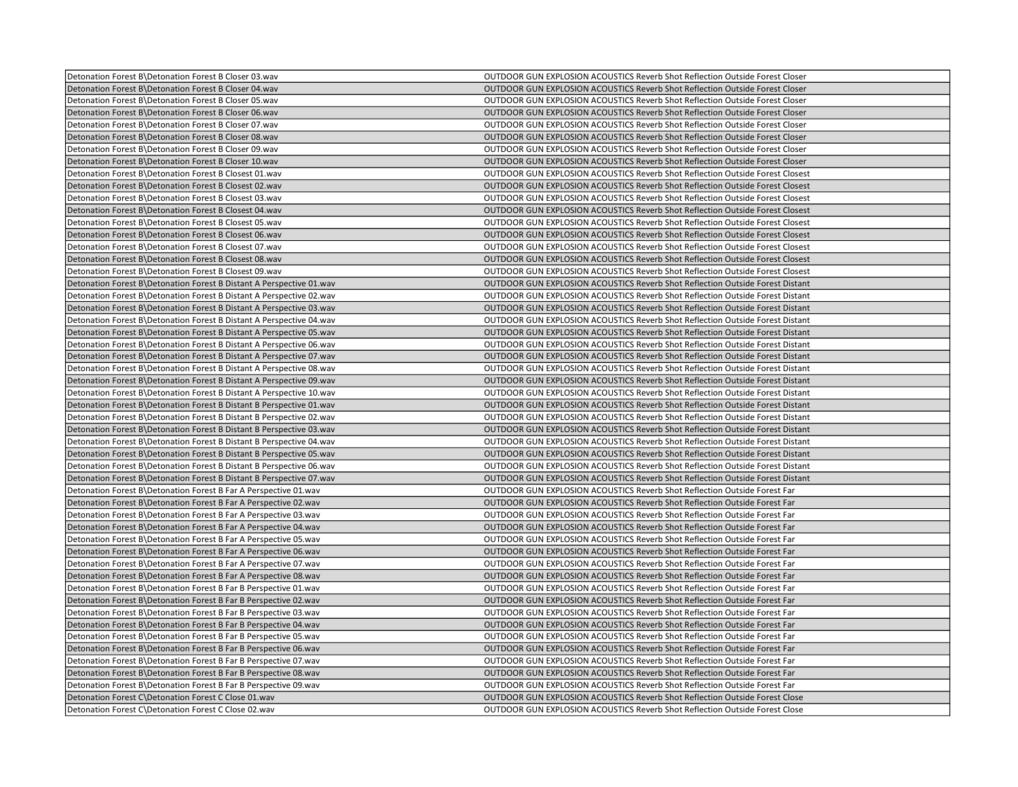| Detonation Forest B\Detonation Forest B Closer 03.wav                 | OUTDOOR GUN EXPLOSION ACOUSTICS Reverb Shot Reflection Outside Forest Closer         |
|-----------------------------------------------------------------------|--------------------------------------------------------------------------------------|
| Detonation Forest B\Detonation Forest B Closer 04.wav                 | OUTDOOR GUN EXPLOSION ACOUSTICS Reverb Shot Reflection Outside Forest Closer         |
| Detonation Forest B\Detonation Forest B Closer 05.wav                 | <b>OUTDOOR GUN EXPLOSION ACOUSTICS Reverb Shot Reflection Outside Forest Closer</b>  |
| Detonation Forest B\Detonation Forest B Closer 06.wav                 | OUTDOOR GUN EXPLOSION ACOUSTICS Reverb Shot Reflection Outside Forest Closer         |
| Detonation Forest B\Detonation Forest B Closer 07.wav                 | OUTDOOR GUN EXPLOSION ACOUSTICS Reverb Shot Reflection Outside Forest Closer         |
| Detonation Forest B\Detonation Forest B Closer 08.wav                 | OUTDOOR GUN EXPLOSION ACOUSTICS Reverb Shot Reflection Outside Forest Closer         |
| Detonation Forest B\Detonation Forest B Closer 09.wav                 | OUTDOOR GUN EXPLOSION ACOUSTICS Reverb Shot Reflection Outside Forest Closer         |
| Detonation Forest B\Detonation Forest B Closer 10.wav                 | OUTDOOR GUN EXPLOSION ACOUSTICS Reverb Shot Reflection Outside Forest Closer         |
| Detonation Forest B\Detonation Forest B Closest 01.wav                | OUTDOOR GUN EXPLOSION ACOUSTICS Reverb Shot Reflection Outside Forest Closest        |
| Detonation Forest B\Detonation Forest B Closest 02.wav                | OUTDOOR GUN EXPLOSION ACOUSTICS Reverb Shot Reflection Outside Forest Closest        |
| Detonation Forest B\Detonation Forest B Closest 03.wav                | OUTDOOR GUN EXPLOSION ACOUSTICS Reverb Shot Reflection Outside Forest Closest        |
| Detonation Forest B\Detonation Forest B Closest 04.wav                | OUTDOOR GUN EXPLOSION ACOUSTICS Reverb Shot Reflection Outside Forest Closest        |
| Detonation Forest B\Detonation Forest B Closest 05.wav                | OUTDOOR GUN EXPLOSION ACOUSTICS Reverb Shot Reflection Outside Forest Closest        |
| Detonation Forest B\Detonation Forest B Closest 06.wav                | OUTDOOR GUN EXPLOSION ACOUSTICS Reverb Shot Reflection Outside Forest Closest        |
| Detonation Forest B\Detonation Forest B Closest 07.wav                | OUTDOOR GUN EXPLOSION ACOUSTICS Reverb Shot Reflection Outside Forest Closest        |
| Detonation Forest B\Detonation Forest B Closest 08.wav                | OUTDOOR GUN EXPLOSION ACOUSTICS Reverb Shot Reflection Outside Forest Closest        |
| Detonation Forest B\Detonation Forest B Closest 09.wav                | OUTDOOR GUN EXPLOSION ACOUSTICS Reverb Shot Reflection Outside Forest Closest        |
| Detonation Forest B\Detonation Forest B Distant A Perspective 01.wav  | OUTDOOR GUN EXPLOSION ACOUSTICS Reverb Shot Reflection Outside Forest Distant        |
| Detonation Forest B\Detonation Forest B Distant A Perspective 02.wav  | OUTDOOR GUN EXPLOSION ACOUSTICS Reverb Shot Reflection Outside Forest Distant        |
| Detonation Forest B\Detonation Forest B Distant A Perspective 03.wav  | OUTDOOR GUN EXPLOSION ACOUSTICS Reverb Shot Reflection Outside Forest Distant        |
| Detonation Forest B\Detonation Forest B Distant A Perspective 04.wav  | OUTDOOR GUN EXPLOSION ACOUSTICS Reverb Shot Reflection Outside Forest Distant        |
| Detonation Forest B\Detonation Forest B Distant A Perspective 05.wav  | OUTDOOR GUN EXPLOSION ACOUSTICS Reverb Shot Reflection Outside Forest Distant        |
| Detonation Forest B\Detonation Forest B Distant A Perspective 06.wav  | <b>OUTDOOR GUN EXPLOSION ACOUSTICS Reverb Shot Reflection Outside Forest Distant</b> |
| Detonation Forest B\Detonation Forest B Distant A Perspective 07.wav  | OUTDOOR GUN EXPLOSION ACOUSTICS Reverb Shot Reflection Outside Forest Distant        |
| Detonation Forest B\Detonation Forest B Distant A Perspective 08.wav  | OUTDOOR GUN EXPLOSION ACOUSTICS Reverb Shot Reflection Outside Forest Distant        |
| Detonation Forest B\Detonation Forest B Distant A Perspective 09. wav | <b>OUTDOOR GUN EXPLOSION ACOUSTICS Reverb Shot Reflection Outside Forest Distant</b> |
| Detonation Forest B\Detonation Forest B Distant A Perspective 10.wav  | OUTDOOR GUN EXPLOSION ACOUSTICS Reverb Shot Reflection Outside Forest Distant        |
| Detonation Forest B\Detonation Forest B Distant B Perspective 01.wav  | OUTDOOR GUN EXPLOSION ACOUSTICS Reverb Shot Reflection Outside Forest Distant        |
| Detonation Forest B\Detonation Forest B Distant B Perspective 02.wav  | OUTDOOR GUN EXPLOSION ACOUSTICS Reverb Shot Reflection Outside Forest Distant        |
| Detonation Forest B\Detonation Forest B Distant B Perspective 03.wav  | OUTDOOR GUN EXPLOSION ACOUSTICS Reverb Shot Reflection Outside Forest Distant        |
| Detonation Forest B\Detonation Forest B Distant B Perspective 04.wav  | OUTDOOR GUN EXPLOSION ACOUSTICS Reverb Shot Reflection Outside Forest Distant        |
| Detonation Forest B\Detonation Forest B Distant B Perspective 05.wav  | OUTDOOR GUN EXPLOSION ACOUSTICS Reverb Shot Reflection Outside Forest Distant        |
| Detonation Forest B\Detonation Forest B Distant B Perspective 06.wav  | OUTDOOR GUN EXPLOSION ACOUSTICS Reverb Shot Reflection Outside Forest Distant        |
| Detonation Forest B\Detonation Forest B Distant B Perspective 07.wav  | OUTDOOR GUN EXPLOSION ACOUSTICS Reverb Shot Reflection Outside Forest Distant        |
| Detonation Forest B\Detonation Forest B Far A Perspective 01.wav      | OUTDOOR GUN EXPLOSION ACOUSTICS Reverb Shot Reflection Outside Forest Far            |
| Detonation Forest B\Detonation Forest B Far A Perspective 02.wav      | OUTDOOR GUN EXPLOSION ACOUSTICS Reverb Shot Reflection Outside Forest Far            |
| Detonation Forest B\Detonation Forest B Far A Perspective 03.wav      | OUTDOOR GUN EXPLOSION ACOUSTICS Reverb Shot Reflection Outside Forest Far            |
| Detonation Forest B\Detonation Forest B Far A Perspective 04.wav      | OUTDOOR GUN EXPLOSION ACOUSTICS Reverb Shot Reflection Outside Forest Far            |
| Detonation Forest B\Detonation Forest B Far A Perspective 05.wav      | OUTDOOR GUN EXPLOSION ACOUSTICS Reverb Shot Reflection Outside Forest Far            |
| Detonation Forest B\Detonation Forest B Far A Perspective 06.wav      | <b>OUTDOOR GUN EXPLOSION ACOUSTICS Reverb Shot Reflection Outside Forest Far</b>     |
| Detonation Forest B\Detonation Forest B Far A Perspective 07.wav      | OUTDOOR GUN EXPLOSION ACOUSTICS Reverb Shot Reflection Outside Forest Far            |
| Detonation Forest B\Detonation Forest B Far A Perspective 08.wav      | OUTDOOR GUN EXPLOSION ACOUSTICS Reverb Shot Reflection Outside Forest Far            |
| Detonation Forest B\Detonation Forest B Far B Perspective 01.wav      | OUTDOOR GUN EXPLOSION ACOUSTICS Reverb Shot Reflection Outside Forest Far            |
| Detonation Forest B\Detonation Forest B Far B Perspective 02.wav      | OUTDOOR GUN EXPLOSION ACOUSTICS Reverb Shot Reflection Outside Forest Far            |
| Detonation Forest B\Detonation Forest B Far B Perspective 03.wav      | OUTDOOR GUN EXPLOSION ACOUSTICS Reverb Shot Reflection Outside Forest Far            |
| Detonation Forest B\Detonation Forest B Far B Perspective 04.wav      | <b>OUTDOOR GUN EXPLOSION ACOUSTICS Reverb Shot Reflection Outside Forest Far</b>     |
| Detonation Forest B\Detonation Forest B Far B Perspective 05.wav      | OUTDOOR GUN EXPLOSION ACOUSTICS Reverb Shot Reflection Outside Forest Far            |
| Detonation Forest B\Detonation Forest B Far B Perspective 06.wav      | OUTDOOR GUN EXPLOSION ACOUSTICS Reverb Shot Reflection Outside Forest Far            |
| Detonation Forest B\Detonation Forest B Far B Perspective 07.wav      | OUTDOOR GUN EXPLOSION ACOUSTICS Reverb Shot Reflection Outside Forest Far            |
| Detonation Forest B\Detonation Forest B Far B Perspective 08.wav      | OUTDOOR GUN EXPLOSION ACOUSTICS Reverb Shot Reflection Outside Forest Far            |
| Detonation Forest B\Detonation Forest B Far B Perspective 09.wav      | OUTDOOR GUN EXPLOSION ACOUSTICS Reverb Shot Reflection Outside Forest Far            |
| Detonation Forest C\Detonation Forest C Close 01.wav                  | OUTDOOR GUN EXPLOSION ACOUSTICS Reverb Shot Reflection Outside Forest Close          |
| Detonation Forest C\Detonation Forest C Close 02.wav                  | OUTDOOR GUN EXPLOSION ACOUSTICS Reverb Shot Reflection Outside Forest Close          |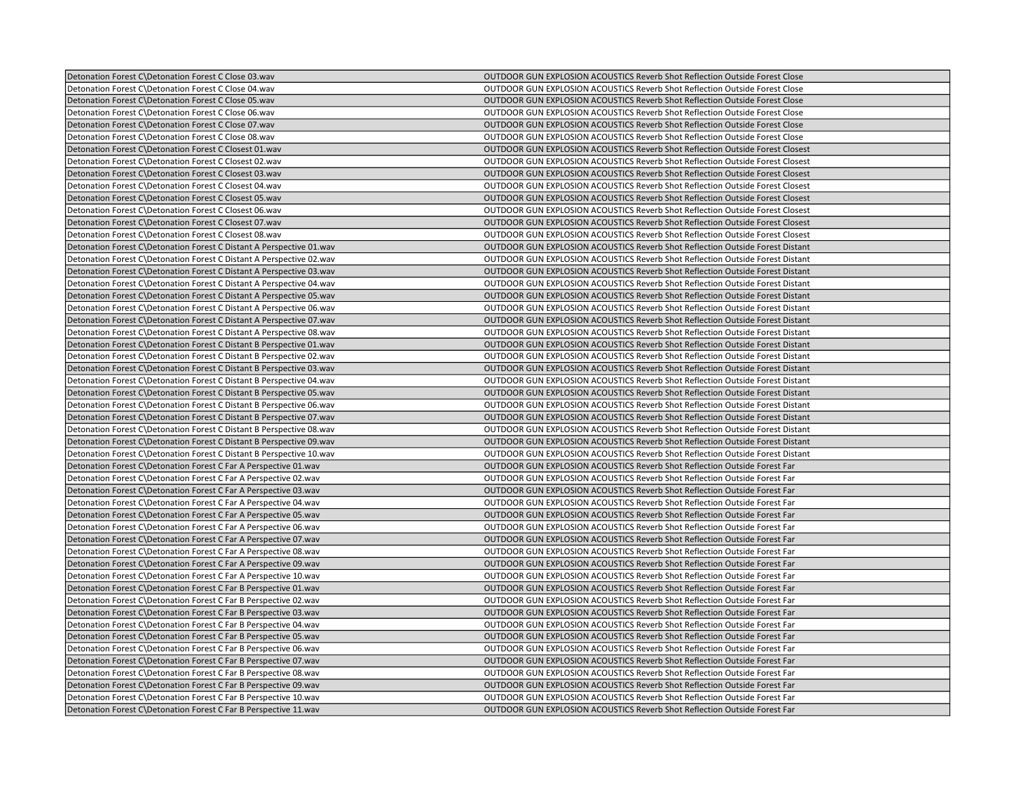| Detonation Forest C\Detonation Forest C Close 04.wav<br>OUTDOOR GUN EXPLOSION ACOUSTICS Reverb Shot Reflection Outside Forest Close<br>Detonation Forest C\Detonation Forest C Close 05.wav<br><b>OUTDOOR GUN EXPLOSION ACOUSTICS Reverb Shot Reflection Outside Forest Close</b><br>Detonation Forest C\Detonation Forest C Close 06.wav<br><b>OUTDOOR GUN EXPLOSION ACOUSTICS Reverb Shot Reflection Outside Forest Close</b><br>Detonation Forest C\Detonation Forest C Close 07.wav<br>OUTDOOR GUN EXPLOSION ACOUSTICS Reverb Shot Reflection Outside Forest Close<br>Detonation Forest C\Detonation Forest C Close 08.wav<br>OUTDOOR GUN EXPLOSION ACOUSTICS Reverb Shot Reflection Outside Forest Close<br>Detonation Forest C\Detonation Forest C Closest 01.wav<br>OUTDOOR GUN EXPLOSION ACOUSTICS Reverb Shot Reflection Outside Forest Closest<br>Detonation Forest C\Detonation Forest C Closest 02.wav<br>OUTDOOR GUN EXPLOSION ACOUSTICS Reverb Shot Reflection Outside Forest Closest<br>Detonation Forest C\Detonation Forest C Closest 03.wav<br>OUTDOOR GUN EXPLOSION ACOUSTICS Reverb Shot Reflection Outside Forest Closest<br>OUTDOOR GUN EXPLOSION ACOUSTICS Reverb Shot Reflection Outside Forest Closest<br>Detonation Forest C\Detonation Forest C Closest 04.wav<br>Detonation Forest C\Detonation Forest C Closest 05.wav<br>OUTDOOR GUN EXPLOSION ACOUSTICS Reverb Shot Reflection Outside Forest Closest<br>Detonation Forest C\Detonation Forest C Closest 06.wav<br>OUTDOOR GUN EXPLOSION ACOUSTICS Reverb Shot Reflection Outside Forest Closest<br>OUTDOOR GUN EXPLOSION ACOUSTICS Reverb Shot Reflection Outside Forest Closest<br>Detonation Forest C\Detonation Forest C Closest 07.wav<br>Detonation Forest C\Detonation Forest C Closest 08.wav<br><b>OUTDOOR GUN EXPLOSION ACOUSTICS Reverb Shot Reflection Outside Forest Closest</b><br>Detonation Forest C\Detonation Forest C Distant A Perspective 01.wav<br><b>OUTDOOR GUN EXPLOSION ACOUSTICS Reverb Shot Reflection Outside Forest Distant</b><br>OUTDOOR GUN EXPLOSION ACOUSTICS Reverb Shot Reflection Outside Forest Distant<br>Detonation Forest C\Detonation Forest C Distant A Perspective 02.wav<br>Detonation Forest C\Detonation Forest C Distant A Perspective 03.wav<br><b>OUTDOOR GUN EXPLOSION ACOUSTICS Reverb Shot Reflection Outside Forest Distant</b><br>Detonation Forest C\Detonation Forest C Distant A Perspective 04.wav<br><b>OUTDOOR GUN EXPLOSION ACOUSTICS Reverb Shot Reflection Outside Forest Distant</b><br>Detonation Forest C\Detonation Forest C Distant A Perspective 05.wav<br>OUTDOOR GUN EXPLOSION ACOUSTICS Reverb Shot Reflection Outside Forest Distant<br>Detonation Forest C\Detonation Forest C Distant A Perspective 06.wav<br>OUTDOOR GUN EXPLOSION ACOUSTICS Reverb Shot Reflection Outside Forest Distant<br>Detonation Forest C\Detonation Forest C Distant A Perspective 07.wav<br>OUTDOOR GUN EXPLOSION ACOUSTICS Reverb Shot Reflection Outside Forest Distant<br>Detonation Forest C\Detonation Forest C Distant A Perspective 08.wav<br>OUTDOOR GUN EXPLOSION ACOUSTICS Reverb Shot Reflection Outside Forest Distant<br>Detonation Forest C\Detonation Forest C Distant B Perspective 01.wav<br>OUTDOOR GUN EXPLOSION ACOUSTICS Reverb Shot Reflection Outside Forest Distant<br>OUTDOOR GUN EXPLOSION ACOUSTICS Reverb Shot Reflection Outside Forest Distant<br>Detonation Forest C\Detonation Forest C Distant B Perspective 02.wav<br>Detonation Forest C\Detonation Forest C Distant B Perspective 03.wav<br>OUTDOOR GUN EXPLOSION ACOUSTICS Reverb Shot Reflection Outside Forest Distant<br>OUTDOOR GUN EXPLOSION ACOUSTICS Reverb Shot Reflection Outside Forest Distant<br>Detonation Forest C\Detonation Forest C Distant B Perspective 04.wav<br>OUTDOOR GUN EXPLOSION ACOUSTICS Reverb Shot Reflection Outside Forest Distant<br>Detonation Forest C\Detonation Forest C Distant B Perspective 05.wav<br>Detonation Forest C\Detonation Forest C Distant B Perspective 06.wav<br><b>OUTDOOR GUN EXPLOSION ACOUSTICS Reverb Shot Reflection Outside Forest Distant</b><br>Detonation Forest C\Detonation Forest C Distant B Perspective 07.wav<br>OUTDOOR GUN EXPLOSION ACOUSTICS Reverb Shot Reflection Outside Forest Distant<br>Detonation Forest C\Detonation Forest C Distant B Perspective 08.wav<br>OUTDOOR GUN EXPLOSION ACOUSTICS Reverb Shot Reflection Outside Forest Distant<br>Detonation Forest C\Detonation Forest C Distant B Perspective 09.wav<br>OUTDOOR GUN EXPLOSION ACOUSTICS Reverb Shot Reflection Outside Forest Distant<br>OUTDOOR GUN EXPLOSION ACOUSTICS Reverb Shot Reflection Outside Forest Distant<br>Detonation Forest C\Detonation Forest C Distant B Perspective 10. wav<br>Detonation Forest C\Detonation Forest C Far A Perspective 01.wav<br>OUTDOOR GUN EXPLOSION ACOUSTICS Reverb Shot Reflection Outside Forest Far<br>Detonation Forest C\Detonation Forest C Far A Perspective 02.wav<br>OUTDOOR GUN EXPLOSION ACOUSTICS Reverb Shot Reflection Outside Forest Far<br>Detonation Forest C\Detonation Forest C Far A Perspective 03.wav<br><b>OUTDOOR GUN EXPLOSION ACOUSTICS Reverb Shot Reflection Outside Forest Far</b><br>Detonation Forest C\Detonation Forest C Far A Perspective 04.wav<br>OUTDOOR GUN EXPLOSION ACOUSTICS Reverb Shot Reflection Outside Forest Far<br>Detonation Forest C\Detonation Forest C Far A Perspective 05.wav<br><b>OUTDOOR GUN EXPLOSION ACOUSTICS Reverb Shot Reflection Outside Forest Far</b><br>Detonation Forest C\Detonation Forest C Far A Perspective 06.wav<br>OUTDOOR GUN EXPLOSION ACOUSTICS Reverb Shot Reflection Outside Forest Far<br>Detonation Forest C\Detonation Forest C Far A Perspective 07.wav<br>OUTDOOR GUN EXPLOSION ACOUSTICS Reverb Shot Reflection Outside Forest Far<br>OUTDOOR GUN EXPLOSION ACOUSTICS Reverb Shot Reflection Outside Forest Far<br>Detonation Forest C\Detonation Forest C Far A Perspective 08.wav<br>OUTDOOR GUN EXPLOSION ACOUSTICS Reverb Shot Reflection Outside Forest Far<br>Detonation Forest C\Detonation Forest C Far A Perspective 09.wav<br>Detonation Forest C\Detonation Forest C Far A Perspective 10.wav<br>OUTDOOR GUN EXPLOSION ACOUSTICS Reverb Shot Reflection Outside Forest Far<br>Detonation Forest C\Detonation Forest C Far B Perspective 01.wav<br>OUTDOOR GUN EXPLOSION ACOUSTICS Reverb Shot Reflection Outside Forest Far<br>Detonation Forest C\Detonation Forest C Far B Perspective 02.wav<br>OUTDOOR GUN EXPLOSION ACOUSTICS Reverb Shot Reflection Outside Forest Far<br>Detonation Forest C\Detonation Forest C Far B Perspective 03.wav<br>OUTDOOR GUN EXPLOSION ACOUSTICS Reverb Shot Reflection Outside Forest Far<br>Detonation Forest C\Detonation Forest C Far B Perspective 04.wav<br>OUTDOOR GUN EXPLOSION ACOUSTICS Reverb Shot Reflection Outside Forest Far<br>Detonation Forest C\Detonation Forest C Far B Perspective 05.wav<br>OUTDOOR GUN EXPLOSION ACOUSTICS Reverb Shot Reflection Outside Forest Far<br>Detonation Forest C\Detonation Forest C Far B Perspective 06.wav<br>OUTDOOR GUN EXPLOSION ACOUSTICS Reverb Shot Reflection Outside Forest Far<br>Detonation Forest C\Detonation Forest C Far B Perspective 07.wav<br><b>OUTDOOR GUN EXPLOSION ACOUSTICS Reverb Shot Reflection Outside Forest Far</b><br>Detonation Forest C\Detonation Forest C Far B Perspective 08.wav<br>OUTDOOR GUN EXPLOSION ACOUSTICS Reverb Shot Reflection Outside Forest Far<br>OUTDOOR GUN EXPLOSION ACOUSTICS Reverb Shot Reflection Outside Forest Far<br>Detonation Forest C\Detonation Forest C Far B Perspective 09.wav<br>OUTDOOR GUN EXPLOSION ACOUSTICS Reverb Shot Reflection Outside Forest Far<br>Detonation Forest C\Detonation Forest C Far B Perspective 10. wav<br>Detonation Forest C\Detonation Forest C Far B Perspective 11.wav<br>OUTDOOR GUN EXPLOSION ACOUSTICS Reverb Shot Reflection Outside Forest Far | Detonation Forest C\Detonation Forest C Close 03.wav | OUTDOOR GUN EXPLOSION ACOUSTICS Reverb Shot Reflection Outside Forest Close |
|------------------------------------------------------------------------------------------------------------------------------------------------------------------------------------------------------------------------------------------------------------------------------------------------------------------------------------------------------------------------------------------------------------------------------------------------------------------------------------------------------------------------------------------------------------------------------------------------------------------------------------------------------------------------------------------------------------------------------------------------------------------------------------------------------------------------------------------------------------------------------------------------------------------------------------------------------------------------------------------------------------------------------------------------------------------------------------------------------------------------------------------------------------------------------------------------------------------------------------------------------------------------------------------------------------------------------------------------------------------------------------------------------------------------------------------------------------------------------------------------------------------------------------------------------------------------------------------------------------------------------------------------------------------------------------------------------------------------------------------------------------------------------------------------------------------------------------------------------------------------------------------------------------------------------------------------------------------------------------------------------------------------------------------------------------------------------------------------------------------------------------------------------------------------------------------------------------------------------------------------------------------------------------------------------------------------------------------------------------------------------------------------------------------------------------------------------------------------------------------------------------------------------------------------------------------------------------------------------------------------------------------------------------------------------------------------------------------------------------------------------------------------------------------------------------------------------------------------------------------------------------------------------------------------------------------------------------------------------------------------------------------------------------------------------------------------------------------------------------------------------------------------------------------------------------------------------------------------------------------------------------------------------------------------------------------------------------------------------------------------------------------------------------------------------------------------------------------------------------------------------------------------------------------------------------------------------------------------------------------------------------------------------------------------------------------------------------------------------------------------------------------------------------------------------------------------------------------------------------------------------------------------------------------------------------------------------------------------------------------------------------------------------------------------------------------------------------------------------------------------------------------------------------------------------------------------------------------------------------------------------------------------------------------------------------------------------------------------------------------------------------------------------------------------------------------------------------------------------------------------------------------------------------------------------------------------------------------------------------------------------------------------------------------------------------------------------------------------------------------------------------------------------------------------------------------------------------------------------------------------------------------------------------------------------------------------------------------------------------------------------------------------------------------------------------------------------------------------------------------------------------------------------------------------------------------------------------------------------------------------------------------------------------------------------------------------------------------------------------------------------------------------------------------------------------------------------------------------------------------------------------------------------------------------------------------------------------------------------------------------------------------------------------------------------------------------------------------------------------------------------------------------------------------------------------------------------------------------------------------------------------------------------------------------------------------------------------------------------------------------------------------------------------------------------------------------------------------------------------------------------------------------------------------------------------------------------------------------------------------------------------------------------------------------------------------------------------------------------------------------------------------------------------------------------------------------------------------------------------------------------------------------------------------------------------------------------------------------------------------------------------------------------------------------------------------------------------------------------------------------------------------------------------------------------------------------------------------------------------------------------------------------------------------------------------------------------------------------------------------------------------------------------------------------------------------------------------------------------------------------------------------------------------------------------------------------------------------------------------------------------------------------------------------------------------------------------------------------------------------------------------------------------------------------------------------------------------------------------------------------------------------------------------------------------------------------------------------------------------------------------------------------------------------------------------------------------------------------------------------------------------------------------------------------------------------------------------------------------------------------------------------------------------------------------------------------------------------------|------------------------------------------------------|-----------------------------------------------------------------------------|
|                                                                                                                                                                                                                                                                                                                                                                                                                                                                                                                                                                                                                                                                                                                                                                                                                                                                                                                                                                                                                                                                                                                                                                                                                                                                                                                                                                                                                                                                                                                                                                                                                                                                                                                                                                                                                                                                                                                                                                                                                                                                                                                                                                                                                                                                                                                                                                                                                                                                                                                                                                                                                                                                                                                                                                                                                                                                                                                                                                                                                                                                                                                                                                                                                                                                                                                                                                                                                                                                                                                                                                                                                                                                                                                                                                                                                                                                                                                                                                                                                                                                                                                                                                                                                                                                                                                                                                                                                                                                                                                                                                                                                                                                                                                                                                                                                                                                                                                                                                                                                                                                                                                                                                                                                                                                                                                                                                                                                                                                                                                                                                                                                                                                                                                                                                                                                                                                                                                                                                                                                                                                                                                                                                                                                                                                                                                                                                                                                                                                                                                                                                                                                                                                                                                                                                                                                                                                                                                                                                                                                                                                                                                                                                                                                                                                                                                                                                                                                                                                                                                                                                                                                                                                                                                                                                                                                                                                                                                                                                        |                                                      |                                                                             |
|                                                                                                                                                                                                                                                                                                                                                                                                                                                                                                                                                                                                                                                                                                                                                                                                                                                                                                                                                                                                                                                                                                                                                                                                                                                                                                                                                                                                                                                                                                                                                                                                                                                                                                                                                                                                                                                                                                                                                                                                                                                                                                                                                                                                                                                                                                                                                                                                                                                                                                                                                                                                                                                                                                                                                                                                                                                                                                                                                                                                                                                                                                                                                                                                                                                                                                                                                                                                                                                                                                                                                                                                                                                                                                                                                                                                                                                                                                                                                                                                                                                                                                                                                                                                                                                                                                                                                                                                                                                                                                                                                                                                                                                                                                                                                                                                                                                                                                                                                                                                                                                                                                                                                                                                                                                                                                                                                                                                                                                                                                                                                                                                                                                                                                                                                                                                                                                                                                                                                                                                                                                                                                                                                                                                                                                                                                                                                                                                                                                                                                                                                                                                                                                                                                                                                                                                                                                                                                                                                                                                                                                                                                                                                                                                                                                                                                                                                                                                                                                                                                                                                                                                                                                                                                                                                                                                                                                                                                                                                                        |                                                      |                                                                             |
|                                                                                                                                                                                                                                                                                                                                                                                                                                                                                                                                                                                                                                                                                                                                                                                                                                                                                                                                                                                                                                                                                                                                                                                                                                                                                                                                                                                                                                                                                                                                                                                                                                                                                                                                                                                                                                                                                                                                                                                                                                                                                                                                                                                                                                                                                                                                                                                                                                                                                                                                                                                                                                                                                                                                                                                                                                                                                                                                                                                                                                                                                                                                                                                                                                                                                                                                                                                                                                                                                                                                                                                                                                                                                                                                                                                                                                                                                                                                                                                                                                                                                                                                                                                                                                                                                                                                                                                                                                                                                                                                                                                                                                                                                                                                                                                                                                                                                                                                                                                                                                                                                                                                                                                                                                                                                                                                                                                                                                                                                                                                                                                                                                                                                                                                                                                                                                                                                                                                                                                                                                                                                                                                                                                                                                                                                                                                                                                                                                                                                                                                                                                                                                                                                                                                                                                                                                                                                                                                                                                                                                                                                                                                                                                                                                                                                                                                                                                                                                                                                                                                                                                                                                                                                                                                                                                                                                                                                                                                                                        |                                                      |                                                                             |
|                                                                                                                                                                                                                                                                                                                                                                                                                                                                                                                                                                                                                                                                                                                                                                                                                                                                                                                                                                                                                                                                                                                                                                                                                                                                                                                                                                                                                                                                                                                                                                                                                                                                                                                                                                                                                                                                                                                                                                                                                                                                                                                                                                                                                                                                                                                                                                                                                                                                                                                                                                                                                                                                                                                                                                                                                                                                                                                                                                                                                                                                                                                                                                                                                                                                                                                                                                                                                                                                                                                                                                                                                                                                                                                                                                                                                                                                                                                                                                                                                                                                                                                                                                                                                                                                                                                                                                                                                                                                                                                                                                                                                                                                                                                                                                                                                                                                                                                                                                                                                                                                                                                                                                                                                                                                                                                                                                                                                                                                                                                                                                                                                                                                                                                                                                                                                                                                                                                                                                                                                                                                                                                                                                                                                                                                                                                                                                                                                                                                                                                                                                                                                                                                                                                                                                                                                                                                                                                                                                                                                                                                                                                                                                                                                                                                                                                                                                                                                                                                                                                                                                                                                                                                                                                                                                                                                                                                                                                                                                        |                                                      |                                                                             |
|                                                                                                                                                                                                                                                                                                                                                                                                                                                                                                                                                                                                                                                                                                                                                                                                                                                                                                                                                                                                                                                                                                                                                                                                                                                                                                                                                                                                                                                                                                                                                                                                                                                                                                                                                                                                                                                                                                                                                                                                                                                                                                                                                                                                                                                                                                                                                                                                                                                                                                                                                                                                                                                                                                                                                                                                                                                                                                                                                                                                                                                                                                                                                                                                                                                                                                                                                                                                                                                                                                                                                                                                                                                                                                                                                                                                                                                                                                                                                                                                                                                                                                                                                                                                                                                                                                                                                                                                                                                                                                                                                                                                                                                                                                                                                                                                                                                                                                                                                                                                                                                                                                                                                                                                                                                                                                                                                                                                                                                                                                                                                                                                                                                                                                                                                                                                                                                                                                                                                                                                                                                                                                                                                                                                                                                                                                                                                                                                                                                                                                                                                                                                                                                                                                                                                                                                                                                                                                                                                                                                                                                                                                                                                                                                                                                                                                                                                                                                                                                                                                                                                                                                                                                                                                                                                                                                                                                                                                                                                                        |                                                      |                                                                             |
|                                                                                                                                                                                                                                                                                                                                                                                                                                                                                                                                                                                                                                                                                                                                                                                                                                                                                                                                                                                                                                                                                                                                                                                                                                                                                                                                                                                                                                                                                                                                                                                                                                                                                                                                                                                                                                                                                                                                                                                                                                                                                                                                                                                                                                                                                                                                                                                                                                                                                                                                                                                                                                                                                                                                                                                                                                                                                                                                                                                                                                                                                                                                                                                                                                                                                                                                                                                                                                                                                                                                                                                                                                                                                                                                                                                                                                                                                                                                                                                                                                                                                                                                                                                                                                                                                                                                                                                                                                                                                                                                                                                                                                                                                                                                                                                                                                                                                                                                                                                                                                                                                                                                                                                                                                                                                                                                                                                                                                                                                                                                                                                                                                                                                                                                                                                                                                                                                                                                                                                                                                                                                                                                                                                                                                                                                                                                                                                                                                                                                                                                                                                                                                                                                                                                                                                                                                                                                                                                                                                                                                                                                                                                                                                                                                                                                                                                                                                                                                                                                                                                                                                                                                                                                                                                                                                                                                                                                                                                                                        |                                                      |                                                                             |
|                                                                                                                                                                                                                                                                                                                                                                                                                                                                                                                                                                                                                                                                                                                                                                                                                                                                                                                                                                                                                                                                                                                                                                                                                                                                                                                                                                                                                                                                                                                                                                                                                                                                                                                                                                                                                                                                                                                                                                                                                                                                                                                                                                                                                                                                                                                                                                                                                                                                                                                                                                                                                                                                                                                                                                                                                                                                                                                                                                                                                                                                                                                                                                                                                                                                                                                                                                                                                                                                                                                                                                                                                                                                                                                                                                                                                                                                                                                                                                                                                                                                                                                                                                                                                                                                                                                                                                                                                                                                                                                                                                                                                                                                                                                                                                                                                                                                                                                                                                                                                                                                                                                                                                                                                                                                                                                                                                                                                                                                                                                                                                                                                                                                                                                                                                                                                                                                                                                                                                                                                                                                                                                                                                                                                                                                                                                                                                                                                                                                                                                                                                                                                                                                                                                                                                                                                                                                                                                                                                                                                                                                                                                                                                                                                                                                                                                                                                                                                                                                                                                                                                                                                                                                                                                                                                                                                                                                                                                                                                        |                                                      |                                                                             |
|                                                                                                                                                                                                                                                                                                                                                                                                                                                                                                                                                                                                                                                                                                                                                                                                                                                                                                                                                                                                                                                                                                                                                                                                                                                                                                                                                                                                                                                                                                                                                                                                                                                                                                                                                                                                                                                                                                                                                                                                                                                                                                                                                                                                                                                                                                                                                                                                                                                                                                                                                                                                                                                                                                                                                                                                                                                                                                                                                                                                                                                                                                                                                                                                                                                                                                                                                                                                                                                                                                                                                                                                                                                                                                                                                                                                                                                                                                                                                                                                                                                                                                                                                                                                                                                                                                                                                                                                                                                                                                                                                                                                                                                                                                                                                                                                                                                                                                                                                                                                                                                                                                                                                                                                                                                                                                                                                                                                                                                                                                                                                                                                                                                                                                                                                                                                                                                                                                                                                                                                                                                                                                                                                                                                                                                                                                                                                                                                                                                                                                                                                                                                                                                                                                                                                                                                                                                                                                                                                                                                                                                                                                                                                                                                                                                                                                                                                                                                                                                                                                                                                                                                                                                                                                                                                                                                                                                                                                                                                                        |                                                      |                                                                             |
|                                                                                                                                                                                                                                                                                                                                                                                                                                                                                                                                                                                                                                                                                                                                                                                                                                                                                                                                                                                                                                                                                                                                                                                                                                                                                                                                                                                                                                                                                                                                                                                                                                                                                                                                                                                                                                                                                                                                                                                                                                                                                                                                                                                                                                                                                                                                                                                                                                                                                                                                                                                                                                                                                                                                                                                                                                                                                                                                                                                                                                                                                                                                                                                                                                                                                                                                                                                                                                                                                                                                                                                                                                                                                                                                                                                                                                                                                                                                                                                                                                                                                                                                                                                                                                                                                                                                                                                                                                                                                                                                                                                                                                                                                                                                                                                                                                                                                                                                                                                                                                                                                                                                                                                                                                                                                                                                                                                                                                                                                                                                                                                                                                                                                                                                                                                                                                                                                                                                                                                                                                                                                                                                                                                                                                                                                                                                                                                                                                                                                                                                                                                                                                                                                                                                                                                                                                                                                                                                                                                                                                                                                                                                                                                                                                                                                                                                                                                                                                                                                                                                                                                                                                                                                                                                                                                                                                                                                                                                                                        |                                                      |                                                                             |
|                                                                                                                                                                                                                                                                                                                                                                                                                                                                                                                                                                                                                                                                                                                                                                                                                                                                                                                                                                                                                                                                                                                                                                                                                                                                                                                                                                                                                                                                                                                                                                                                                                                                                                                                                                                                                                                                                                                                                                                                                                                                                                                                                                                                                                                                                                                                                                                                                                                                                                                                                                                                                                                                                                                                                                                                                                                                                                                                                                                                                                                                                                                                                                                                                                                                                                                                                                                                                                                                                                                                                                                                                                                                                                                                                                                                                                                                                                                                                                                                                                                                                                                                                                                                                                                                                                                                                                                                                                                                                                                                                                                                                                                                                                                                                                                                                                                                                                                                                                                                                                                                                                                                                                                                                                                                                                                                                                                                                                                                                                                                                                                                                                                                                                                                                                                                                                                                                                                                                                                                                                                                                                                                                                                                                                                                                                                                                                                                                                                                                                                                                                                                                                                                                                                                                                                                                                                                                                                                                                                                                                                                                                                                                                                                                                                                                                                                                                                                                                                                                                                                                                                                                                                                                                                                                                                                                                                                                                                                                                        |                                                      |                                                                             |
|                                                                                                                                                                                                                                                                                                                                                                                                                                                                                                                                                                                                                                                                                                                                                                                                                                                                                                                                                                                                                                                                                                                                                                                                                                                                                                                                                                                                                                                                                                                                                                                                                                                                                                                                                                                                                                                                                                                                                                                                                                                                                                                                                                                                                                                                                                                                                                                                                                                                                                                                                                                                                                                                                                                                                                                                                                                                                                                                                                                                                                                                                                                                                                                                                                                                                                                                                                                                                                                                                                                                                                                                                                                                                                                                                                                                                                                                                                                                                                                                                                                                                                                                                                                                                                                                                                                                                                                                                                                                                                                                                                                                                                                                                                                                                                                                                                                                                                                                                                                                                                                                                                                                                                                                                                                                                                                                                                                                                                                                                                                                                                                                                                                                                                                                                                                                                                                                                                                                                                                                                                                                                                                                                                                                                                                                                                                                                                                                                                                                                                                                                                                                                                                                                                                                                                                                                                                                                                                                                                                                                                                                                                                                                                                                                                                                                                                                                                                                                                                                                                                                                                                                                                                                                                                                                                                                                                                                                                                                                                        |                                                      |                                                                             |
|                                                                                                                                                                                                                                                                                                                                                                                                                                                                                                                                                                                                                                                                                                                                                                                                                                                                                                                                                                                                                                                                                                                                                                                                                                                                                                                                                                                                                                                                                                                                                                                                                                                                                                                                                                                                                                                                                                                                                                                                                                                                                                                                                                                                                                                                                                                                                                                                                                                                                                                                                                                                                                                                                                                                                                                                                                                                                                                                                                                                                                                                                                                                                                                                                                                                                                                                                                                                                                                                                                                                                                                                                                                                                                                                                                                                                                                                                                                                                                                                                                                                                                                                                                                                                                                                                                                                                                                                                                                                                                                                                                                                                                                                                                                                                                                                                                                                                                                                                                                                                                                                                                                                                                                                                                                                                                                                                                                                                                                                                                                                                                                                                                                                                                                                                                                                                                                                                                                                                                                                                                                                                                                                                                                                                                                                                                                                                                                                                                                                                                                                                                                                                                                                                                                                                                                                                                                                                                                                                                                                                                                                                                                                                                                                                                                                                                                                                                                                                                                                                                                                                                                                                                                                                                                                                                                                                                                                                                                                                                        |                                                      |                                                                             |
|                                                                                                                                                                                                                                                                                                                                                                                                                                                                                                                                                                                                                                                                                                                                                                                                                                                                                                                                                                                                                                                                                                                                                                                                                                                                                                                                                                                                                                                                                                                                                                                                                                                                                                                                                                                                                                                                                                                                                                                                                                                                                                                                                                                                                                                                                                                                                                                                                                                                                                                                                                                                                                                                                                                                                                                                                                                                                                                                                                                                                                                                                                                                                                                                                                                                                                                                                                                                                                                                                                                                                                                                                                                                                                                                                                                                                                                                                                                                                                                                                                                                                                                                                                                                                                                                                                                                                                                                                                                                                                                                                                                                                                                                                                                                                                                                                                                                                                                                                                                                                                                                                                                                                                                                                                                                                                                                                                                                                                                                                                                                                                                                                                                                                                                                                                                                                                                                                                                                                                                                                                                                                                                                                                                                                                                                                                                                                                                                                                                                                                                                                                                                                                                                                                                                                                                                                                                                                                                                                                                                                                                                                                                                                                                                                                                                                                                                                                                                                                                                                                                                                                                                                                                                                                                                                                                                                                                                                                                                                                        |                                                      |                                                                             |
|                                                                                                                                                                                                                                                                                                                                                                                                                                                                                                                                                                                                                                                                                                                                                                                                                                                                                                                                                                                                                                                                                                                                                                                                                                                                                                                                                                                                                                                                                                                                                                                                                                                                                                                                                                                                                                                                                                                                                                                                                                                                                                                                                                                                                                                                                                                                                                                                                                                                                                                                                                                                                                                                                                                                                                                                                                                                                                                                                                                                                                                                                                                                                                                                                                                                                                                                                                                                                                                                                                                                                                                                                                                                                                                                                                                                                                                                                                                                                                                                                                                                                                                                                                                                                                                                                                                                                                                                                                                                                                                                                                                                                                                                                                                                                                                                                                                                                                                                                                                                                                                                                                                                                                                                                                                                                                                                                                                                                                                                                                                                                                                                                                                                                                                                                                                                                                                                                                                                                                                                                                                                                                                                                                                                                                                                                                                                                                                                                                                                                                                                                                                                                                                                                                                                                                                                                                                                                                                                                                                                                                                                                                                                                                                                                                                                                                                                                                                                                                                                                                                                                                                                                                                                                                                                                                                                                                                                                                                                                                        |                                                      |                                                                             |
|                                                                                                                                                                                                                                                                                                                                                                                                                                                                                                                                                                                                                                                                                                                                                                                                                                                                                                                                                                                                                                                                                                                                                                                                                                                                                                                                                                                                                                                                                                                                                                                                                                                                                                                                                                                                                                                                                                                                                                                                                                                                                                                                                                                                                                                                                                                                                                                                                                                                                                                                                                                                                                                                                                                                                                                                                                                                                                                                                                                                                                                                                                                                                                                                                                                                                                                                                                                                                                                                                                                                                                                                                                                                                                                                                                                                                                                                                                                                                                                                                                                                                                                                                                                                                                                                                                                                                                                                                                                                                                                                                                                                                                                                                                                                                                                                                                                                                                                                                                                                                                                                                                                                                                                                                                                                                                                                                                                                                                                                                                                                                                                                                                                                                                                                                                                                                                                                                                                                                                                                                                                                                                                                                                                                                                                                                                                                                                                                                                                                                                                                                                                                                                                                                                                                                                                                                                                                                                                                                                                                                                                                                                                                                                                                                                                                                                                                                                                                                                                                                                                                                                                                                                                                                                                                                                                                                                                                                                                                                                        |                                                      |                                                                             |
|                                                                                                                                                                                                                                                                                                                                                                                                                                                                                                                                                                                                                                                                                                                                                                                                                                                                                                                                                                                                                                                                                                                                                                                                                                                                                                                                                                                                                                                                                                                                                                                                                                                                                                                                                                                                                                                                                                                                                                                                                                                                                                                                                                                                                                                                                                                                                                                                                                                                                                                                                                                                                                                                                                                                                                                                                                                                                                                                                                                                                                                                                                                                                                                                                                                                                                                                                                                                                                                                                                                                                                                                                                                                                                                                                                                                                                                                                                                                                                                                                                                                                                                                                                                                                                                                                                                                                                                                                                                                                                                                                                                                                                                                                                                                                                                                                                                                                                                                                                                                                                                                                                                                                                                                                                                                                                                                                                                                                                                                                                                                                                                                                                                                                                                                                                                                                                                                                                                                                                                                                                                                                                                                                                                                                                                                                                                                                                                                                                                                                                                                                                                                                                                                                                                                                                                                                                                                                                                                                                                                                                                                                                                                                                                                                                                                                                                                                                                                                                                                                                                                                                                                                                                                                                                                                                                                                                                                                                                                                                        |                                                      |                                                                             |
|                                                                                                                                                                                                                                                                                                                                                                                                                                                                                                                                                                                                                                                                                                                                                                                                                                                                                                                                                                                                                                                                                                                                                                                                                                                                                                                                                                                                                                                                                                                                                                                                                                                                                                                                                                                                                                                                                                                                                                                                                                                                                                                                                                                                                                                                                                                                                                                                                                                                                                                                                                                                                                                                                                                                                                                                                                                                                                                                                                                                                                                                                                                                                                                                                                                                                                                                                                                                                                                                                                                                                                                                                                                                                                                                                                                                                                                                                                                                                                                                                                                                                                                                                                                                                                                                                                                                                                                                                                                                                                                                                                                                                                                                                                                                                                                                                                                                                                                                                                                                                                                                                                                                                                                                                                                                                                                                                                                                                                                                                                                                                                                                                                                                                                                                                                                                                                                                                                                                                                                                                                                                                                                                                                                                                                                                                                                                                                                                                                                                                                                                                                                                                                                                                                                                                                                                                                                                                                                                                                                                                                                                                                                                                                                                                                                                                                                                                                                                                                                                                                                                                                                                                                                                                                                                                                                                                                                                                                                                                                        |                                                      |                                                                             |
|                                                                                                                                                                                                                                                                                                                                                                                                                                                                                                                                                                                                                                                                                                                                                                                                                                                                                                                                                                                                                                                                                                                                                                                                                                                                                                                                                                                                                                                                                                                                                                                                                                                                                                                                                                                                                                                                                                                                                                                                                                                                                                                                                                                                                                                                                                                                                                                                                                                                                                                                                                                                                                                                                                                                                                                                                                                                                                                                                                                                                                                                                                                                                                                                                                                                                                                                                                                                                                                                                                                                                                                                                                                                                                                                                                                                                                                                                                                                                                                                                                                                                                                                                                                                                                                                                                                                                                                                                                                                                                                                                                                                                                                                                                                                                                                                                                                                                                                                                                                                                                                                                                                                                                                                                                                                                                                                                                                                                                                                                                                                                                                                                                                                                                                                                                                                                                                                                                                                                                                                                                                                                                                                                                                                                                                                                                                                                                                                                                                                                                                                                                                                                                                                                                                                                                                                                                                                                                                                                                                                                                                                                                                                                                                                                                                                                                                                                                                                                                                                                                                                                                                                                                                                                                                                                                                                                                                                                                                                                                        |                                                      |                                                                             |
|                                                                                                                                                                                                                                                                                                                                                                                                                                                                                                                                                                                                                                                                                                                                                                                                                                                                                                                                                                                                                                                                                                                                                                                                                                                                                                                                                                                                                                                                                                                                                                                                                                                                                                                                                                                                                                                                                                                                                                                                                                                                                                                                                                                                                                                                                                                                                                                                                                                                                                                                                                                                                                                                                                                                                                                                                                                                                                                                                                                                                                                                                                                                                                                                                                                                                                                                                                                                                                                                                                                                                                                                                                                                                                                                                                                                                                                                                                                                                                                                                                                                                                                                                                                                                                                                                                                                                                                                                                                                                                                                                                                                                                                                                                                                                                                                                                                                                                                                                                                                                                                                                                                                                                                                                                                                                                                                                                                                                                                                                                                                                                                                                                                                                                                                                                                                                                                                                                                                                                                                                                                                                                                                                                                                                                                                                                                                                                                                                                                                                                                                                                                                                                                                                                                                                                                                                                                                                                                                                                                                                                                                                                                                                                                                                                                                                                                                                                                                                                                                                                                                                                                                                                                                                                                                                                                                                                                                                                                                                                        |                                                      |                                                                             |
|                                                                                                                                                                                                                                                                                                                                                                                                                                                                                                                                                                                                                                                                                                                                                                                                                                                                                                                                                                                                                                                                                                                                                                                                                                                                                                                                                                                                                                                                                                                                                                                                                                                                                                                                                                                                                                                                                                                                                                                                                                                                                                                                                                                                                                                                                                                                                                                                                                                                                                                                                                                                                                                                                                                                                                                                                                                                                                                                                                                                                                                                                                                                                                                                                                                                                                                                                                                                                                                                                                                                                                                                                                                                                                                                                                                                                                                                                                                                                                                                                                                                                                                                                                                                                                                                                                                                                                                                                                                                                                                                                                                                                                                                                                                                                                                                                                                                                                                                                                                                                                                                                                                                                                                                                                                                                                                                                                                                                                                                                                                                                                                                                                                                                                                                                                                                                                                                                                                                                                                                                                                                                                                                                                                                                                                                                                                                                                                                                                                                                                                                                                                                                                                                                                                                                                                                                                                                                                                                                                                                                                                                                                                                                                                                                                                                                                                                                                                                                                                                                                                                                                                                                                                                                                                                                                                                                                                                                                                                                                        |                                                      |                                                                             |
|                                                                                                                                                                                                                                                                                                                                                                                                                                                                                                                                                                                                                                                                                                                                                                                                                                                                                                                                                                                                                                                                                                                                                                                                                                                                                                                                                                                                                                                                                                                                                                                                                                                                                                                                                                                                                                                                                                                                                                                                                                                                                                                                                                                                                                                                                                                                                                                                                                                                                                                                                                                                                                                                                                                                                                                                                                                                                                                                                                                                                                                                                                                                                                                                                                                                                                                                                                                                                                                                                                                                                                                                                                                                                                                                                                                                                                                                                                                                                                                                                                                                                                                                                                                                                                                                                                                                                                                                                                                                                                                                                                                                                                                                                                                                                                                                                                                                                                                                                                                                                                                                                                                                                                                                                                                                                                                                                                                                                                                                                                                                                                                                                                                                                                                                                                                                                                                                                                                                                                                                                                                                                                                                                                                                                                                                                                                                                                                                                                                                                                                                                                                                                                                                                                                                                                                                                                                                                                                                                                                                                                                                                                                                                                                                                                                                                                                                                                                                                                                                                                                                                                                                                                                                                                                                                                                                                                                                                                                                                                        |                                                      |                                                                             |
|                                                                                                                                                                                                                                                                                                                                                                                                                                                                                                                                                                                                                                                                                                                                                                                                                                                                                                                                                                                                                                                                                                                                                                                                                                                                                                                                                                                                                                                                                                                                                                                                                                                                                                                                                                                                                                                                                                                                                                                                                                                                                                                                                                                                                                                                                                                                                                                                                                                                                                                                                                                                                                                                                                                                                                                                                                                                                                                                                                                                                                                                                                                                                                                                                                                                                                                                                                                                                                                                                                                                                                                                                                                                                                                                                                                                                                                                                                                                                                                                                                                                                                                                                                                                                                                                                                                                                                                                                                                                                                                                                                                                                                                                                                                                                                                                                                                                                                                                                                                                                                                                                                                                                                                                                                                                                                                                                                                                                                                                                                                                                                                                                                                                                                                                                                                                                                                                                                                                                                                                                                                                                                                                                                                                                                                                                                                                                                                                                                                                                                                                                                                                                                                                                                                                                                                                                                                                                                                                                                                                                                                                                                                                                                                                                                                                                                                                                                                                                                                                                                                                                                                                                                                                                                                                                                                                                                                                                                                                                                        |                                                      |                                                                             |
|                                                                                                                                                                                                                                                                                                                                                                                                                                                                                                                                                                                                                                                                                                                                                                                                                                                                                                                                                                                                                                                                                                                                                                                                                                                                                                                                                                                                                                                                                                                                                                                                                                                                                                                                                                                                                                                                                                                                                                                                                                                                                                                                                                                                                                                                                                                                                                                                                                                                                                                                                                                                                                                                                                                                                                                                                                                                                                                                                                                                                                                                                                                                                                                                                                                                                                                                                                                                                                                                                                                                                                                                                                                                                                                                                                                                                                                                                                                                                                                                                                                                                                                                                                                                                                                                                                                                                                                                                                                                                                                                                                                                                                                                                                                                                                                                                                                                                                                                                                                                                                                                                                                                                                                                                                                                                                                                                                                                                                                                                                                                                                                                                                                                                                                                                                                                                                                                                                                                                                                                                                                                                                                                                                                                                                                                                                                                                                                                                                                                                                                                                                                                                                                                                                                                                                                                                                                                                                                                                                                                                                                                                                                                                                                                                                                                                                                                                                                                                                                                                                                                                                                                                                                                                                                                                                                                                                                                                                                                                                        |                                                      |                                                                             |
|                                                                                                                                                                                                                                                                                                                                                                                                                                                                                                                                                                                                                                                                                                                                                                                                                                                                                                                                                                                                                                                                                                                                                                                                                                                                                                                                                                                                                                                                                                                                                                                                                                                                                                                                                                                                                                                                                                                                                                                                                                                                                                                                                                                                                                                                                                                                                                                                                                                                                                                                                                                                                                                                                                                                                                                                                                                                                                                                                                                                                                                                                                                                                                                                                                                                                                                                                                                                                                                                                                                                                                                                                                                                                                                                                                                                                                                                                                                                                                                                                                                                                                                                                                                                                                                                                                                                                                                                                                                                                                                                                                                                                                                                                                                                                                                                                                                                                                                                                                                                                                                                                                                                                                                                                                                                                                                                                                                                                                                                                                                                                                                                                                                                                                                                                                                                                                                                                                                                                                                                                                                                                                                                                                                                                                                                                                                                                                                                                                                                                                                                                                                                                                                                                                                                                                                                                                                                                                                                                                                                                                                                                                                                                                                                                                                                                                                                                                                                                                                                                                                                                                                                                                                                                                                                                                                                                                                                                                                                                                        |                                                      |                                                                             |
|                                                                                                                                                                                                                                                                                                                                                                                                                                                                                                                                                                                                                                                                                                                                                                                                                                                                                                                                                                                                                                                                                                                                                                                                                                                                                                                                                                                                                                                                                                                                                                                                                                                                                                                                                                                                                                                                                                                                                                                                                                                                                                                                                                                                                                                                                                                                                                                                                                                                                                                                                                                                                                                                                                                                                                                                                                                                                                                                                                                                                                                                                                                                                                                                                                                                                                                                                                                                                                                                                                                                                                                                                                                                                                                                                                                                                                                                                                                                                                                                                                                                                                                                                                                                                                                                                                                                                                                                                                                                                                                                                                                                                                                                                                                                                                                                                                                                                                                                                                                                                                                                                                                                                                                                                                                                                                                                                                                                                                                                                                                                                                                                                                                                                                                                                                                                                                                                                                                                                                                                                                                                                                                                                                                                                                                                                                                                                                                                                                                                                                                                                                                                                                                                                                                                                                                                                                                                                                                                                                                                                                                                                                                                                                                                                                                                                                                                                                                                                                                                                                                                                                                                                                                                                                                                                                                                                                                                                                                                                                        |                                                      |                                                                             |
|                                                                                                                                                                                                                                                                                                                                                                                                                                                                                                                                                                                                                                                                                                                                                                                                                                                                                                                                                                                                                                                                                                                                                                                                                                                                                                                                                                                                                                                                                                                                                                                                                                                                                                                                                                                                                                                                                                                                                                                                                                                                                                                                                                                                                                                                                                                                                                                                                                                                                                                                                                                                                                                                                                                                                                                                                                                                                                                                                                                                                                                                                                                                                                                                                                                                                                                                                                                                                                                                                                                                                                                                                                                                                                                                                                                                                                                                                                                                                                                                                                                                                                                                                                                                                                                                                                                                                                                                                                                                                                                                                                                                                                                                                                                                                                                                                                                                                                                                                                                                                                                                                                                                                                                                                                                                                                                                                                                                                                                                                                                                                                                                                                                                                                                                                                                                                                                                                                                                                                                                                                                                                                                                                                                                                                                                                                                                                                                                                                                                                                                                                                                                                                                                                                                                                                                                                                                                                                                                                                                                                                                                                                                                                                                                                                                                                                                                                                                                                                                                                                                                                                                                                                                                                                                                                                                                                                                                                                                                                                        |                                                      |                                                                             |
|                                                                                                                                                                                                                                                                                                                                                                                                                                                                                                                                                                                                                                                                                                                                                                                                                                                                                                                                                                                                                                                                                                                                                                                                                                                                                                                                                                                                                                                                                                                                                                                                                                                                                                                                                                                                                                                                                                                                                                                                                                                                                                                                                                                                                                                                                                                                                                                                                                                                                                                                                                                                                                                                                                                                                                                                                                                                                                                                                                                                                                                                                                                                                                                                                                                                                                                                                                                                                                                                                                                                                                                                                                                                                                                                                                                                                                                                                                                                                                                                                                                                                                                                                                                                                                                                                                                                                                                                                                                                                                                                                                                                                                                                                                                                                                                                                                                                                                                                                                                                                                                                                                                                                                                                                                                                                                                                                                                                                                                                                                                                                                                                                                                                                                                                                                                                                                                                                                                                                                                                                                                                                                                                                                                                                                                                                                                                                                                                                                                                                                                                                                                                                                                                                                                                                                                                                                                                                                                                                                                                                                                                                                                                                                                                                                                                                                                                                                                                                                                                                                                                                                                                                                                                                                                                                                                                                                                                                                                                                                        |                                                      |                                                                             |
|                                                                                                                                                                                                                                                                                                                                                                                                                                                                                                                                                                                                                                                                                                                                                                                                                                                                                                                                                                                                                                                                                                                                                                                                                                                                                                                                                                                                                                                                                                                                                                                                                                                                                                                                                                                                                                                                                                                                                                                                                                                                                                                                                                                                                                                                                                                                                                                                                                                                                                                                                                                                                                                                                                                                                                                                                                                                                                                                                                                                                                                                                                                                                                                                                                                                                                                                                                                                                                                                                                                                                                                                                                                                                                                                                                                                                                                                                                                                                                                                                                                                                                                                                                                                                                                                                                                                                                                                                                                                                                                                                                                                                                                                                                                                                                                                                                                                                                                                                                                                                                                                                                                                                                                                                                                                                                                                                                                                                                                                                                                                                                                                                                                                                                                                                                                                                                                                                                                                                                                                                                                                                                                                                                                                                                                                                                                                                                                                                                                                                                                                                                                                                                                                                                                                                                                                                                                                                                                                                                                                                                                                                                                                                                                                                                                                                                                                                                                                                                                                                                                                                                                                                                                                                                                                                                                                                                                                                                                                                                        |                                                      |                                                                             |
|                                                                                                                                                                                                                                                                                                                                                                                                                                                                                                                                                                                                                                                                                                                                                                                                                                                                                                                                                                                                                                                                                                                                                                                                                                                                                                                                                                                                                                                                                                                                                                                                                                                                                                                                                                                                                                                                                                                                                                                                                                                                                                                                                                                                                                                                                                                                                                                                                                                                                                                                                                                                                                                                                                                                                                                                                                                                                                                                                                                                                                                                                                                                                                                                                                                                                                                                                                                                                                                                                                                                                                                                                                                                                                                                                                                                                                                                                                                                                                                                                                                                                                                                                                                                                                                                                                                                                                                                                                                                                                                                                                                                                                                                                                                                                                                                                                                                                                                                                                                                                                                                                                                                                                                                                                                                                                                                                                                                                                                                                                                                                                                                                                                                                                                                                                                                                                                                                                                                                                                                                                                                                                                                                                                                                                                                                                                                                                                                                                                                                                                                                                                                                                                                                                                                                                                                                                                                                                                                                                                                                                                                                                                                                                                                                                                                                                                                                                                                                                                                                                                                                                                                                                                                                                                                                                                                                                                                                                                                                                        |                                                      |                                                                             |
|                                                                                                                                                                                                                                                                                                                                                                                                                                                                                                                                                                                                                                                                                                                                                                                                                                                                                                                                                                                                                                                                                                                                                                                                                                                                                                                                                                                                                                                                                                                                                                                                                                                                                                                                                                                                                                                                                                                                                                                                                                                                                                                                                                                                                                                                                                                                                                                                                                                                                                                                                                                                                                                                                                                                                                                                                                                                                                                                                                                                                                                                                                                                                                                                                                                                                                                                                                                                                                                                                                                                                                                                                                                                                                                                                                                                                                                                                                                                                                                                                                                                                                                                                                                                                                                                                                                                                                                                                                                                                                                                                                                                                                                                                                                                                                                                                                                                                                                                                                                                                                                                                                                                                                                                                                                                                                                                                                                                                                                                                                                                                                                                                                                                                                                                                                                                                                                                                                                                                                                                                                                                                                                                                                                                                                                                                                                                                                                                                                                                                                                                                                                                                                                                                                                                                                                                                                                                                                                                                                                                                                                                                                                                                                                                                                                                                                                                                                                                                                                                                                                                                                                                                                                                                                                                                                                                                                                                                                                                                                        |                                                      |                                                                             |
|                                                                                                                                                                                                                                                                                                                                                                                                                                                                                                                                                                                                                                                                                                                                                                                                                                                                                                                                                                                                                                                                                                                                                                                                                                                                                                                                                                                                                                                                                                                                                                                                                                                                                                                                                                                                                                                                                                                                                                                                                                                                                                                                                                                                                                                                                                                                                                                                                                                                                                                                                                                                                                                                                                                                                                                                                                                                                                                                                                                                                                                                                                                                                                                                                                                                                                                                                                                                                                                                                                                                                                                                                                                                                                                                                                                                                                                                                                                                                                                                                                                                                                                                                                                                                                                                                                                                                                                                                                                                                                                                                                                                                                                                                                                                                                                                                                                                                                                                                                                                                                                                                                                                                                                                                                                                                                                                                                                                                                                                                                                                                                                                                                                                                                                                                                                                                                                                                                                                                                                                                                                                                                                                                                                                                                                                                                                                                                                                                                                                                                                                                                                                                                                                                                                                                                                                                                                                                                                                                                                                                                                                                                                                                                                                                                                                                                                                                                                                                                                                                                                                                                                                                                                                                                                                                                                                                                                                                                                                                                        |                                                      |                                                                             |
|                                                                                                                                                                                                                                                                                                                                                                                                                                                                                                                                                                                                                                                                                                                                                                                                                                                                                                                                                                                                                                                                                                                                                                                                                                                                                                                                                                                                                                                                                                                                                                                                                                                                                                                                                                                                                                                                                                                                                                                                                                                                                                                                                                                                                                                                                                                                                                                                                                                                                                                                                                                                                                                                                                                                                                                                                                                                                                                                                                                                                                                                                                                                                                                                                                                                                                                                                                                                                                                                                                                                                                                                                                                                                                                                                                                                                                                                                                                                                                                                                                                                                                                                                                                                                                                                                                                                                                                                                                                                                                                                                                                                                                                                                                                                                                                                                                                                                                                                                                                                                                                                                                                                                                                                                                                                                                                                                                                                                                                                                                                                                                                                                                                                                                                                                                                                                                                                                                                                                                                                                                                                                                                                                                                                                                                                                                                                                                                                                                                                                                                                                                                                                                                                                                                                                                                                                                                                                                                                                                                                                                                                                                                                                                                                                                                                                                                                                                                                                                                                                                                                                                                                                                                                                                                                                                                                                                                                                                                                                                        |                                                      |                                                                             |
|                                                                                                                                                                                                                                                                                                                                                                                                                                                                                                                                                                                                                                                                                                                                                                                                                                                                                                                                                                                                                                                                                                                                                                                                                                                                                                                                                                                                                                                                                                                                                                                                                                                                                                                                                                                                                                                                                                                                                                                                                                                                                                                                                                                                                                                                                                                                                                                                                                                                                                                                                                                                                                                                                                                                                                                                                                                                                                                                                                                                                                                                                                                                                                                                                                                                                                                                                                                                                                                                                                                                                                                                                                                                                                                                                                                                                                                                                                                                                                                                                                                                                                                                                                                                                                                                                                                                                                                                                                                                                                                                                                                                                                                                                                                                                                                                                                                                                                                                                                                                                                                                                                                                                                                                                                                                                                                                                                                                                                                                                                                                                                                                                                                                                                                                                                                                                                                                                                                                                                                                                                                                                                                                                                                                                                                                                                                                                                                                                                                                                                                                                                                                                                                                                                                                                                                                                                                                                                                                                                                                                                                                                                                                                                                                                                                                                                                                                                                                                                                                                                                                                                                                                                                                                                                                                                                                                                                                                                                                                                        |                                                      |                                                                             |
|                                                                                                                                                                                                                                                                                                                                                                                                                                                                                                                                                                                                                                                                                                                                                                                                                                                                                                                                                                                                                                                                                                                                                                                                                                                                                                                                                                                                                                                                                                                                                                                                                                                                                                                                                                                                                                                                                                                                                                                                                                                                                                                                                                                                                                                                                                                                                                                                                                                                                                                                                                                                                                                                                                                                                                                                                                                                                                                                                                                                                                                                                                                                                                                                                                                                                                                                                                                                                                                                                                                                                                                                                                                                                                                                                                                                                                                                                                                                                                                                                                                                                                                                                                                                                                                                                                                                                                                                                                                                                                                                                                                                                                                                                                                                                                                                                                                                                                                                                                                                                                                                                                                                                                                                                                                                                                                                                                                                                                                                                                                                                                                                                                                                                                                                                                                                                                                                                                                                                                                                                                                                                                                                                                                                                                                                                                                                                                                                                                                                                                                                                                                                                                                                                                                                                                                                                                                                                                                                                                                                                                                                                                                                                                                                                                                                                                                                                                                                                                                                                                                                                                                                                                                                                                                                                                                                                                                                                                                                                                        |                                                      |                                                                             |
|                                                                                                                                                                                                                                                                                                                                                                                                                                                                                                                                                                                                                                                                                                                                                                                                                                                                                                                                                                                                                                                                                                                                                                                                                                                                                                                                                                                                                                                                                                                                                                                                                                                                                                                                                                                                                                                                                                                                                                                                                                                                                                                                                                                                                                                                                                                                                                                                                                                                                                                                                                                                                                                                                                                                                                                                                                                                                                                                                                                                                                                                                                                                                                                                                                                                                                                                                                                                                                                                                                                                                                                                                                                                                                                                                                                                                                                                                                                                                                                                                                                                                                                                                                                                                                                                                                                                                                                                                                                                                                                                                                                                                                                                                                                                                                                                                                                                                                                                                                                                                                                                                                                                                                                                                                                                                                                                                                                                                                                                                                                                                                                                                                                                                                                                                                                                                                                                                                                                                                                                                                                                                                                                                                                                                                                                                                                                                                                                                                                                                                                                                                                                                                                                                                                                                                                                                                                                                                                                                                                                                                                                                                                                                                                                                                                                                                                                                                                                                                                                                                                                                                                                                                                                                                                                                                                                                                                                                                                                                                        |                                                      |                                                                             |
|                                                                                                                                                                                                                                                                                                                                                                                                                                                                                                                                                                                                                                                                                                                                                                                                                                                                                                                                                                                                                                                                                                                                                                                                                                                                                                                                                                                                                                                                                                                                                                                                                                                                                                                                                                                                                                                                                                                                                                                                                                                                                                                                                                                                                                                                                                                                                                                                                                                                                                                                                                                                                                                                                                                                                                                                                                                                                                                                                                                                                                                                                                                                                                                                                                                                                                                                                                                                                                                                                                                                                                                                                                                                                                                                                                                                                                                                                                                                                                                                                                                                                                                                                                                                                                                                                                                                                                                                                                                                                                                                                                                                                                                                                                                                                                                                                                                                                                                                                                                                                                                                                                                                                                                                                                                                                                                                                                                                                                                                                                                                                                                                                                                                                                                                                                                                                                                                                                                                                                                                                                                                                                                                                                                                                                                                                                                                                                                                                                                                                                                                                                                                                                                                                                                                                                                                                                                                                                                                                                                                                                                                                                                                                                                                                                                                                                                                                                                                                                                                                                                                                                                                                                                                                                                                                                                                                                                                                                                                                                        |                                                      |                                                                             |
|                                                                                                                                                                                                                                                                                                                                                                                                                                                                                                                                                                                                                                                                                                                                                                                                                                                                                                                                                                                                                                                                                                                                                                                                                                                                                                                                                                                                                                                                                                                                                                                                                                                                                                                                                                                                                                                                                                                                                                                                                                                                                                                                                                                                                                                                                                                                                                                                                                                                                                                                                                                                                                                                                                                                                                                                                                                                                                                                                                                                                                                                                                                                                                                                                                                                                                                                                                                                                                                                                                                                                                                                                                                                                                                                                                                                                                                                                                                                                                                                                                                                                                                                                                                                                                                                                                                                                                                                                                                                                                                                                                                                                                                                                                                                                                                                                                                                                                                                                                                                                                                                                                                                                                                                                                                                                                                                                                                                                                                                                                                                                                                                                                                                                                                                                                                                                                                                                                                                                                                                                                                                                                                                                                                                                                                                                                                                                                                                                                                                                                                                                                                                                                                                                                                                                                                                                                                                                                                                                                                                                                                                                                                                                                                                                                                                                                                                                                                                                                                                                                                                                                                                                                                                                                                                                                                                                                                                                                                                                                        |                                                      |                                                                             |
|                                                                                                                                                                                                                                                                                                                                                                                                                                                                                                                                                                                                                                                                                                                                                                                                                                                                                                                                                                                                                                                                                                                                                                                                                                                                                                                                                                                                                                                                                                                                                                                                                                                                                                                                                                                                                                                                                                                                                                                                                                                                                                                                                                                                                                                                                                                                                                                                                                                                                                                                                                                                                                                                                                                                                                                                                                                                                                                                                                                                                                                                                                                                                                                                                                                                                                                                                                                                                                                                                                                                                                                                                                                                                                                                                                                                                                                                                                                                                                                                                                                                                                                                                                                                                                                                                                                                                                                                                                                                                                                                                                                                                                                                                                                                                                                                                                                                                                                                                                                                                                                                                                                                                                                                                                                                                                                                                                                                                                                                                                                                                                                                                                                                                                                                                                                                                                                                                                                                                                                                                                                                                                                                                                                                                                                                                                                                                                                                                                                                                                                                                                                                                                                                                                                                                                                                                                                                                                                                                                                                                                                                                                                                                                                                                                                                                                                                                                                                                                                                                                                                                                                                                                                                                                                                                                                                                                                                                                                                                                        |                                                      |                                                                             |
|                                                                                                                                                                                                                                                                                                                                                                                                                                                                                                                                                                                                                                                                                                                                                                                                                                                                                                                                                                                                                                                                                                                                                                                                                                                                                                                                                                                                                                                                                                                                                                                                                                                                                                                                                                                                                                                                                                                                                                                                                                                                                                                                                                                                                                                                                                                                                                                                                                                                                                                                                                                                                                                                                                                                                                                                                                                                                                                                                                                                                                                                                                                                                                                                                                                                                                                                                                                                                                                                                                                                                                                                                                                                                                                                                                                                                                                                                                                                                                                                                                                                                                                                                                                                                                                                                                                                                                                                                                                                                                                                                                                                                                                                                                                                                                                                                                                                                                                                                                                                                                                                                                                                                                                                                                                                                                                                                                                                                                                                                                                                                                                                                                                                                                                                                                                                                                                                                                                                                                                                                                                                                                                                                                                                                                                                                                                                                                                                                                                                                                                                                                                                                                                                                                                                                                                                                                                                                                                                                                                                                                                                                                                                                                                                                                                                                                                                                                                                                                                                                                                                                                                                                                                                                                                                                                                                                                                                                                                                                                        |                                                      |                                                                             |
|                                                                                                                                                                                                                                                                                                                                                                                                                                                                                                                                                                                                                                                                                                                                                                                                                                                                                                                                                                                                                                                                                                                                                                                                                                                                                                                                                                                                                                                                                                                                                                                                                                                                                                                                                                                                                                                                                                                                                                                                                                                                                                                                                                                                                                                                                                                                                                                                                                                                                                                                                                                                                                                                                                                                                                                                                                                                                                                                                                                                                                                                                                                                                                                                                                                                                                                                                                                                                                                                                                                                                                                                                                                                                                                                                                                                                                                                                                                                                                                                                                                                                                                                                                                                                                                                                                                                                                                                                                                                                                                                                                                                                                                                                                                                                                                                                                                                                                                                                                                                                                                                                                                                                                                                                                                                                                                                                                                                                                                                                                                                                                                                                                                                                                                                                                                                                                                                                                                                                                                                                                                                                                                                                                                                                                                                                                                                                                                                                                                                                                                                                                                                                                                                                                                                                                                                                                                                                                                                                                                                                                                                                                                                                                                                                                                                                                                                                                                                                                                                                                                                                                                                                                                                                                                                                                                                                                                                                                                                                                        |                                                      |                                                                             |
|                                                                                                                                                                                                                                                                                                                                                                                                                                                                                                                                                                                                                                                                                                                                                                                                                                                                                                                                                                                                                                                                                                                                                                                                                                                                                                                                                                                                                                                                                                                                                                                                                                                                                                                                                                                                                                                                                                                                                                                                                                                                                                                                                                                                                                                                                                                                                                                                                                                                                                                                                                                                                                                                                                                                                                                                                                                                                                                                                                                                                                                                                                                                                                                                                                                                                                                                                                                                                                                                                                                                                                                                                                                                                                                                                                                                                                                                                                                                                                                                                                                                                                                                                                                                                                                                                                                                                                                                                                                                                                                                                                                                                                                                                                                                                                                                                                                                                                                                                                                                                                                                                                                                                                                                                                                                                                                                                                                                                                                                                                                                                                                                                                                                                                                                                                                                                                                                                                                                                                                                                                                                                                                                                                                                                                                                                                                                                                                                                                                                                                                                                                                                                                                                                                                                                                                                                                                                                                                                                                                                                                                                                                                                                                                                                                                                                                                                                                                                                                                                                                                                                                                                                                                                                                                                                                                                                                                                                                                                                                        |                                                      |                                                                             |
|                                                                                                                                                                                                                                                                                                                                                                                                                                                                                                                                                                                                                                                                                                                                                                                                                                                                                                                                                                                                                                                                                                                                                                                                                                                                                                                                                                                                                                                                                                                                                                                                                                                                                                                                                                                                                                                                                                                                                                                                                                                                                                                                                                                                                                                                                                                                                                                                                                                                                                                                                                                                                                                                                                                                                                                                                                                                                                                                                                                                                                                                                                                                                                                                                                                                                                                                                                                                                                                                                                                                                                                                                                                                                                                                                                                                                                                                                                                                                                                                                                                                                                                                                                                                                                                                                                                                                                                                                                                                                                                                                                                                                                                                                                                                                                                                                                                                                                                                                                                                                                                                                                                                                                                                                                                                                                                                                                                                                                                                                                                                                                                                                                                                                                                                                                                                                                                                                                                                                                                                                                                                                                                                                                                                                                                                                                                                                                                                                                                                                                                                                                                                                                                                                                                                                                                                                                                                                                                                                                                                                                                                                                                                                                                                                                                                                                                                                                                                                                                                                                                                                                                                                                                                                                                                                                                                                                                                                                                                                                        |                                                      |                                                                             |
|                                                                                                                                                                                                                                                                                                                                                                                                                                                                                                                                                                                                                                                                                                                                                                                                                                                                                                                                                                                                                                                                                                                                                                                                                                                                                                                                                                                                                                                                                                                                                                                                                                                                                                                                                                                                                                                                                                                                                                                                                                                                                                                                                                                                                                                                                                                                                                                                                                                                                                                                                                                                                                                                                                                                                                                                                                                                                                                                                                                                                                                                                                                                                                                                                                                                                                                                                                                                                                                                                                                                                                                                                                                                                                                                                                                                                                                                                                                                                                                                                                                                                                                                                                                                                                                                                                                                                                                                                                                                                                                                                                                                                                                                                                                                                                                                                                                                                                                                                                                                                                                                                                                                                                                                                                                                                                                                                                                                                                                                                                                                                                                                                                                                                                                                                                                                                                                                                                                                                                                                                                                                                                                                                                                                                                                                                                                                                                                                                                                                                                                                                                                                                                                                                                                                                                                                                                                                                                                                                                                                                                                                                                                                                                                                                                                                                                                                                                                                                                                                                                                                                                                                                                                                                                                                                                                                                                                                                                                                                                        |                                                      |                                                                             |
|                                                                                                                                                                                                                                                                                                                                                                                                                                                                                                                                                                                                                                                                                                                                                                                                                                                                                                                                                                                                                                                                                                                                                                                                                                                                                                                                                                                                                                                                                                                                                                                                                                                                                                                                                                                                                                                                                                                                                                                                                                                                                                                                                                                                                                                                                                                                                                                                                                                                                                                                                                                                                                                                                                                                                                                                                                                                                                                                                                                                                                                                                                                                                                                                                                                                                                                                                                                                                                                                                                                                                                                                                                                                                                                                                                                                                                                                                                                                                                                                                                                                                                                                                                                                                                                                                                                                                                                                                                                                                                                                                                                                                                                                                                                                                                                                                                                                                                                                                                                                                                                                                                                                                                                                                                                                                                                                                                                                                                                                                                                                                                                                                                                                                                                                                                                                                                                                                                                                                                                                                                                                                                                                                                                                                                                                                                                                                                                                                                                                                                                                                                                                                                                                                                                                                                                                                                                                                                                                                                                                                                                                                                                                                                                                                                                                                                                                                                                                                                                                                                                                                                                                                                                                                                                                                                                                                                                                                                                                                                        |                                                      |                                                                             |
|                                                                                                                                                                                                                                                                                                                                                                                                                                                                                                                                                                                                                                                                                                                                                                                                                                                                                                                                                                                                                                                                                                                                                                                                                                                                                                                                                                                                                                                                                                                                                                                                                                                                                                                                                                                                                                                                                                                                                                                                                                                                                                                                                                                                                                                                                                                                                                                                                                                                                                                                                                                                                                                                                                                                                                                                                                                                                                                                                                                                                                                                                                                                                                                                                                                                                                                                                                                                                                                                                                                                                                                                                                                                                                                                                                                                                                                                                                                                                                                                                                                                                                                                                                                                                                                                                                                                                                                                                                                                                                                                                                                                                                                                                                                                                                                                                                                                                                                                                                                                                                                                                                                                                                                                                                                                                                                                                                                                                                                                                                                                                                                                                                                                                                                                                                                                                                                                                                                                                                                                                                                                                                                                                                                                                                                                                                                                                                                                                                                                                                                                                                                                                                                                                                                                                                                                                                                                                                                                                                                                                                                                                                                                                                                                                                                                                                                                                                                                                                                                                                                                                                                                                                                                                                                                                                                                                                                                                                                                                                        |                                                      |                                                                             |
|                                                                                                                                                                                                                                                                                                                                                                                                                                                                                                                                                                                                                                                                                                                                                                                                                                                                                                                                                                                                                                                                                                                                                                                                                                                                                                                                                                                                                                                                                                                                                                                                                                                                                                                                                                                                                                                                                                                                                                                                                                                                                                                                                                                                                                                                                                                                                                                                                                                                                                                                                                                                                                                                                                                                                                                                                                                                                                                                                                                                                                                                                                                                                                                                                                                                                                                                                                                                                                                                                                                                                                                                                                                                                                                                                                                                                                                                                                                                                                                                                                                                                                                                                                                                                                                                                                                                                                                                                                                                                                                                                                                                                                                                                                                                                                                                                                                                                                                                                                                                                                                                                                                                                                                                                                                                                                                                                                                                                                                                                                                                                                                                                                                                                                                                                                                                                                                                                                                                                                                                                                                                                                                                                                                                                                                                                                                                                                                                                                                                                                                                                                                                                                                                                                                                                                                                                                                                                                                                                                                                                                                                                                                                                                                                                                                                                                                                                                                                                                                                                                                                                                                                                                                                                                                                                                                                                                                                                                                                                                        |                                                      |                                                                             |
|                                                                                                                                                                                                                                                                                                                                                                                                                                                                                                                                                                                                                                                                                                                                                                                                                                                                                                                                                                                                                                                                                                                                                                                                                                                                                                                                                                                                                                                                                                                                                                                                                                                                                                                                                                                                                                                                                                                                                                                                                                                                                                                                                                                                                                                                                                                                                                                                                                                                                                                                                                                                                                                                                                                                                                                                                                                                                                                                                                                                                                                                                                                                                                                                                                                                                                                                                                                                                                                                                                                                                                                                                                                                                                                                                                                                                                                                                                                                                                                                                                                                                                                                                                                                                                                                                                                                                                                                                                                                                                                                                                                                                                                                                                                                                                                                                                                                                                                                                                                                                                                                                                                                                                                                                                                                                                                                                                                                                                                                                                                                                                                                                                                                                                                                                                                                                                                                                                                                                                                                                                                                                                                                                                                                                                                                                                                                                                                                                                                                                                                                                                                                                                                                                                                                                                                                                                                                                                                                                                                                                                                                                                                                                                                                                                                                                                                                                                                                                                                                                                                                                                                                                                                                                                                                                                                                                                                                                                                                                                        |                                                      |                                                                             |
|                                                                                                                                                                                                                                                                                                                                                                                                                                                                                                                                                                                                                                                                                                                                                                                                                                                                                                                                                                                                                                                                                                                                                                                                                                                                                                                                                                                                                                                                                                                                                                                                                                                                                                                                                                                                                                                                                                                                                                                                                                                                                                                                                                                                                                                                                                                                                                                                                                                                                                                                                                                                                                                                                                                                                                                                                                                                                                                                                                                                                                                                                                                                                                                                                                                                                                                                                                                                                                                                                                                                                                                                                                                                                                                                                                                                                                                                                                                                                                                                                                                                                                                                                                                                                                                                                                                                                                                                                                                                                                                                                                                                                                                                                                                                                                                                                                                                                                                                                                                                                                                                                                                                                                                                                                                                                                                                                                                                                                                                                                                                                                                                                                                                                                                                                                                                                                                                                                                                                                                                                                                                                                                                                                                                                                                                                                                                                                                                                                                                                                                                                                                                                                                                                                                                                                                                                                                                                                                                                                                                                                                                                                                                                                                                                                                                                                                                                                                                                                                                                                                                                                                                                                                                                                                                                                                                                                                                                                                                                                        |                                                      |                                                                             |
|                                                                                                                                                                                                                                                                                                                                                                                                                                                                                                                                                                                                                                                                                                                                                                                                                                                                                                                                                                                                                                                                                                                                                                                                                                                                                                                                                                                                                                                                                                                                                                                                                                                                                                                                                                                                                                                                                                                                                                                                                                                                                                                                                                                                                                                                                                                                                                                                                                                                                                                                                                                                                                                                                                                                                                                                                                                                                                                                                                                                                                                                                                                                                                                                                                                                                                                                                                                                                                                                                                                                                                                                                                                                                                                                                                                                                                                                                                                                                                                                                                                                                                                                                                                                                                                                                                                                                                                                                                                                                                                                                                                                                                                                                                                                                                                                                                                                                                                                                                                                                                                                                                                                                                                                                                                                                                                                                                                                                                                                                                                                                                                                                                                                                                                                                                                                                                                                                                                                                                                                                                                                                                                                                                                                                                                                                                                                                                                                                                                                                                                                                                                                                                                                                                                                                                                                                                                                                                                                                                                                                                                                                                                                                                                                                                                                                                                                                                                                                                                                                                                                                                                                                                                                                                                                                                                                                                                                                                                                                                        |                                                      |                                                                             |
|                                                                                                                                                                                                                                                                                                                                                                                                                                                                                                                                                                                                                                                                                                                                                                                                                                                                                                                                                                                                                                                                                                                                                                                                                                                                                                                                                                                                                                                                                                                                                                                                                                                                                                                                                                                                                                                                                                                                                                                                                                                                                                                                                                                                                                                                                                                                                                                                                                                                                                                                                                                                                                                                                                                                                                                                                                                                                                                                                                                                                                                                                                                                                                                                                                                                                                                                                                                                                                                                                                                                                                                                                                                                                                                                                                                                                                                                                                                                                                                                                                                                                                                                                                                                                                                                                                                                                                                                                                                                                                                                                                                                                                                                                                                                                                                                                                                                                                                                                                                                                                                                                                                                                                                                                                                                                                                                                                                                                                                                                                                                                                                                                                                                                                                                                                                                                                                                                                                                                                                                                                                                                                                                                                                                                                                                                                                                                                                                                                                                                                                                                                                                                                                                                                                                                                                                                                                                                                                                                                                                                                                                                                                                                                                                                                                                                                                                                                                                                                                                                                                                                                                                                                                                                                                                                                                                                                                                                                                                                                        |                                                      |                                                                             |
|                                                                                                                                                                                                                                                                                                                                                                                                                                                                                                                                                                                                                                                                                                                                                                                                                                                                                                                                                                                                                                                                                                                                                                                                                                                                                                                                                                                                                                                                                                                                                                                                                                                                                                                                                                                                                                                                                                                                                                                                                                                                                                                                                                                                                                                                                                                                                                                                                                                                                                                                                                                                                                                                                                                                                                                                                                                                                                                                                                                                                                                                                                                                                                                                                                                                                                                                                                                                                                                                                                                                                                                                                                                                                                                                                                                                                                                                                                                                                                                                                                                                                                                                                                                                                                                                                                                                                                                                                                                                                                                                                                                                                                                                                                                                                                                                                                                                                                                                                                                                                                                                                                                                                                                                                                                                                                                                                                                                                                                                                                                                                                                                                                                                                                                                                                                                                                                                                                                                                                                                                                                                                                                                                                                                                                                                                                                                                                                                                                                                                                                                                                                                                                                                                                                                                                                                                                                                                                                                                                                                                                                                                                                                                                                                                                                                                                                                                                                                                                                                                                                                                                                                                                                                                                                                                                                                                                                                                                                                                                        |                                                      |                                                                             |
|                                                                                                                                                                                                                                                                                                                                                                                                                                                                                                                                                                                                                                                                                                                                                                                                                                                                                                                                                                                                                                                                                                                                                                                                                                                                                                                                                                                                                                                                                                                                                                                                                                                                                                                                                                                                                                                                                                                                                                                                                                                                                                                                                                                                                                                                                                                                                                                                                                                                                                                                                                                                                                                                                                                                                                                                                                                                                                                                                                                                                                                                                                                                                                                                                                                                                                                                                                                                                                                                                                                                                                                                                                                                                                                                                                                                                                                                                                                                                                                                                                                                                                                                                                                                                                                                                                                                                                                                                                                                                                                                                                                                                                                                                                                                                                                                                                                                                                                                                                                                                                                                                                                                                                                                                                                                                                                                                                                                                                                                                                                                                                                                                                                                                                                                                                                                                                                                                                                                                                                                                                                                                                                                                                                                                                                                                                                                                                                                                                                                                                                                                                                                                                                                                                                                                                                                                                                                                                                                                                                                                                                                                                                                                                                                                                                                                                                                                                                                                                                                                                                                                                                                                                                                                                                                                                                                                                                                                                                                                                        |                                                      |                                                                             |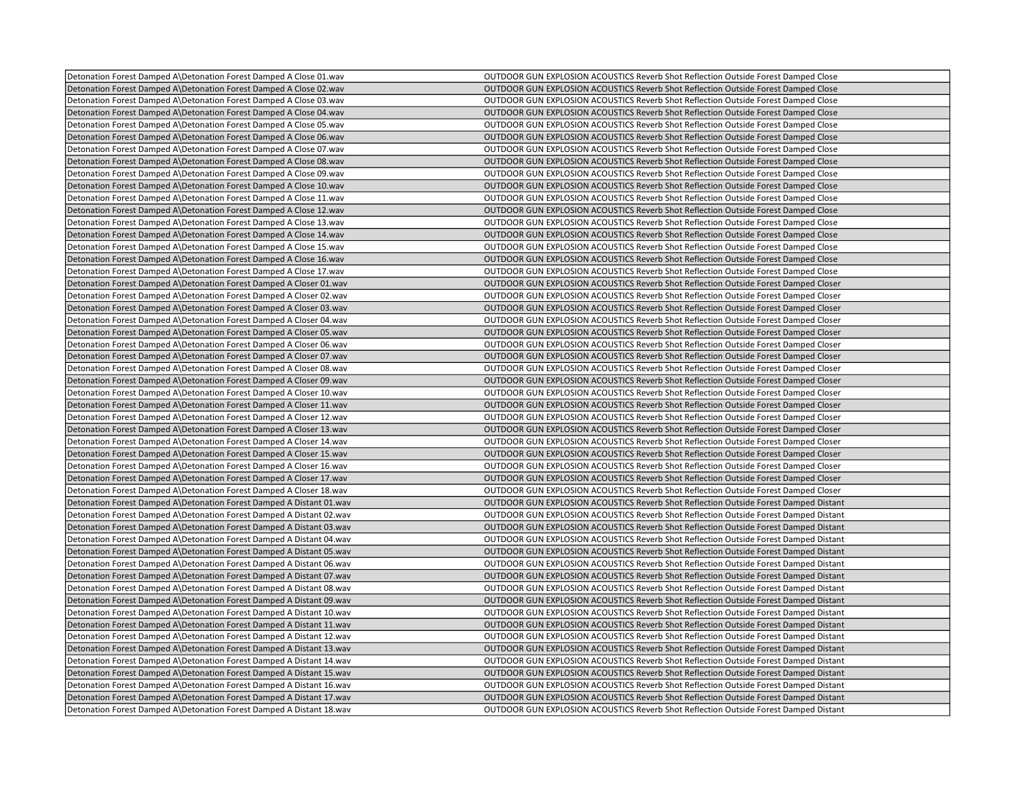| Detonation Forest Damped A\Detonation Forest Damped A Close 01.wav    | OUTDOOR GUN EXPLOSION ACOUSTICS Reverb Shot Reflection Outside Forest Damped Close        |
|-----------------------------------------------------------------------|-------------------------------------------------------------------------------------------|
| Detonation Forest Damped A\Detonation Forest Damped A Close 02.wav    | OUTDOOR GUN EXPLOSION ACOUSTICS Reverb Shot Reflection Outside Forest Damped Close        |
| Detonation Forest Damped A\Detonation Forest Damped A Close 03.wav    | OUTDOOR GUN EXPLOSION ACOUSTICS Reverb Shot Reflection Outside Forest Damped Close        |
| Detonation Forest Damped A\Detonation Forest Damped A Close 04.wav    | OUTDOOR GUN EXPLOSION ACOUSTICS Reverb Shot Reflection Outside Forest Damped Close        |
| Detonation Forest Damped A Detonation Forest Damped A Close 05. way   | <b>OUTDOOR GUN EXPLOSION ACOUSTICS Reverb Shot Reflection Outside Forest Damped Close</b> |
| Detonation Forest Damped A\Detonation Forest Damped A Close 06.wav    | OUTDOOR GUN EXPLOSION ACOUSTICS Reverb Shot Reflection Outside Forest Damped Close        |
| Detonation Forest Damped A\Detonation Forest Damped A Close 07.wav    | OUTDOOR GUN EXPLOSION ACOUSTICS Reverb Shot Reflection Outside Forest Damped Close        |
| Detonation Forest Damped A Detonation Forest Damped A Close 08.wav    | OUTDOOR GUN EXPLOSION ACOUSTICS Reverb Shot Reflection Outside Forest Damped Close        |
| Detonation Forest Damped A\Detonation Forest Damped A Close 09.wav    | OUTDOOR GUN EXPLOSION ACOUSTICS Reverb Shot Reflection Outside Forest Damped Close        |
| Detonation Forest Damped A\Detonation Forest Damped A Close 10.wav    | OUTDOOR GUN EXPLOSION ACOUSTICS Reverb Shot Reflection Outside Forest Damped Close        |
| Detonation Forest Damped A\Detonation Forest Damped A Close 11.wav    | OUTDOOR GUN EXPLOSION ACOUSTICS Reverb Shot Reflection Outside Forest Damped Close        |
| Detonation Forest Damped A\Detonation Forest Damped A Close 12.wav    | OUTDOOR GUN EXPLOSION ACOUSTICS Reverb Shot Reflection Outside Forest Damped Close        |
| Detonation Forest Damped A Detonation Forest Damped A Close 13. wav   | OUTDOOR GUN EXPLOSION ACOUSTICS Reverb Shot Reflection Outside Forest Damped Close        |
| Detonation Forest Damped A\Detonation Forest Damped A Close 14.wav    | OUTDOOR GUN EXPLOSION ACOUSTICS Reverb Shot Reflection Outside Forest Damped Close        |
| Detonation Forest Damped A Detonation Forest Damped A Close 15. wav   | <b>OUTDOOR GUN EXPLOSION ACOUSTICS Reverb Shot Reflection Outside Forest Damped Close</b> |
| Detonation Forest Damped A\Detonation Forest Damped A Close 16.wav    | OUTDOOR GUN EXPLOSION ACOUSTICS Reverb Shot Reflection Outside Forest Damped Close        |
| Detonation Forest Damped A\Detonation Forest Damped A Close 17.wav    | OUTDOOR GUN EXPLOSION ACOUSTICS Reverb Shot Reflection Outside Forest Damped Close        |
| Detonation Forest Damped A\Detonation Forest Damped A Closer 01.wav   | OUTDOOR GUN EXPLOSION ACOUSTICS Reverb Shot Reflection Outside Forest Damped Closer       |
| Detonation Forest Damped A\Detonation Forest Damped A Closer 02.wav   | OUTDOOR GUN EXPLOSION ACOUSTICS Reverb Shot Reflection Outside Forest Damped Closer       |
| Detonation Forest Damped A\Detonation Forest Damped A Closer 03.wav   | OUTDOOR GUN EXPLOSION ACOUSTICS Reverb Shot Reflection Outside Forest Damped Closer       |
| Detonation Forest Damped A\Detonation Forest Damped A Closer 04.wav   | OUTDOOR GUN EXPLOSION ACOUSTICS Reverb Shot Reflection Outside Forest Damped Closer       |
| Detonation Forest Damped A\Detonation Forest Damped A Closer 05.wav   | OUTDOOR GUN EXPLOSION ACOUSTICS Reverb Shot Reflection Outside Forest Damped Closer       |
| Detonation Forest Damped A\Detonation Forest Damped A Closer 06.wav   | OUTDOOR GUN EXPLOSION ACOUSTICS Reverb Shot Reflection Outside Forest Damped Closer       |
| Detonation Forest Damped A\Detonation Forest Damped A Closer 07.wav   | OUTDOOR GUN EXPLOSION ACOUSTICS Reverb Shot Reflection Outside Forest Damped Closer       |
| Detonation Forest Damped A\Detonation Forest Damped A Closer 08.wav   | OUTDOOR GUN EXPLOSION ACOUSTICS Reverb Shot Reflection Outside Forest Damped Closer       |
| Detonation Forest Damped A\Detonation Forest Damped A Closer 09.wav   | OUTDOOR GUN EXPLOSION ACOUSTICS Reverb Shot Reflection Outside Forest Damped Closer       |
| Detonation Forest Damped A\Detonation Forest Damped A Closer 10.wav   | OUTDOOR GUN EXPLOSION ACOUSTICS Reverb Shot Reflection Outside Forest Damped Closer       |
| Detonation Forest Damped A\Detonation Forest Damped A Closer 11. wav  | OUTDOOR GUN EXPLOSION ACOUSTICS Reverb Shot Reflection Outside Forest Damped Closer       |
| Detonation Forest Damped A Detonation Forest Damped A Closer 12. wav  | OUTDOOR GUN EXPLOSION ACOUSTICS Reverb Shot Reflection Outside Forest Damped Closer       |
| Detonation Forest Damped A\Detonation Forest Damped A Closer 13.wav   | OUTDOOR GUN EXPLOSION ACOUSTICS Reverb Shot Reflection Outside Forest Damped Closer       |
| Detonation Forest Damped A\Detonation Forest Damped A Closer 14.wav   | OUTDOOR GUN EXPLOSION ACOUSTICS Reverb Shot Reflection Outside Forest Damped Closer       |
| Detonation Forest Damped A Detonation Forest Damped A Closer 15. wav  | OUTDOOR GUN EXPLOSION ACOUSTICS Reverb Shot Reflection Outside Forest Damped Closer       |
| Detonation Forest Damped A\Detonation Forest Damped A Closer 16.wav   | OUTDOOR GUN EXPLOSION ACOUSTICS Reverb Shot Reflection Outside Forest Damped Closer       |
| Detonation Forest Damped A\Detonation Forest Damped A Closer 17.wav   | OUTDOOR GUN EXPLOSION ACOUSTICS Reverb Shot Reflection Outside Forest Damped Closer       |
| Detonation Forest Damped A\Detonation Forest Damped A Closer 18.wav   | OUTDOOR GUN EXPLOSION ACOUSTICS Reverb Shot Reflection Outside Forest Damped Closer       |
| Detonation Forest Damped A\Detonation Forest Damped A Distant 01.wav  | OUTDOOR GUN EXPLOSION ACOUSTICS Reverb Shot Reflection Outside Forest Damped Distant      |
| Detonation Forest Damped A\Detonation Forest Damped A Distant 02.wav  | OUTDOOR GUN EXPLOSION ACOUSTICS Reverb Shot Reflection Outside Forest Damped Distant      |
| Detonation Forest Damped A\Detonation Forest Damped A Distant 03.wav  | OUTDOOR GUN EXPLOSION ACOUSTICS Reverb Shot Reflection Outside Forest Damped Distant      |
| Detonation Forest Damped A\Detonation Forest Damped A Distant 04.wav  | OUTDOOR GUN EXPLOSION ACOUSTICS Reverb Shot Reflection Outside Forest Damped Distant      |
| Detonation Forest Damped A\Detonation Forest Damped A Distant 05.wav  | OUTDOOR GUN EXPLOSION ACOUSTICS Reverb Shot Reflection Outside Forest Damped Distant      |
| Detonation Forest Damped A\Detonation Forest Damped A Distant 06.wav  | OUTDOOR GUN EXPLOSION ACOUSTICS Reverb Shot Reflection Outside Forest Damped Distant      |
| Detonation Forest Damped A\Detonation Forest Damped A Distant 07.wav  | OUTDOOR GUN EXPLOSION ACOUSTICS Reverb Shot Reflection Outside Forest Damped Distant      |
| Detonation Forest Damped A\Detonation Forest Damped A Distant 08.wav  | OUTDOOR GUN EXPLOSION ACOUSTICS Reverb Shot Reflection Outside Forest Damped Distant      |
| Detonation Forest Damped A\Detonation Forest Damped A Distant 09.wav  | OUTDOOR GUN EXPLOSION ACOUSTICS Reverb Shot Reflection Outside Forest Damped Distant      |
| Detonation Forest Damped A\Detonation Forest Damped A Distant 10.wav  | OUTDOOR GUN EXPLOSION ACOUSTICS Reverb Shot Reflection Outside Forest Damped Distant      |
| Detonation Forest Damped A\Detonation Forest Damped A Distant 11.wav  | OUTDOOR GUN EXPLOSION ACOUSTICS Reverb Shot Reflection Outside Forest Damped Distant      |
| Detonation Forest Damped A\Detonation Forest Damped A Distant 12.wav  | OUTDOOR GUN EXPLOSION ACOUSTICS Reverb Shot Reflection Outside Forest Damped Distant      |
| Detonation Forest Damped A\Detonation Forest Damped A Distant 13.wav  | OUTDOOR GUN EXPLOSION ACOUSTICS Reverb Shot Reflection Outside Forest Damped Distant      |
| Detonation Forest Damped A Detonation Forest Damped A Distant 14. wav | OUTDOOR GUN EXPLOSION ACOUSTICS Reverb Shot Reflection Outside Forest Damped Distant      |
| Detonation Forest Damped A\Detonation Forest Damped A Distant 15.wav  | OUTDOOR GUN EXPLOSION ACOUSTICS Reverb Shot Reflection Outside Forest Damped Distant      |
| Detonation Forest Damped A\Detonation Forest Damped A Distant 16.wav  | OUTDOOR GUN EXPLOSION ACOUSTICS Reverb Shot Reflection Outside Forest Damped Distant      |
| Detonation Forest Damped A\Detonation Forest Damped A Distant 17.wav  | OUTDOOR GUN EXPLOSION ACOUSTICS Reverb Shot Reflection Outside Forest Damped Distant      |
| Detonation Forest Damped A\Detonation Forest Damped A Distant 18.wav  | OUTDOOR GUN EXPLOSION ACOUSTICS Reverb Shot Reflection Outside Forest Damped Distant      |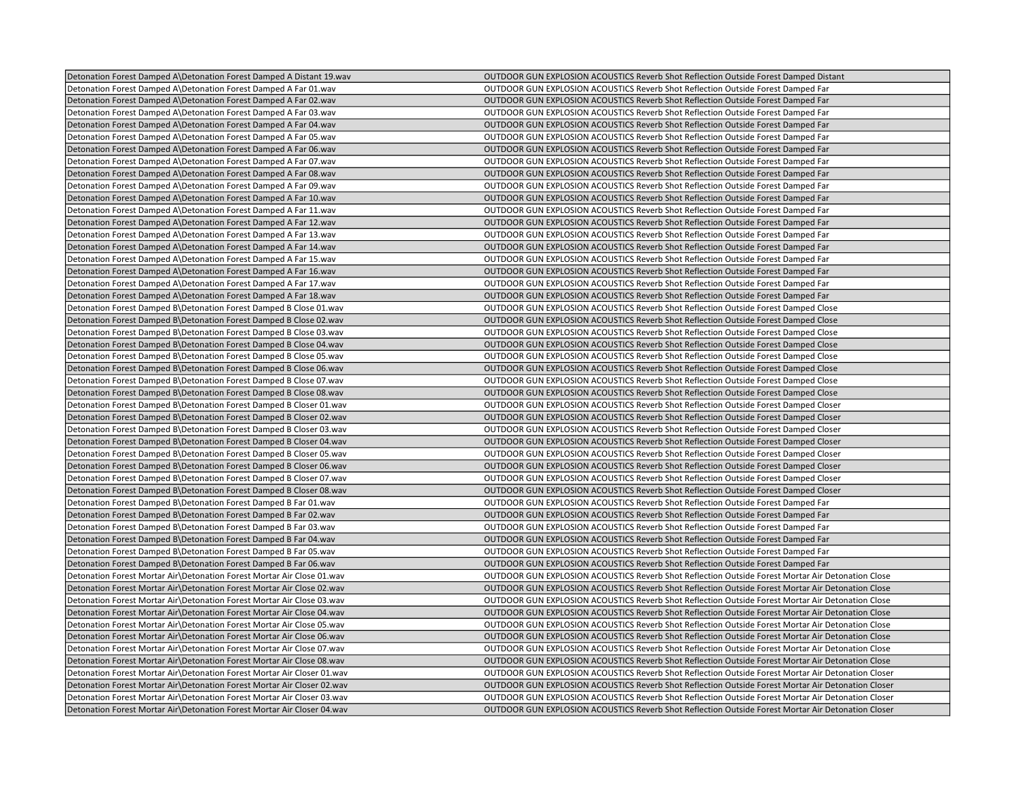| Detonation Forest Damped A\Detonation Forest Damped A Distant 19.wav    | OUTDOOR GUN EXPLOSION ACOUSTICS Reverb Shot Reflection Outside Forest Damped Distant               |
|-------------------------------------------------------------------------|----------------------------------------------------------------------------------------------------|
| Detonation Forest Damped A\Detonation Forest Damped A Far 01.wav        | OUTDOOR GUN EXPLOSION ACOUSTICS Reverb Shot Reflection Outside Forest Damped Far                   |
| Detonation Forest Damped A\Detonation Forest Damped A Far 02.wav        | OUTDOOR GUN EXPLOSION ACOUSTICS Reverb Shot Reflection Outside Forest Damped Far                   |
| Detonation Forest Damped A\Detonation Forest Damped A Far 03.wav        | OUTDOOR GUN EXPLOSION ACOUSTICS Reverb Shot Reflection Outside Forest Damped Far                   |
| Detonation Forest Damped A\Detonation Forest Damped A Far 04.wav        | OUTDOOR GUN EXPLOSION ACOUSTICS Reverb Shot Reflection Outside Forest Damped Far                   |
| Detonation Forest Damped A\Detonation Forest Damped A Far 05.wav        | OUTDOOR GUN EXPLOSION ACOUSTICS Reverb Shot Reflection Outside Forest Damped Far                   |
| Detonation Forest Damped A\Detonation Forest Damped A Far 06.wav        | OUTDOOR GUN EXPLOSION ACOUSTICS Reverb Shot Reflection Outside Forest Damped Far                   |
| Detonation Forest Damped A\Detonation Forest Damped A Far 07.wav        | OUTDOOR GUN EXPLOSION ACOUSTICS Reverb Shot Reflection Outside Forest Damped Far                   |
| Detonation Forest Damped A\Detonation Forest Damped A Far 08.wav        | OUTDOOR GUN EXPLOSION ACOUSTICS Reverb Shot Reflection Outside Forest Damped Far                   |
| Detonation Forest Damped A\Detonation Forest Damped A Far 09.wav        | OUTDOOR GUN EXPLOSION ACOUSTICS Reverb Shot Reflection Outside Forest Damped Far                   |
| Detonation Forest Damped A\Detonation Forest Damped A Far 10.wav        | OUTDOOR GUN EXPLOSION ACOUSTICS Reverb Shot Reflection Outside Forest Damped Far                   |
| Detonation Forest Damped A\Detonation Forest Damped A Far 11.wav        | OUTDOOR GUN EXPLOSION ACOUSTICS Reverb Shot Reflection Outside Forest Damped Far                   |
| Detonation Forest Damped A\Detonation Forest Damped A Far 12.wav        | OUTDOOR GUN EXPLOSION ACOUSTICS Reverb Shot Reflection Outside Forest Damped Far                   |
| Detonation Forest Damped A\Detonation Forest Damped A Far 13.wav        | OUTDOOR GUN EXPLOSION ACOUSTICS Reverb Shot Reflection Outside Forest Damped Far                   |
| Detonation Forest Damped A\Detonation Forest Damped A Far 14.wav        | OUTDOOR GUN EXPLOSION ACOUSTICS Reverb Shot Reflection Outside Forest Damped Far                   |
| Detonation Forest Damped A\Detonation Forest Damped A Far 15.wav        | OUTDOOR GUN EXPLOSION ACOUSTICS Reverb Shot Reflection Outside Forest Damped Far                   |
| Detonation Forest Damped A\Detonation Forest Damped A Far 16.wav        | OUTDOOR GUN EXPLOSION ACOUSTICS Reverb Shot Reflection Outside Forest Damped Far                   |
| Detonation Forest Damped A\Detonation Forest Damped A Far 17.wav        | OUTDOOR GUN EXPLOSION ACOUSTICS Reverb Shot Reflection Outside Forest Damped Far                   |
| Detonation Forest Damped A\Detonation Forest Damped A Far 18.wav        | OUTDOOR GUN EXPLOSION ACOUSTICS Reverb Shot Reflection Outside Forest Damped Far                   |
| Detonation Forest Damped B\Detonation Forest Damped B Close 01.wav      | OUTDOOR GUN EXPLOSION ACOUSTICS Reverb Shot Reflection Outside Forest Damped Close                 |
| Detonation Forest Damped B\Detonation Forest Damped B Close 02.wav      | OUTDOOR GUN EXPLOSION ACOUSTICS Reverb Shot Reflection Outside Forest Damped Close                 |
| Detonation Forest Damped B\Detonation Forest Damped B Close 03.wav      | OUTDOOR GUN EXPLOSION ACOUSTICS Reverb Shot Reflection Outside Forest Damped Close                 |
| Detonation Forest Damped B\Detonation Forest Damped B Close 04.wav      | <b>OUTDOOR GUN EXPLOSION ACOUSTICS Reverb Shot Reflection Outside Forest Damped Close</b>          |
| Detonation Forest Damped B\Detonation Forest Damped B Close 05.wav      | OUTDOOR GUN EXPLOSION ACOUSTICS Reverb Shot Reflection Outside Forest Damped Close                 |
| Detonation Forest Damped B\Detonation Forest Damped B Close 06.wav      | OUTDOOR GUN EXPLOSION ACOUSTICS Reverb Shot Reflection Outside Forest Damped Close                 |
| Detonation Forest Damped B\Detonation Forest Damped B Close 07.wav      | OUTDOOR GUN EXPLOSION ACOUSTICS Reverb Shot Reflection Outside Forest Damped Close                 |
| Detonation Forest Damped B Detonation Forest Damped B Close 08. wav     | <b>OUTDOOR GUN EXPLOSION ACOUSTICS Reverb Shot Reflection Outside Forest Damped Close</b>          |
| Detonation Forest Damped B\Detonation Forest Damped B Closer 01.wav     | OUTDOOR GUN EXPLOSION ACOUSTICS Reverb Shot Reflection Outside Forest Damped Closer                |
| Detonation Forest Damped B\Detonation Forest Damped B Closer 02.wav     | OUTDOOR GUN EXPLOSION ACOUSTICS Reverb Shot Reflection Outside Forest Damped Closer                |
| Detonation Forest Damped B\Detonation Forest Damped B Closer 03.wav     | OUTDOOR GUN EXPLOSION ACOUSTICS Reverb Shot Reflection Outside Forest Damped Closer                |
| Detonation Forest Damped B\Detonation Forest Damped B Closer 04.wav     | OUTDOOR GUN EXPLOSION ACOUSTICS Reverb Shot Reflection Outside Forest Damped Closer                |
| Detonation Forest Damped B\Detonation Forest Damped B Closer 05.wav     | OUTDOOR GUN EXPLOSION ACOUSTICS Reverb Shot Reflection Outside Forest Damped Closer                |
| Detonation Forest Damped B\Detonation Forest Damped B Closer 06.wav     | OUTDOOR GUN EXPLOSION ACOUSTICS Reverb Shot Reflection Outside Forest Damped Closer                |
| Detonation Forest Damped B\Detonation Forest Damped B Closer 07.wav     | OUTDOOR GUN EXPLOSION ACOUSTICS Reverb Shot Reflection Outside Forest Damped Closer                |
| Detonation Forest Damped B\Detonation Forest Damped B Closer 08.wav     | OUTDOOR GUN EXPLOSION ACOUSTICS Reverb Shot Reflection Outside Forest Damped Closer                |
| Detonation Forest Damped B\Detonation Forest Damped B Far 01.wav        | OUTDOOR GUN EXPLOSION ACOUSTICS Reverb Shot Reflection Outside Forest Damped Far                   |
| Detonation Forest Damped B\Detonation Forest Damped B Far 02.wav        | OUTDOOR GUN EXPLOSION ACOUSTICS Reverb Shot Reflection Outside Forest Damped Far                   |
| Detonation Forest Damped B\Detonation Forest Damped B Far 03.wav        | OUTDOOR GUN EXPLOSION ACOUSTICS Reverb Shot Reflection Outside Forest Damped Far                   |
| Detonation Forest Damped B\Detonation Forest Damped B Far 04.wav        | OUTDOOR GUN EXPLOSION ACOUSTICS Reverb Shot Reflection Outside Forest Damped Far                   |
| Detonation Forest Damped B\Detonation Forest Damped B Far 05.wav        | OUTDOOR GUN EXPLOSION ACOUSTICS Reverb Shot Reflection Outside Forest Damped Far                   |
| Detonation Forest Damped B\Detonation Forest Damped B Far 06.wav        | OUTDOOR GUN EXPLOSION ACOUSTICS Reverb Shot Reflection Outside Forest Damped Far                   |
| Detonation Forest Mortar Air Detonation Forest Mortar Air Close 01.wav  | OUTDOOR GUN EXPLOSION ACOUSTICS Reverb Shot Reflection Outside Forest Mortar Air Detonation Close  |
| Detonation Forest Mortar Air Detonation Forest Mortar Air Close 02. wav | OUTDOOR GUN EXPLOSION ACOUSTICS Reverb Shot Reflection Outside Forest Mortar Air Detonation Close  |
| Detonation Forest Mortar Air\Detonation Forest Mortar Air Close 03.wav  | OUTDOOR GUN EXPLOSION ACOUSTICS Reverb Shot Reflection Outside Forest Mortar Air Detonation Close  |
| Detonation Forest Mortar Air Detonation Forest Mortar Air Close 04. wav | OUTDOOR GUN EXPLOSION ACOUSTICS Reverb Shot Reflection Outside Forest Mortar Air Detonation Close  |
| Detonation Forest Mortar Air Detonation Forest Mortar Air Close 05. wav | OUTDOOR GUN EXPLOSION ACOUSTICS Reverb Shot Reflection Outside Forest Mortar Air Detonation Close  |
| Detonation Forest Mortar Air\Detonation Forest Mortar Air Close 06.wav  | OUTDOOR GUN EXPLOSION ACOUSTICS Reverb Shot Reflection Outside Forest Mortar Air Detonation Close  |
| Detonation Forest Mortar Air Detonation Forest Mortar Air Close 07. wav | OUTDOOR GUN EXPLOSION ACOUSTICS Reverb Shot Reflection Outside Forest Mortar Air Detonation Close  |
| Detonation Forest Mortar Air Detonation Forest Mortar Air Close 08.wav  | OUTDOOR GUN EXPLOSION ACOUSTICS Reverb Shot Reflection Outside Forest Mortar Air Detonation Close  |
| Detonation Forest Mortar Air Detonation Forest Mortar Air Closer 01.wav | OUTDOOR GUN EXPLOSION ACOUSTICS Reverb Shot Reflection Outside Forest Mortar Air Detonation Closer |
| Detonation Forest Mortar Air\Detonation Forest Mortar Air Closer 02.wav | OUTDOOR GUN EXPLOSION ACOUSTICS Reverb Shot Reflection Outside Forest Mortar Air Detonation Closer |
| Detonation Forest Mortar Air Detonation Forest Mortar Air Closer 03.wav | OUTDOOR GUN EXPLOSION ACOUSTICS Reverb Shot Reflection Outside Forest Mortar Air Detonation Closer |
| Detonation Forest Mortar Air\Detonation Forest Mortar Air Closer 04.wav | OUTDOOR GUN EXPLOSION ACOUSTICS Reverb Shot Reflection Outside Forest Mortar Air Detonation Closer |
|                                                                         |                                                                                                    |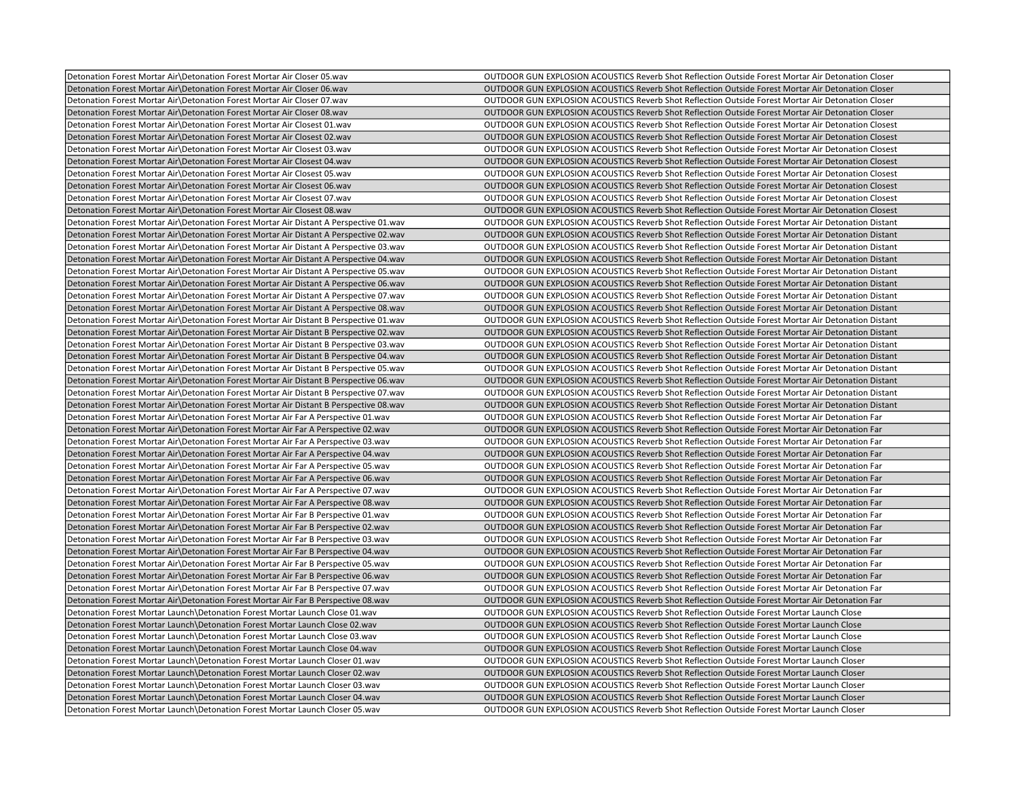| Detonation Forest Mortar Air\Detonation Forest Mortar Air Closer 05.wav                 | OUTDOOR GUN EXPLOSION ACOUSTICS Reverb Shot Reflection Outside Forest Mortar Air Detonation Closer  |
|-----------------------------------------------------------------------------------------|-----------------------------------------------------------------------------------------------------|
| Detonation Forest Mortar Air Detonation Forest Mortar Air Closer 06.wav                 | OUTDOOR GUN EXPLOSION ACOUSTICS Reverb Shot Reflection Outside Forest Mortar Air Detonation Closer  |
| Detonation Forest Mortar Air Detonation Forest Mortar Air Closer 07.wav                 | OUTDOOR GUN EXPLOSION ACOUSTICS Reverb Shot Reflection Outside Forest Mortar Air Detonation Closer  |
| Detonation Forest Mortar Air Detonation Forest Mortar Air Closer 08.wav                 | OUTDOOR GUN EXPLOSION ACOUSTICS Reverb Shot Reflection Outside Forest Mortar Air Detonation Closer  |
| Detonation Forest Mortar Air Detonation Forest Mortar Air Closest 01. wav               | OUTDOOR GUN EXPLOSION ACOUSTICS Reverb Shot Reflection Outside Forest Mortar Air Detonation Closest |
| Detonation Forest Mortar Air\Detonation Forest Mortar Air Closest 02.wav                | OUTDOOR GUN EXPLOSION ACOUSTICS Reverb Shot Reflection Outside Forest Mortar Air Detonation Closest |
| Detonation Forest Mortar Air\Detonation Forest Mortar Air Closest 03.wav                | OUTDOOR GUN EXPLOSION ACOUSTICS Reverb Shot Reflection Outside Forest Mortar Air Detonation Closest |
| Detonation Forest Mortar Air Detonation Forest Mortar Air Closest 04. wav               | OUTDOOR GUN EXPLOSION ACOUSTICS Reverb Shot Reflection Outside Forest Mortar Air Detonation Closest |
| Detonation Forest Mortar Air\Detonation Forest Mortar Air Closest 05.wav                | OUTDOOR GUN EXPLOSION ACOUSTICS Reverb Shot Reflection Outside Forest Mortar Air Detonation Closest |
| Detonation Forest Mortar Air Detonation Forest Mortar Air Closest 06.wav                | OUTDOOR GUN EXPLOSION ACOUSTICS Reverb Shot Reflection Outside Forest Mortar Air Detonation Closest |
| Detonation Forest Mortar Air Detonation Forest Mortar Air Closest 07. wav               | OUTDOOR GUN EXPLOSION ACOUSTICS Reverb Shot Reflection Outside Forest Mortar Air Detonation Closest |
| Detonation Forest Mortar Air\Detonation Forest Mortar Air Closest 08.wav                | OUTDOOR GUN EXPLOSION ACOUSTICS Reverb Shot Reflection Outside Forest Mortar Air Detonation Closest |
| Detonation Forest Mortar Air \Detonation Forest Mortar Air Distant A Perspective 01.wav | OUTDOOR GUN EXPLOSION ACOUSTICS Reverb Shot Reflection Outside Forest Mortar Air Detonation Distant |
| Detonation Forest Mortar Air\Detonation Forest Mortar Air Distant A Perspective 02.wav  | OUTDOOR GUN EXPLOSION ACOUSTICS Reverb Shot Reflection Outside Forest Mortar Air Detonation Distant |
| Detonation Forest Mortar Air\Detonation Forest Mortar Air Distant A Perspective 03.wav  | OUTDOOR GUN EXPLOSION ACOUSTICS Reverb Shot Reflection Outside Forest Mortar Air Detonation Distant |
| Detonation Forest Mortar Air\Detonation Forest Mortar Air Distant A Perspective 04.wav  | OUTDOOR GUN EXPLOSION ACOUSTICS Reverb Shot Reflection Outside Forest Mortar Air Detonation Distant |
| Detonation Forest Mortar Air\Detonation Forest Mortar Air Distant A Perspective 05.wav  | OUTDOOR GUN EXPLOSION ACOUSTICS Reverb Shot Reflection Outside Forest Mortar Air Detonation Distant |
| Detonation Forest Mortar Air\Detonation Forest Mortar Air Distant A Perspective 06.wav  | OUTDOOR GUN EXPLOSION ACOUSTICS Reverb Shot Reflection Outside Forest Mortar Air Detonation Distant |
| Detonation Forest Mortar Air\Detonation Forest Mortar Air Distant A Perspective 07.wav  | OUTDOOR GUN EXPLOSION ACOUSTICS Reverb Shot Reflection Outside Forest Mortar Air Detonation Distant |
| Detonation Forest Mortar Air\Detonation Forest Mortar Air Distant A Perspective 08.wav  | OUTDOOR GUN EXPLOSION ACOUSTICS Reverb Shot Reflection Outside Forest Mortar Air Detonation Distant |
| Detonation Forest Mortar Air Detonation Forest Mortar Air Distant B Perspective 01.wav  | OUTDOOR GUN EXPLOSION ACOUSTICS Reverb Shot Reflection Outside Forest Mortar Air Detonation Distant |
| Detonation Forest Mortar Air\Detonation Forest Mortar Air Distant B Perspective 02.wav  | OUTDOOR GUN EXPLOSION ACOUSTICS Reverb Shot Reflection Outside Forest Mortar Air Detonation Distant |
| Detonation Forest Mortar Air\Detonation Forest Mortar Air Distant B Perspective 03.wav  | OUTDOOR GUN EXPLOSION ACOUSTICS Reverb Shot Reflection Outside Forest Mortar Air Detonation Distant |
| Detonation Forest Mortar Air \Detonation Forest Mortar Air Distant B Perspective 04.wav | OUTDOOR GUN EXPLOSION ACOUSTICS Reverb Shot Reflection Outside Forest Mortar Air Detonation Distant |
| Detonation Forest Mortar Air\Detonation Forest Mortar Air Distant B Perspective 05.wav  | OUTDOOR GUN EXPLOSION ACOUSTICS Reverb Shot Reflection Outside Forest Mortar Air Detonation Distant |
| Detonation Forest Mortar Air Detonation Forest Mortar Air Distant B Perspective 06.wav  | OUTDOOR GUN EXPLOSION ACOUSTICS Reverb Shot Reflection Outside Forest Mortar Air Detonation Distant |
| Detonation Forest Mortar Air\Detonation Forest Mortar Air Distant B Perspective 07.wav  | OUTDOOR GUN EXPLOSION ACOUSTICS Reverb Shot Reflection Outside Forest Mortar Air Detonation Distant |
| Detonation Forest Mortar Air\Detonation Forest Mortar Air Distant B Perspective 08.wav  | OUTDOOR GUN EXPLOSION ACOUSTICS Reverb Shot Reflection Outside Forest Mortar Air Detonation Distant |
| Detonation Forest Mortar Air Detonation Forest Mortar Air Far A Perspective 01.wav      | OUTDOOR GUN EXPLOSION ACOUSTICS Reverb Shot Reflection Outside Forest Mortar Air Detonation Far     |
| Detonation Forest Mortar Air\Detonation Forest Mortar Air Far A Perspective 02.wav      | OUTDOOR GUN EXPLOSION ACOUSTICS Reverb Shot Reflection Outside Forest Mortar Air Detonation Far     |
| Detonation Forest Mortar Air Detonation Forest Mortar Air Far A Perspective 03.wav      | OUTDOOR GUN EXPLOSION ACOUSTICS Reverb Shot Reflection Outside Forest Mortar Air Detonation Far     |
| Detonation Forest Mortar Air Detonation Forest Mortar Air Far A Perspective 04.wav      | OUTDOOR GUN EXPLOSION ACOUSTICS Reverb Shot Reflection Outside Forest Mortar Air Detonation Far     |
| Detonation Forest Mortar Air Detonation Forest Mortar Air Far A Perspective 05.wav      | OUTDOOR GUN EXPLOSION ACOUSTICS Reverb Shot Reflection Outside Forest Mortar Air Detonation Far     |
| Detonation Forest Mortar Air\Detonation Forest Mortar Air Far A Perspective 06.wav      | OUTDOOR GUN EXPLOSION ACOUSTICS Reverb Shot Reflection Outside Forest Mortar Air Detonation Far     |
| Detonation Forest Mortar Air Detonation Forest Mortar Air Far A Perspective 07. wav     | OUTDOOR GUN EXPLOSION ACOUSTICS Reverb Shot Reflection Outside Forest Mortar Air Detonation Far     |
|                                                                                         |                                                                                                     |
| Detonation Forest Mortar Air Detonation Forest Mortar Air Far A Perspective 08.wav      | OUTDOOR GUN EXPLOSION ACOUSTICS Reverb Shot Reflection Outside Forest Mortar Air Detonation Far     |
| Detonation Forest Mortar Air Detonation Forest Mortar Air Far B Perspective 01.wav      | OUTDOOR GUN EXPLOSION ACOUSTICS Reverb Shot Reflection Outside Forest Mortar Air Detonation Far     |
| Detonation Forest Mortar Air Detonation Forest Mortar Air Far B Perspective 02.wav      | OUTDOOR GUN EXPLOSION ACOUSTICS Reverb Shot Reflection Outside Forest Mortar Air Detonation Far     |
| Detonation Forest Mortar Air Detonation Forest Mortar Air Far B Perspective 03.wav      | OUTDOOR GUN EXPLOSION ACOUSTICS Reverb Shot Reflection Outside Forest Mortar Air Detonation Far     |
| Detonation Forest Mortar Air\Detonation Forest Mortar Air Far B Perspective 04.wav      | OUTDOOR GUN EXPLOSION ACOUSTICS Reverb Shot Reflection Outside Forest Mortar Air Detonation Far     |
| Detonation Forest Mortar Air\Detonation Forest Mortar Air Far B Perspective 05.wav      | OUTDOOR GUN EXPLOSION ACOUSTICS Reverb Shot Reflection Outside Forest Mortar Air Detonation Far     |
| Detonation Forest Mortar Air Detonation Forest Mortar Air Far B Perspective 06.wav      | OUTDOOR GUN EXPLOSION ACOUSTICS Reverb Shot Reflection Outside Forest Mortar Air Detonation Far     |
| Detonation Forest Mortar Air\Detonation Forest Mortar Air Far B Perspective 07.wav      | OUTDOOR GUN EXPLOSION ACOUSTICS Reverb Shot Reflection Outside Forest Mortar Air Detonation Far     |
| Detonation Forest Mortar Air Detonation Forest Mortar Air Far B Perspective 08.wav      | OUTDOOR GUN EXPLOSION ACOUSTICS Reverb Shot Reflection Outside Forest Mortar Air Detonation Far     |
| Detonation Forest Mortar Launch\Detonation Forest Mortar Launch Close 01.wav            | OUTDOOR GUN EXPLOSION ACOUSTICS Reverb Shot Reflection Outside Forest Mortar Launch Close           |
| Detonation Forest Mortar Launch\Detonation Forest Mortar Launch Close 02.wav            | OUTDOOR GUN EXPLOSION ACOUSTICS Reverb Shot Reflection Outside Forest Mortar Launch Close           |
| Detonation Forest Mortar Launch\Detonation Forest Mortar Launch Close 03.wav            | OUTDOOR GUN EXPLOSION ACOUSTICS Reverb Shot Reflection Outside Forest Mortar Launch Close           |
| Detonation Forest Mortar Launch\Detonation Forest Mortar Launch Close 04.wav            | OUTDOOR GUN EXPLOSION ACOUSTICS Reverb Shot Reflection Outside Forest Mortar Launch Close           |
| Detonation Forest Mortar Launch\Detonation Forest Mortar Launch Closer 01.wav           | OUTDOOR GUN EXPLOSION ACOUSTICS Reverb Shot Reflection Outside Forest Mortar Launch Closer          |
| Detonation Forest Mortar Launch\Detonation Forest Mortar Launch Closer 02.wav           | OUTDOOR GUN EXPLOSION ACOUSTICS Reverb Shot Reflection Outside Forest Mortar Launch Closer          |
| Detonation Forest Mortar Launch\Detonation Forest Mortar Launch Closer 03.wav           | OUTDOOR GUN EXPLOSION ACOUSTICS Reverb Shot Reflection Outside Forest Mortar Launch Closer          |
| Detonation Forest Mortar Launch\Detonation Forest Mortar Launch Closer 04.wav           | OUTDOOR GUN EXPLOSION ACOUSTICS Reverb Shot Reflection Outside Forest Mortar Launch Closer          |
| Detonation Forest Mortar Launch\Detonation Forest Mortar Launch Closer 05.wav           | OUTDOOR GUN EXPLOSION ACOUSTICS Reverb Shot Reflection Outside Forest Mortar Launch Closer          |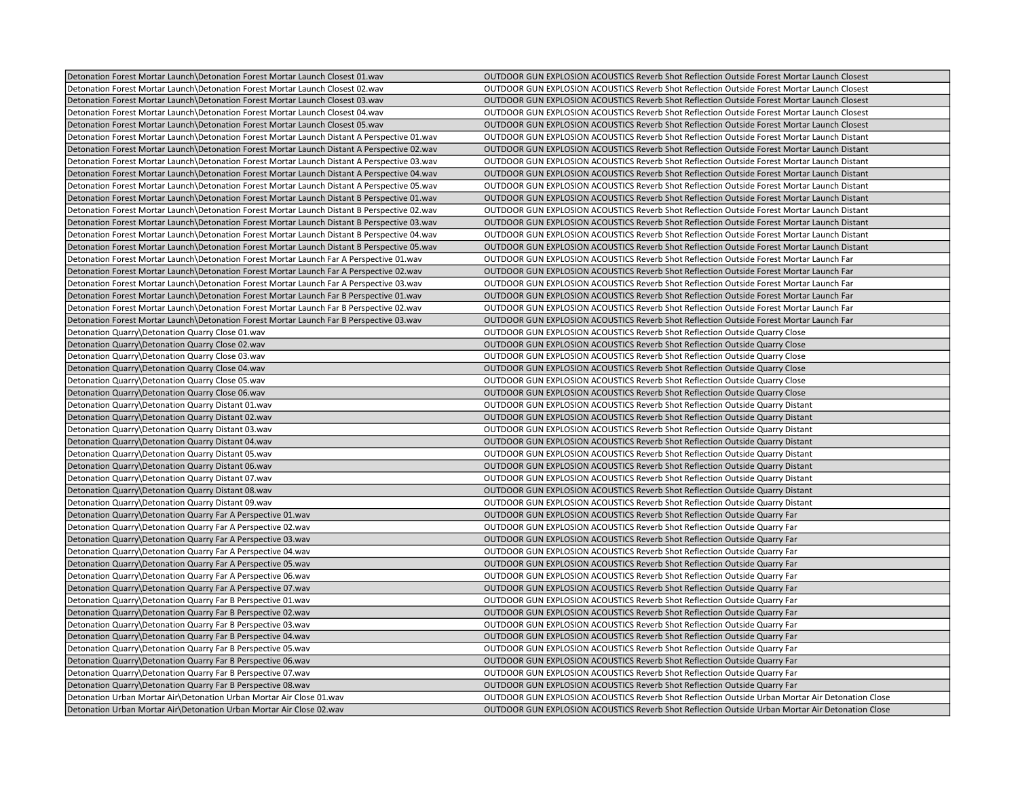| Detonation Forest Mortar Launch\Detonation Forest Mortar Launch Closest 01.wav                | OUTDOOR GUN EXPLOSION ACOUSTICS Reverb Shot Reflection Outside Forest Mortar Launch Closest      |
|-----------------------------------------------------------------------------------------------|--------------------------------------------------------------------------------------------------|
| Detonation Forest Mortar Launch \Detonation Forest Mortar Launch Closest 02.wav               | OUTDOOR GUN EXPLOSION ACOUSTICS Reverb Shot Reflection Outside Forest Mortar Launch Closest      |
| Detonation Forest Mortar Launch\Detonation Forest Mortar Launch Closest 03.wav                | OUTDOOR GUN EXPLOSION ACOUSTICS Reverb Shot Reflection Outside Forest Mortar Launch Closest      |
| Detonation Forest Mortar Launch\Detonation Forest Mortar Launch Closest 04.wav                | OUTDOOR GUN EXPLOSION ACOUSTICS Reverb Shot Reflection Outside Forest Mortar Launch Closest      |
| Detonation Forest Mortar Launch\Detonation Forest Mortar Launch Closest 05.wav                | OUTDOOR GUN EXPLOSION ACOUSTICS Reverb Shot Reflection Outside Forest Mortar Launch Closest      |
| Detonation Forest Mortar Launch Detonation Forest Mortar Launch Distant A Perspective 01. wav | OUTDOOR GUN EXPLOSION ACOUSTICS Reverb Shot Reflection Outside Forest Mortar Launch Distant      |
| Detonation Forest Mortar Launch\Detonation Forest Mortar Launch Distant A Perspective 02.wav  | OUTDOOR GUN EXPLOSION ACOUSTICS Reverb Shot Reflection Outside Forest Mortar Launch Distant      |
| Detonation Forest Mortar Launch\Detonation Forest Mortar Launch Distant A Perspective 03.wav  | OUTDOOR GUN EXPLOSION ACOUSTICS Reverb Shot Reflection Outside Forest Mortar Launch Distant      |
| Detonation Forest Mortar Launch Detonation Forest Mortar Launch Distant A Perspective 04.wav  | OUTDOOR GUN EXPLOSION ACOUSTICS Reverb Shot Reflection Outside Forest Mortar Launch Distant      |
| Detonation Forest Mortar Launch Detonation Forest Mortar Launch Distant A Perspective 05. wav | OUTDOOR GUN EXPLOSION ACOUSTICS Reverb Shot Reflection Outside Forest Mortar Launch Distant      |
| Detonation Forest Mortar Launch\Detonation Forest Mortar Launch Distant B Perspective 01.wav  | OUTDOOR GUN EXPLOSION ACOUSTICS Reverb Shot Reflection Outside Forest Mortar Launch Distant      |
| Detonation Forest Mortar Launch\Detonation Forest Mortar Launch Distant B Perspective 02.wav  | OUTDOOR GUN EXPLOSION ACOUSTICS Reverb Shot Reflection Outside Forest Mortar Launch Distant      |
| Detonation Forest Mortar Launch Detonation Forest Mortar Launch Distant B Perspective 03. wav | OUTDOOR GUN EXPLOSION ACOUSTICS Reverb Shot Reflection Outside Forest Mortar Launch Distant      |
| Detonation Forest Mortar Launch\Detonation Forest Mortar Launch Distant B Perspective 04.wav  | OUTDOOR GUN EXPLOSION ACOUSTICS Reverb Shot Reflection Outside Forest Mortar Launch Distant      |
| Detonation Forest Mortar Launch Detonation Forest Mortar Launch Distant B Perspective 05. wav | OUTDOOR GUN EXPLOSION ACOUSTICS Reverb Shot Reflection Outside Forest Mortar Launch Distant      |
| Detonation Forest Mortar Launch Detonation Forest Mortar Launch Far A Perspective 01.wav      | OUTDOOR GUN EXPLOSION ACOUSTICS Reverb Shot Reflection Outside Forest Mortar Launch Far          |
| Detonation Forest Mortar Launch Detonation Forest Mortar Launch Far A Perspective 02.wav      | OUTDOOR GUN EXPLOSION ACOUSTICS Reverb Shot Reflection Outside Forest Mortar Launch Far          |
| Detonation Forest Mortar Launch Detonation Forest Mortar Launch Far A Perspective 03 wav      | OUTDOOR GUN EXPLOSION ACOUSTICS Reverb Shot Reflection Outside Forest Mortar Launch Far          |
| Detonation Forest Mortar Launch\Detonation Forest Mortar Launch Far B Perspective 01.wav      | OUTDOOR GUN EXPLOSION ACOUSTICS Reverb Shot Reflection Outside Forest Mortar Launch Far          |
| Detonation Forest Mortar Launch\Detonation Forest Mortar Launch Far B Perspective 02.wav      | OUTDOOR GUN EXPLOSION ACOUSTICS Reverb Shot Reflection Outside Forest Mortar Launch Far          |
| Detonation Forest Mortar Launch \Detonation Forest Mortar Launch Far B Perspective 03.wav     | OUTDOOR GUN EXPLOSION ACOUSTICS Reverb Shot Reflection Outside Forest Mortar Launch Far          |
| Detonation Quarry\Detonation Quarry Close 01.wav                                              | OUTDOOR GUN EXPLOSION ACOUSTICS Reverb Shot Reflection Outside Quarry Close                      |
| Detonation Quarry\Detonation Quarry Close 02.wav                                              | <b>OUTDOOR GUN EXPLOSION ACOUSTICS Reverb Shot Reflection Outside Quarry Close</b>               |
| Detonation Quarry\Detonation Quarry Close 03.wav                                              | <b>OUTDOOR GUN EXPLOSION ACOUSTICS Reverb Shot Reflection Outside Quarry Close</b>               |
| Detonation Quarry\Detonation Quarry Close 04.wav                                              | <b>OUTDOOR GUN EXPLOSION ACOUSTICS Reverb Shot Reflection Outside Quarry Close</b>               |
| Detonation Quarry\Detonation Quarry Close 05.wav                                              | OUTDOOR GUN EXPLOSION ACOUSTICS Reverb Shot Reflection Outside Quarry Close                      |
| Detonation Quarry\Detonation Quarry Close 06.wav                                              | OUTDOOR GUN EXPLOSION ACOUSTICS Reverb Shot Reflection Outside Quarry Close                      |
| Detonation Quarry\Detonation Quarry Distant 01.wav                                            | <b>OUTDOOR GUN EXPLOSION ACOUSTICS Reverb Shot Reflection Outside Quarry Distant</b>             |
| Detonation Quarry\Detonation Quarry Distant 02.wav                                            | <b>OUTDOOR GUN EXPLOSION ACOUSTICS Reverb Shot Reflection Outside Quarry Distant</b>             |
| Detonation Quarry\Detonation Quarry Distant 03.wav                                            | OUTDOOR GUN EXPLOSION ACOUSTICS Reverb Shot Reflection Outside Quarry Distant                    |
| Detonation Quarry\Detonation Quarry Distant 04.wav                                            | OUTDOOR GUN EXPLOSION ACOUSTICS Reverb Shot Reflection Outside Quarry Distant                    |
| Detonation Quarry\Detonation Quarry Distant 05.wav                                            | <b>OUTDOOR GUN EXPLOSION ACOUSTICS Reverb Shot Reflection Outside Quarry Distant</b>             |
| Detonation Quarry\Detonation Quarry Distant 06.wav                                            | OUTDOOR GUN EXPLOSION ACOUSTICS Reverb Shot Reflection Outside Quarry Distant                    |
| Detonation Quarry\Detonation Quarry Distant 07.wav                                            | OUTDOOR GUN EXPLOSION ACOUSTICS Reverb Shot Reflection Outside Quarry Distant                    |
| Detonation Quarry\Detonation Quarry Distant 08.wav                                            | OUTDOOR GUN EXPLOSION ACOUSTICS Reverb Shot Reflection Outside Quarry Distant                    |
| Detonation Quarry\Detonation Quarry Distant 09.wav                                            | <b>OUTDOOR GUN EXPLOSION ACOUSTICS Reverb Shot Reflection Outside Quarry Distant</b>             |
| Detonation Quarry\Detonation Quarry Far A Perspective 01.wav                                  | <b>OUTDOOR GUN EXPLOSION ACOUSTICS Reverb Shot Reflection Outside Quarry Far</b>                 |
| Detonation Quarry\Detonation Quarry Far A Perspective 02.wav                                  | OUTDOOR GUN EXPLOSION ACOUSTICS Reverb Shot Reflection Outside Quarry Far                        |
| Detonation Quarry\Detonation Quarry Far A Perspective 03.wav                                  | <b>OUTDOOR GUN EXPLOSION ACOUSTICS Reverb Shot Reflection Outside Quarry Far</b>                 |
| Detonation Quarry\Detonation Quarry Far A Perspective 04.wav                                  | <b>OUTDOOR GUN EXPLOSION ACOUSTICS Reverb Shot Reflection Outside Quarry Far</b>                 |
| Detonation Quarry\Detonation Quarry Far A Perspective 05.wav                                  | <b>OUTDOOR GUN EXPLOSION ACOUSTICS Reverb Shot Reflection Outside Quarry Far</b>                 |
| Detonation Quarry\Detonation Quarry Far A Perspective 06.wav                                  | <b>OUTDOOR GUN EXPLOSION ACOUSTICS Reverb Shot Reflection Outside Quarry Far</b>                 |
| Detonation Quarry\Detonation Quarry Far A Perspective 07.wav                                  | <b>OUTDOOR GUN EXPLOSION ACOUSTICS Reverb Shot Reflection Outside Quarry Far</b>                 |
| Detonation Quarry\Detonation Quarry Far B Perspective 01.wav                                  | <b>OUTDOOR GUN EXPLOSION ACOUSTICS Reverb Shot Reflection Outside Quarry Far</b>                 |
| Detonation Quarry\Detonation Quarry Far B Perspective 02.wav                                  | OUTDOOR GUN EXPLOSION ACOUSTICS Reverb Shot Reflection Outside Quarry Far                        |
| Detonation Quarry\Detonation Quarry Far B Perspective 03.wav                                  | <b>OUTDOOR GUN EXPLOSION ACOUSTICS Reverb Shot Reflection Outside Quarry Far</b>                 |
| Detonation Quarry\Detonation Quarry Far B Perspective 04.wav                                  | OUTDOOR GUN EXPLOSION ACOUSTICS Reverb Shot Reflection Outside Quarry Far                        |
| Detonation Quarry\Detonation Quarry Far B Perspective 05 wav                                  | OUTDOOR GUN EXPLOSION ACOUSTICS Reverb Shot Reflection Outside Quarry Far                        |
| Detonation Quarry\Detonation Quarry Far B Perspective 06.wav                                  | OUTDOOR GUN EXPLOSION ACOUSTICS Reverb Shot Reflection Outside Quarry Far                        |
| Detonation Quarry\Detonation Quarry Far B Perspective 07.wav                                  | OUTDOOR GUN EXPLOSION ACOUSTICS Reverb Shot Reflection Outside Quarry Far                        |
| Detonation Quarry\Detonation Quarry Far B Perspective 08.wav                                  | <b>OUTDOOR GUN EXPLOSION ACOUSTICS Reverb Shot Reflection Outside Quarry Far</b>                 |
| Detonation Urban Mortar Air Detonation Urban Mortar Air Close 01.wav                          | OUTDOOR GUN EXPLOSION ACOUSTICS Reverb Shot Reflection Outside Urban Mortar Air Detonation Close |
| Detonation Urban Mortar Air\Detonation Urban Mortar Air Close 02.wav                          | OUTDOOR GUN EXPLOSION ACOUSTICS Reverb Shot Reflection Outside Urban Mortar Air Detonation Close |
|                                                                                               |                                                                                                  |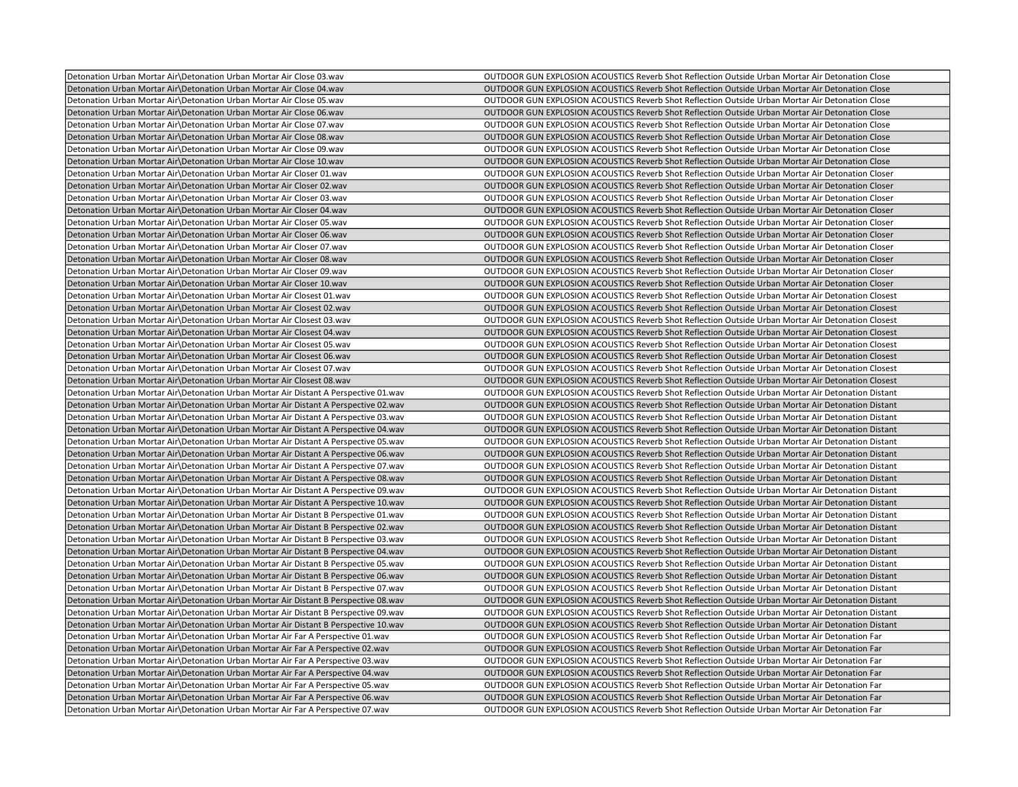| Detonation Urban Mortar Air\Detonation Urban Mortar Air Close 03.wav                  | OUTDOOR GUN EXPLOSION ACOUSTICS Reverb Shot Reflection Outside Urban Mortar Air Detonation Close   |
|---------------------------------------------------------------------------------------|----------------------------------------------------------------------------------------------------|
| Detonation Urban Mortar Air\Detonation Urban Mortar Air Close 04.wav                  | OUTDOOR GUN EXPLOSION ACOUSTICS Reverb Shot Reflection Outside Urban Mortar Air Detonation Close   |
| Detonation Urban Mortar Air Detonation Urban Mortar Air Close 05. wav                 | OUTDOOR GUN EXPLOSION ACOUSTICS Reverb Shot Reflection Outside Urban Mortar Air Detonation Close   |
| Detonation Urban Mortar Air Detonation Urban Mortar Air Close 06.wav                  | OUTDOOR GUN EXPLOSION ACOUSTICS Reverb Shot Reflection Outside Urban Mortar Air Detonation Close   |
| Detonation Urban Mortar Air Detonation Urban Mortar Air Close 07.wav                  | OUTDOOR GUN EXPLOSION ACOUSTICS Reverb Shot Reflection Outside Urban Mortar Air Detonation Close   |
| Detonation Urban Mortar Air Detonation Urban Mortar Air Close 08. wav                 | OUTDOOR GUN EXPLOSION ACOUSTICS Reverb Shot Reflection Outside Urban Mortar Air Detonation Close   |
| Detonation Urban Mortar Air Detonation Urban Mortar Air Close 09.wav                  | OUTDOOR GUN EXPLOSION ACOUSTICS Reverb Shot Reflection Outside Urban Mortar Air Detonation Close   |
| Detonation Urban Mortar Air Detonation Urban Mortar Air Close 10. wav                 | OUTDOOR GUN EXPLOSION ACOUSTICS Reverb Shot Reflection Outside Urban Mortar Air Detonation Close   |
| Detonation Urban Mortar Air Detonation Urban Mortar Air Closer 01.wav                 | OUTDOOR GUN EXPLOSION ACOUSTICS Reverb Shot Reflection Outside Urban Mortar Air Detonation Closer  |
| Detonation Urban Mortar Air Detonation Urban Mortar Air Closer 02.wav                 | OUTDOOR GUN EXPLOSION ACOUSTICS Reverb Shot Reflection Outside Urban Mortar Air Detonation Closer  |
| Detonation Urban Mortar Air Detonation Urban Mortar Air Closer 03.wav                 | OUTDOOR GUN EXPLOSION ACOUSTICS Reverb Shot Reflection Outside Urban Mortar Air Detonation Closer  |
| Detonation Urban Mortar Air Detonation Urban Mortar Air Closer 04.wav                 | OUTDOOR GUN EXPLOSION ACOUSTICS Reverb Shot Reflection Outside Urban Mortar Air Detonation Closer  |
| Detonation Urban Mortar Air Detonation Urban Mortar Air Closer 05. wav                | OUTDOOR GUN EXPLOSION ACOUSTICS Reverb Shot Reflection Outside Urban Mortar Air Detonation Closer  |
| Detonation Urban Mortar Air Detonation Urban Mortar Air Closer 06.wav                 | OUTDOOR GUN EXPLOSION ACOUSTICS Reverb Shot Reflection Outside Urban Mortar Air Detonation Closer  |
| Detonation Urban Mortar Air Detonation Urban Mortar Air Closer 07. wav                | OUTDOOR GUN EXPLOSION ACOUSTICS Reverb Shot Reflection Outside Urban Mortar Air Detonation Closer  |
| Detonation Urban Mortar Air Detonation Urban Mortar Air Closer 08.wav                 | OUTDOOR GUN EXPLOSION ACOUSTICS Reverb Shot Reflection Outside Urban Mortar Air Detonation Closer  |
| Detonation Urban Mortar Air Detonation Urban Mortar Air Closer 09.wav                 | OUTDOOR GUN EXPLOSION ACOUSTICS Reverb Shot Reflection Outside Urban Mortar Air Detonation Closer  |
| Detonation Urban Mortar Air Detonation Urban Mortar Air Closer 10. way                | OUTDOOR GUN EXPLOSION ACOUSTICS Reverb Shot Reflection Outside Urban Mortar Air Detonation Closer  |
| Detonation Urban Mortar Air\Detonation Urban Mortar Air Closest 01.wav                | OUTDOOR GUN EXPLOSION ACOUSTICS Reverb Shot Reflection Outside Urban Mortar Air Detonation Closest |
| Detonation Urban Mortar Air\Detonation Urban Mortar Air Closest 02.wav                | OUTDOOR GUN EXPLOSION ACOUSTICS Reverb Shot Reflection Outside Urban Mortar Air Detonation Closest |
| Detonation Urban Mortar Air Detonation Urban Mortar Air Closest 03.wav                | OUTDOOR GUN EXPLOSION ACOUSTICS Reverb Shot Reflection Outside Urban Mortar Air Detonation Closest |
| Detonation Urban Mortar Air Detonation Urban Mortar Air Closest 04.wav                | OUTDOOR GUN EXPLOSION ACOUSTICS Reverb Shot Reflection Outside Urban Mortar Air Detonation Closest |
| Detonation Urban Mortar Air\Detonation Urban Mortar Air Closest 05.wav                | OUTDOOR GUN EXPLOSION ACOUSTICS Reverb Shot Reflection Outside Urban Mortar Air Detonation Closest |
| Detonation Urban Mortar Air\Detonation Urban Mortar Air Closest 06.wav                | OUTDOOR GUN EXPLOSION ACOUSTICS Reverb Shot Reflection Outside Urban Mortar Air Detonation Closest |
| Detonation Urban Mortar Air\Detonation Urban Mortar Air Closest 07.wav                | OUTDOOR GUN EXPLOSION ACOUSTICS Reverb Shot Reflection Outside Urban Mortar Air Detonation Closest |
| Detonation Urban Mortar Air\Detonation Urban Mortar Air Closest 08.wav                | OUTDOOR GUN EXPLOSION ACOUSTICS Reverb Shot Reflection Outside Urban Mortar Air Detonation Closest |
| Detonation Urban Mortar Air Detonation Urban Mortar Air Distant A Perspective 01.wav  | OUTDOOR GUN EXPLOSION ACOUSTICS Reverb Shot Reflection Outside Urban Mortar Air Detonation Distant |
| Detonation Urban Mortar Air Detonation Urban Mortar Air Distant A Perspective 02. wav | OUTDOOR GUN EXPLOSION ACOUSTICS Reverb Shot Reflection Outside Urban Mortar Air Detonation Distant |
| Detonation Urban Mortar Air Detonation Urban Mortar Air Distant A Perspective 03.wav  | OUTDOOR GUN EXPLOSION ACOUSTICS Reverb Shot Reflection Outside Urban Mortar Air Detonation Distant |
| Detonation Urban Mortar Air Detonation Urban Mortar Air Distant A Perspective 04.wav  | OUTDOOR GUN EXPLOSION ACOUSTICS Reverb Shot Reflection Outside Urban Mortar Air Detonation Distant |
| Detonation Urban Mortar Air Detonation Urban Mortar Air Distant A Perspective 05.wav  | OUTDOOR GUN EXPLOSION ACOUSTICS Reverb Shot Reflection Outside Urban Mortar Air Detonation Distant |
| Detonation Urban Mortar Air\Detonation Urban Mortar Air Distant A Perspective 06.wav  | OUTDOOR GUN EXPLOSION ACOUSTICS Reverb Shot Reflection Outside Urban Mortar Air Detonation Distant |
| Detonation Urban Mortar Air Detonation Urban Mortar Air Distant A Perspective 07.wav  | OUTDOOR GUN EXPLOSION ACOUSTICS Reverb Shot Reflection Outside Urban Mortar Air Detonation Distant |
| Detonation Urban Mortar Air\Detonation Urban Mortar Air Distant A Perspective 08.wav  | OUTDOOR GUN EXPLOSION ACOUSTICS Reverb Shot Reflection Outside Urban Mortar Air Detonation Distant |
| Detonation Urban Mortar Air Detonation Urban Mortar Air Distant A Perspective 09 wav  | OUTDOOR GUN EXPLOSION ACOUSTICS Reverb Shot Reflection Outside Urban Mortar Air Detonation Distant |
| Detonation Urban Mortar Air Detonation Urban Mortar Air Distant A Perspective 10.wav  | OUTDOOR GUN EXPLOSION ACOUSTICS Reverb Shot Reflection Outside Urban Mortar Air Detonation Distant |
| Detonation Urban Mortar Air\Detonation Urban Mortar Air Distant B Perspective 01.wav  | OUTDOOR GUN EXPLOSION ACOUSTICS Reverb Shot Reflection Outside Urban Mortar Air Detonation Distant |
| Detonation Urban Mortar Air Detonation Urban Mortar Air Distant B Perspective 02.wav  | OUTDOOR GUN EXPLOSION ACOUSTICS Reverb Shot Reflection Outside Urban Mortar Air Detonation Distant |
| Detonation Urban Mortar Air Detonation Urban Mortar Air Distant B Perspective 03.wav  | OUTDOOR GUN EXPLOSION ACOUSTICS Reverb Shot Reflection Outside Urban Mortar Air Detonation Distant |
| Detonation Urban Mortar Air Detonation Urban Mortar Air Distant B Perspective 04.wav  | OUTDOOR GUN EXPLOSION ACOUSTICS Reverb Shot Reflection Outside Urban Mortar Air Detonation Distant |
| Detonation Urban Mortar Air Detonation Urban Mortar Air Distant B Perspective 05 wav  | OUTDOOR GUN EXPLOSION ACOUSTICS Reverb Shot Reflection Outside Urban Mortar Air Detonation Distant |
| Detonation Urban Mortar Air\Detonation Urban Mortar Air Distant B Perspective 06.wav  | OUTDOOR GUN EXPLOSION ACOUSTICS Reverb Shot Reflection Outside Urban Mortar Air Detonation Distant |
| Detonation Urban Mortar Air Detonation Urban Mortar Air Distant B Perspective 07.wav  | OUTDOOR GUN EXPLOSION ACOUSTICS Reverb Shot Reflection Outside Urban Mortar Air Detonation Distant |
| Detonation Urban Mortar Air Detonation Urban Mortar Air Distant B Perspective 08 wav  | OUTDOOR GUN EXPLOSION ACOUSTICS Reverb Shot Reflection Outside Urban Mortar Air Detonation Distant |
| Detonation Urban Mortar Air\Detonation Urban Mortar Air Distant B Perspective 09.wav  | OUTDOOR GUN EXPLOSION ACOUSTICS Reverb Shot Reflection Outside Urban Mortar Air Detonation Distant |
| Detonation Urban Mortar Air Detonation Urban Mortar Air Distant B Perspective 10.wav  | OUTDOOR GUN EXPLOSION ACOUSTICS Reverb Shot Reflection Outside Urban Mortar Air Detonation Distant |
| Detonation Urban Mortar Air\Detonation Urban Mortar Air Far A Perspective 01.wav      | OUTDOOR GUN EXPLOSION ACOUSTICS Reverb Shot Reflection Outside Urban Mortar Air Detonation Far     |
| Detonation Urban Mortar Air Detonation Urban Mortar Air Far A Perspective 02.wav      | OUTDOOR GUN EXPLOSION ACOUSTICS Reverb Shot Reflection Outside Urban Mortar Air Detonation Far     |
| Detonation Urban Mortar Air Detonation Urban Mortar Air Far A Perspective 03.wav      | OUTDOOR GUN EXPLOSION ACOUSTICS Reverb Shot Reflection Outside Urban Mortar Air Detonation Far     |
| Detonation Urban Mortar Air\Detonation Urban Mortar Air Far A Perspective 04.wav      | OUTDOOR GUN EXPLOSION ACOUSTICS Reverb Shot Reflection Outside Urban Mortar Air Detonation Far     |
| Detonation Urban Mortar Air\Detonation Urban Mortar Air Far A Perspective 05.wav      | OUTDOOR GUN EXPLOSION ACOUSTICS Reverb Shot Reflection Outside Urban Mortar Air Detonation Far     |
| Detonation Urban Mortar Air Detonation Urban Mortar Air Far A Perspective 06 wav      | OUTDOOR GUN EXPLOSION ACOUSTICS Reverb Shot Reflection Outside Urban Mortar Air Detonation Far     |
| Detonation Urban Mortar Air\Detonation Urban Mortar Air Far A Perspective 07.wav      | OUTDOOR GUN EXPLOSION ACOUSTICS Reverb Shot Reflection Outside Urban Mortar Air Detonation Far     |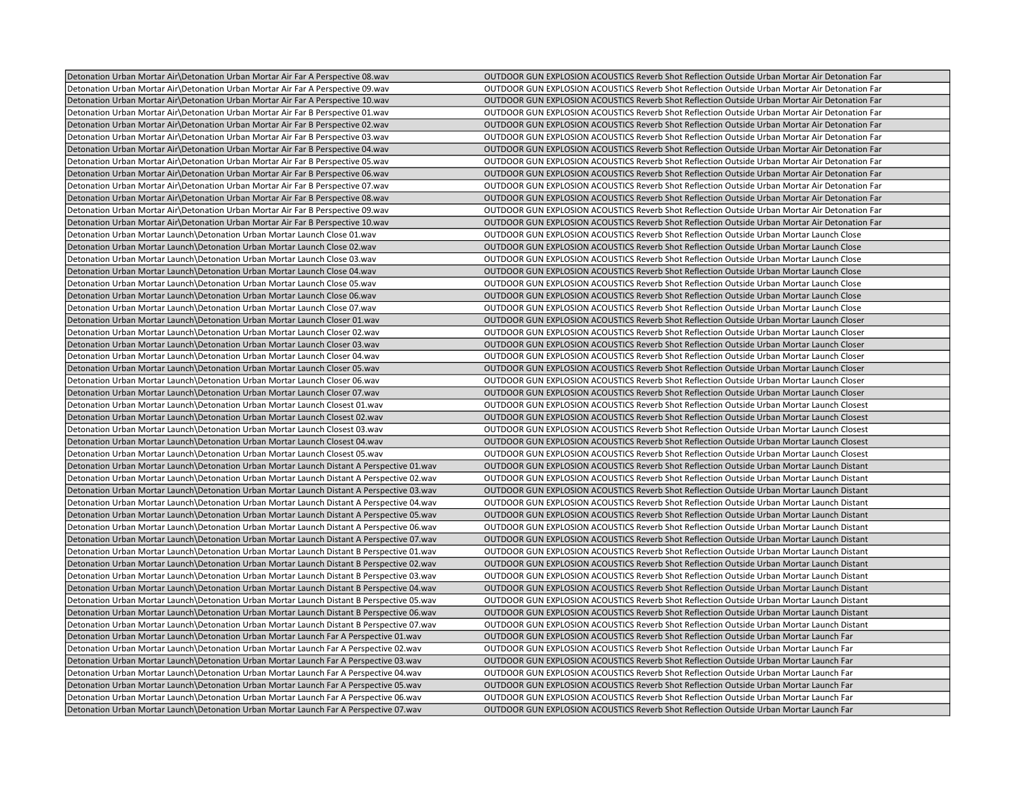| Detonation Urban Mortar Air\Detonation Urban Mortar Air Far A Perspective 08.wav           | OUTDOOR GUN EXPLOSION ACOUSTICS Reverb Shot Reflection Outside Urban Mortar Air Detonation Far |
|--------------------------------------------------------------------------------------------|------------------------------------------------------------------------------------------------|
| Detonation Urban Mortar Air\Detonation Urban Mortar Air Far A Perspective 09.wav           | OUTDOOR GUN EXPLOSION ACOUSTICS Reverb Shot Reflection Outside Urban Mortar Air Detonation Far |
| Detonation Urban Mortar Air Detonation Urban Mortar Air Far A Perspective 10.wav           | OUTDOOR GUN EXPLOSION ACOUSTICS Reverb Shot Reflection Outside Urban Mortar Air Detonation Far |
| Detonation Urban Mortar Air Detonation Urban Mortar Air Far B Perspective 01.wav           | OUTDOOR GUN EXPLOSION ACOUSTICS Reverb Shot Reflection Outside Urban Mortar Air Detonation Far |
| Detonation Urban Mortar Air\Detonation Urban Mortar Air Far B Perspective 02.wav           | OUTDOOR GUN EXPLOSION ACOUSTICS Reverb Shot Reflection Outside Urban Mortar Air Detonation Far |
| Detonation Urban Mortar Air Detonation Urban Mortar Air Far B Perspective 03.wav           | OUTDOOR GUN EXPLOSION ACOUSTICS Reverb Shot Reflection Outside Urban Mortar Air Detonation Far |
| Detonation Urban Mortar Air Detonation Urban Mortar Air Far B Perspective 04.wav           | OUTDOOR GUN EXPLOSION ACOUSTICS Reverb Shot Reflection Outside Urban Mortar Air Detonation Far |
|                                                                                            |                                                                                                |
| Detonation Urban Mortar Air\Detonation Urban Mortar Air Far B Perspective 05.wav           | OUTDOOR GUN EXPLOSION ACOUSTICS Reverb Shot Reflection Outside Urban Mortar Air Detonation Far |
| Detonation Urban Mortar Air Detonation Urban Mortar Air Far B Perspective 06.wav           | OUTDOOR GUN EXPLOSION ACOUSTICS Reverb Shot Reflection Outside Urban Mortar Air Detonation Far |
| Detonation Urban Mortar Air Detonation Urban Mortar Air Far B Perspective 07. wav          | OUTDOOR GUN EXPLOSION ACOUSTICS Reverb Shot Reflection Outside Urban Mortar Air Detonation Far |
| Detonation Urban Mortar Air Detonation Urban Mortar Air Far B Perspective 08.wav           | OUTDOOR GUN EXPLOSION ACOUSTICS Reverb Shot Reflection Outside Urban Mortar Air Detonation Far |
| Detonation Urban Mortar Air Detonation Urban Mortar Air Far B Perspective 09.wav           | OUTDOOR GUN EXPLOSION ACOUSTICS Reverb Shot Reflection Outside Urban Mortar Air Detonation Far |
| Detonation Urban Mortar Air Detonation Urban Mortar Air Far B Perspective 10.wav           | OUTDOOR GUN EXPLOSION ACOUSTICS Reverb Shot Reflection Outside Urban Mortar Air Detonation Far |
| Detonation Urban Mortar Launch\Detonation Urban Mortar Launch Close 01.wav                 | OUTDOOR GUN EXPLOSION ACOUSTICS Reverb Shot Reflection Outside Urban Mortar Launch Close       |
| Detonation Urban Mortar Launch\Detonation Urban Mortar Launch Close 02.wav                 | OUTDOOR GUN EXPLOSION ACOUSTICS Reverb Shot Reflection Outside Urban Mortar Launch Close       |
| Detonation Urban Mortar Launch\Detonation Urban Mortar Launch Close 03.wav                 | OUTDOOR GUN EXPLOSION ACOUSTICS Reverb Shot Reflection Outside Urban Mortar Launch Close       |
| Detonation Urban Mortar Launch Detonation Urban Mortar Launch Close 04.wav                 | OUTDOOR GUN EXPLOSION ACOUSTICS Reverb Shot Reflection Outside Urban Mortar Launch Close       |
| Detonation Urban Mortar Launch Detonation Urban Mortar Launch Close 05.wav                 | OUTDOOR GUN EXPLOSION ACOUSTICS Reverb Shot Reflection Outside Urban Mortar Launch Close       |
| Detonation Urban Mortar Launch\Detonation Urban Mortar Launch Close 06.wav                 | OUTDOOR GUN EXPLOSION ACOUSTICS Reverb Shot Reflection Outside Urban Mortar Launch Close       |
| Detonation Urban Mortar Launch Detonation Urban Mortar Launch Close 07.wav                 | OUTDOOR GUN EXPLOSION ACOUSTICS Reverb Shot Reflection Outside Urban Mortar Launch Close       |
| Detonation Urban Mortar Launch Detonation Urban Mortar Launch Closer 01.wav                | OUTDOOR GUN EXPLOSION ACOUSTICS Reverb Shot Reflection Outside Urban Mortar Launch Closer      |
| Detonation Urban Mortar Launch\Detonation Urban Mortar Launch Closer 02.wav                | OUTDOOR GUN EXPLOSION ACOUSTICS Reverb Shot Reflection Outside Urban Mortar Launch Closer      |
| Detonation Urban Mortar Launch Detonation Urban Mortar Launch Closer 03.wav                | OUTDOOR GUN EXPLOSION ACOUSTICS Reverb Shot Reflection Outside Urban Mortar Launch Closer      |
| Detonation Urban Mortar Launch\Detonation Urban Mortar Launch Closer 04.wav                | OUTDOOR GUN EXPLOSION ACOUSTICS Reverb Shot Reflection Outside Urban Mortar Launch Closer      |
| Detonation Urban Mortar Launch \Detonation Urban Mortar Launch Closer 05.wav               | OUTDOOR GUN EXPLOSION ACOUSTICS Reverb Shot Reflection Outside Urban Mortar Launch Closer      |
| Detonation Urban Mortar Launch Detonation Urban Mortar Launch Closer 06.wav                | OUTDOOR GUN EXPLOSION ACOUSTICS Reverb Shot Reflection Outside Urban Mortar Launch Closer      |
| Detonation Urban Mortar Launch Detonation Urban Mortar Launch Closer 07.wav                | OUTDOOR GUN EXPLOSION ACOUSTICS Reverb Shot Reflection Outside Urban Mortar Launch Closer      |
| Detonation Urban Mortar Launch Detonation Urban Mortar Launch Closest 01.wav               | OUTDOOR GUN EXPLOSION ACOUSTICS Reverb Shot Reflection Outside Urban Mortar Launch Closest     |
| Detonation Urban Mortar Launch \Detonation Urban Mortar Launch Closest 02.wav              | OUTDOOR GUN EXPLOSION ACOUSTICS Reverb Shot Reflection Outside Urban Mortar Launch Closest     |
| Detonation Urban Mortar Launch Detonation Urban Mortar Launch Closest 03.wav               | OUTDOOR GUN EXPLOSION ACOUSTICS Reverb Shot Reflection Outside Urban Mortar Launch Closest     |
| Detonation Urban Mortar Launch Detonation Urban Mortar Launch Closest 04.wav               | OUTDOOR GUN EXPLOSION ACOUSTICS Reverb Shot Reflection Outside Urban Mortar Launch Closest     |
| Detonation Urban Mortar Launch \Detonation Urban Mortar Launch Closest 05.wav              | OUTDOOR GUN EXPLOSION ACOUSTICS Reverb Shot Reflection Outside Urban Mortar Launch Closest     |
|                                                                                            | OUTDOOR GUN EXPLOSION ACOUSTICS Reverb Shot Reflection Outside Urban Mortar Launch Distant     |
| Detonation Urban Mortar Launch Detonation Urban Mortar Launch Distant A Perspective 01.wav |                                                                                                |
| Detonation Urban Mortar Launch\Detonation Urban Mortar Launch Distant A Perspective 02.wav | OUTDOOR GUN EXPLOSION ACOUSTICS Reverb Shot Reflection Outside Urban Mortar Launch Distant     |
| Detonation Urban Mortar Launch Detonation Urban Mortar Launch Distant A Perspective 03.wav | OUTDOOR GUN EXPLOSION ACOUSTICS Reverb Shot Reflection Outside Urban Mortar Launch Distant     |
| Detonation Urban Mortar Launch\Detonation Urban Mortar Launch Distant A Perspective 04.wav | OUTDOOR GUN EXPLOSION ACOUSTICS Reverb Shot Reflection Outside Urban Mortar Launch Distant     |
| Detonation Urban Mortar Launch\Detonation Urban Mortar Launch Distant A Perspective 05.wav | OUTDOOR GUN EXPLOSION ACOUSTICS Reverb Shot Reflection Outside Urban Mortar Launch Distant     |
| Detonation Urban Mortar Launch Detonation Urban Mortar Launch Distant A Perspective 06.wav | OUTDOOR GUN EXPLOSION ACOUSTICS Reverb Shot Reflection Outside Urban Mortar Launch Distant     |
| Detonation Urban Mortar Launch Detonation Urban Mortar Launch Distant A Perspective 07.wav | OUTDOOR GUN EXPLOSION ACOUSTICS Reverb Shot Reflection Outside Urban Mortar Launch Distant     |
| Detonation Urban Mortar Launch Detonation Urban Mortar Launch Distant B Perspective 01.wav | OUTDOOR GUN EXPLOSION ACOUSTICS Reverb Shot Reflection Outside Urban Mortar Launch Distant     |
| Detonation Urban Mortar Launch\Detonation Urban Mortar Launch Distant B Perspective 02.wav | OUTDOOR GUN EXPLOSION ACOUSTICS Reverb Shot Reflection Outside Urban Mortar Launch Distant     |
| Detonation Urban Mortar Launch Detonation Urban Mortar Launch Distant B Perspective 03.wav | OUTDOOR GUN EXPLOSION ACOUSTICS Reverb Shot Reflection Outside Urban Mortar Launch Distant     |
| Detonation Urban Mortar Launch Detonation Urban Mortar Launch Distant B Perspective 04.wav | OUTDOOR GUN EXPLOSION ACOUSTICS Reverb Shot Reflection Outside Urban Mortar Launch Distant     |
| Detonation Urban Mortar Launch Detonation Urban Mortar Launch Distant B Perspective 05.wav | OUTDOOR GUN EXPLOSION ACOUSTICS Reverb Shot Reflection Outside Urban Mortar Launch Distant     |
| Detonation Urban Mortar Launch Detonation Urban Mortar Launch Distant B Perspective 06.wav | OUTDOOR GUN EXPLOSION ACOUSTICS Reverb Shot Reflection Outside Urban Mortar Launch Distant     |
| Detonation Urban Mortar Launch Detonation Urban Mortar Launch Distant B Perspective 07.wav | OUTDOOR GUN EXPLOSION ACOUSTICS Reverb Shot Reflection Outside Urban Mortar Launch Distant     |
| Detonation Urban Mortar Launch Detonation Urban Mortar Launch Far A Perspective 01.wav     | OUTDOOR GUN EXPLOSION ACOUSTICS Reverb Shot Reflection Outside Urban Mortar Launch Far         |
| Detonation Urban Mortar Launch Detonation Urban Mortar Launch Far A Perspective 02.wav     | OUTDOOR GUN EXPLOSION ACOUSTICS Reverb Shot Reflection Outside Urban Mortar Launch Far         |
| Detonation Urban Mortar Launch Detonation Urban Mortar Launch Far A Perspective 03.wav     | OUTDOOR GUN EXPLOSION ACOUSTICS Reverb Shot Reflection Outside Urban Mortar Launch Far         |
| Detonation Urban Mortar Launch Detonation Urban Mortar Launch Far A Perspective 04 wav     | OUTDOOR GUN EXPLOSION ACOUSTICS Reverb Shot Reflection Outside Urban Mortar Launch Far         |
| Detonation Urban Mortar Launch Detonation Urban Mortar Launch Far A Perspective 05 wav     | OUTDOOR GUN EXPLOSION ACOUSTICS Reverb Shot Reflection Outside Urban Mortar Launch Far         |
| Detonation Urban Mortar Launch Detonation Urban Mortar Launch Far A Perspective 06 wav     | OUTDOOR GUN EXPLOSION ACOUSTICS Reverb Shot Reflection Outside Urban Mortar Launch Far         |
| Detonation Urban Mortar Launch Detonation Urban Mortar Launch Far A Perspective 07.wav     | OUTDOOR GUN EXPLOSION ACOUSTICS Reverb Shot Reflection Outside Urban Mortar Launch Far         |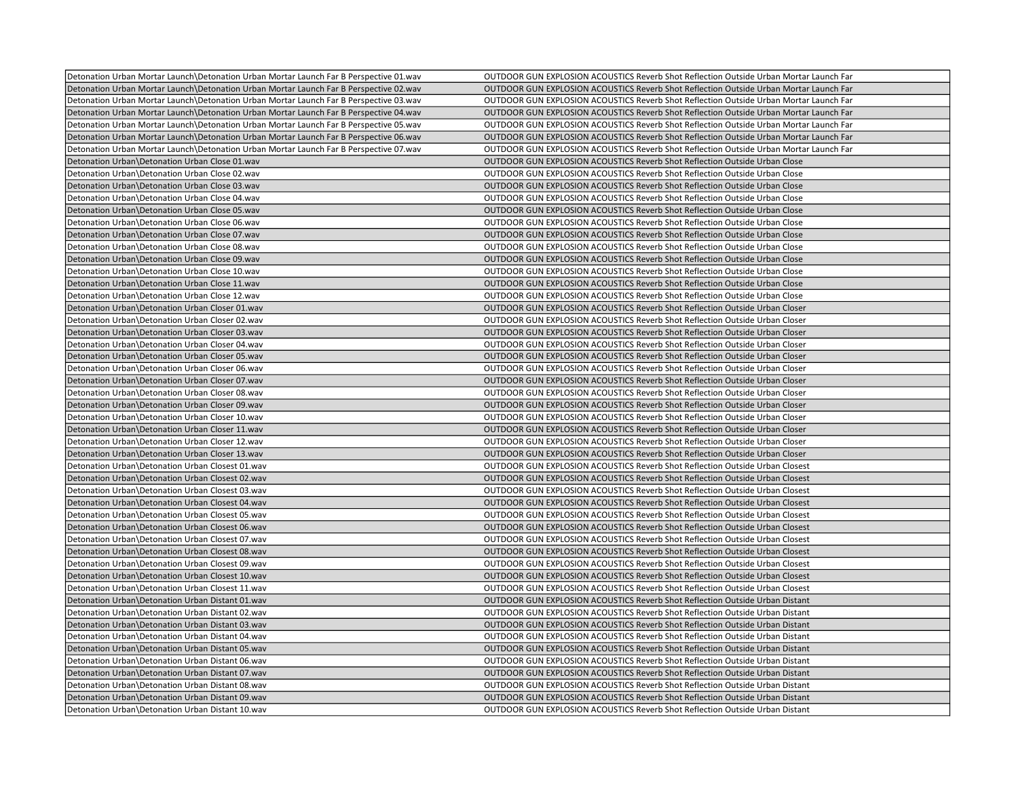|                                                                                                                                                                                  | OUTDOOR GUN EXPLOSION ACOUSTICS Reverb Shot Reflection Outside Urban Mortar Launch Far |
|----------------------------------------------------------------------------------------------------------------------------------------------------------------------------------|----------------------------------------------------------------------------------------|
| Detonation Urban Mortar Launch\Detonation Urban Mortar Launch Far B Perspective 01.wav<br>Detonation Urban Mortar Launch Detonation Urban Mortar Launch Far B Perspective 02.wav | OUTDOOR GUN EXPLOSION ACOUSTICS Reverb Shot Reflection Outside Urban Mortar Launch Far |
| Detonation Urban Mortar Launch Detonation Urban Mortar Launch Far B Perspective 03.wav                                                                                           | OUTDOOR GUN EXPLOSION ACOUSTICS Reverb Shot Reflection Outside Urban Mortar Launch Far |
|                                                                                                                                                                                  |                                                                                        |
| Detonation Urban Mortar Launch\Detonation Urban Mortar Launch Far B Perspective 04.wav                                                                                           | OUTDOOR GUN EXPLOSION ACOUSTICS Reverb Shot Reflection Outside Urban Mortar Launch Far |
| Detonation Urban Mortar Launch Detonation Urban Mortar Launch Far B Perspective 05.wav                                                                                           | OUTDOOR GUN EXPLOSION ACOUSTICS Reverb Shot Reflection Outside Urban Mortar Launch Far |
| Detonation Urban Mortar Launch Detonation Urban Mortar Launch Far B Perspective 06.wav                                                                                           | OUTDOOR GUN EXPLOSION ACOUSTICS Reverb Shot Reflection Outside Urban Mortar Launch Far |
| Detonation Urban Mortar Launch\Detonation Urban Mortar Launch Far B Perspective 07.wav                                                                                           | OUTDOOR GUN EXPLOSION ACOUSTICS Reverb Shot Reflection Outside Urban Mortar Launch Far |
| Detonation Urban\Detonation Urban Close 01.wav                                                                                                                                   | OUTDOOR GUN EXPLOSION ACOUSTICS Reverb Shot Reflection Outside Urban Close             |
| Detonation Urban\Detonation Urban Close 02.wav                                                                                                                                   | OUTDOOR GUN EXPLOSION ACOUSTICS Reverb Shot Reflection Outside Urban Close             |
| Detonation Urban\Detonation Urban Close 03.wav                                                                                                                                   | OUTDOOR GUN EXPLOSION ACOUSTICS Reverb Shot Reflection Outside Urban Close             |
| Detonation Urban\Detonation Urban Close 04.wav                                                                                                                                   | OUTDOOR GUN EXPLOSION ACOUSTICS Reverb Shot Reflection Outside Urban Close             |
| Detonation Urban\Detonation Urban Close 05.wav                                                                                                                                   | OUTDOOR GUN EXPLOSION ACOUSTICS Reverb Shot Reflection Outside Urban Close             |
| Detonation Urban\Detonation Urban Close 06.wav                                                                                                                                   | OUTDOOR GUN EXPLOSION ACOUSTICS Reverb Shot Reflection Outside Urban Close             |
| Detonation Urban\Detonation Urban Close 07.wav                                                                                                                                   | OUTDOOR GUN EXPLOSION ACOUSTICS Reverb Shot Reflection Outside Urban Close             |
| Detonation Urban\Detonation Urban Close 08.wav                                                                                                                                   | OUTDOOR GUN EXPLOSION ACOUSTICS Reverb Shot Reflection Outside Urban Close             |
| Detonation Urban\Detonation Urban Close 09.wav                                                                                                                                   | OUTDOOR GUN EXPLOSION ACOUSTICS Reverb Shot Reflection Outside Urban Close             |
| Detonation Urban\Detonation Urban Close 10.wav                                                                                                                                   | <b>OUTDOOR GUN EXPLOSION ACOUSTICS Reverb Shot Reflection Outside Urban Close</b>      |
| Detonation Urban\Detonation Urban Close 11.wav                                                                                                                                   | OUTDOOR GUN EXPLOSION ACOUSTICS Reverb Shot Reflection Outside Urban Close             |
| Detonation Urban\Detonation Urban Close 12.wav                                                                                                                                   | OUTDOOR GUN EXPLOSION ACOUSTICS Reverb Shot Reflection Outside Urban Close             |
| Detonation Urban\Detonation Urban Closer 01.wav                                                                                                                                  | OUTDOOR GUN EXPLOSION ACOUSTICS Reverb Shot Reflection Outside Urban Closer            |
| Detonation Urban\Detonation Urban Closer 02.wav                                                                                                                                  | OUTDOOR GUN EXPLOSION ACOUSTICS Reverb Shot Reflection Outside Urban Closer            |
| Detonation Urban\Detonation Urban Closer 03.wav                                                                                                                                  | OUTDOOR GUN EXPLOSION ACOUSTICS Reverb Shot Reflection Outside Urban Closer            |
| Detonation Urban\Detonation Urban Closer 04.wav                                                                                                                                  | OUTDOOR GUN EXPLOSION ACOUSTICS Reverb Shot Reflection Outside Urban Closer            |
| Detonation Urban\Detonation Urban Closer 05.wav                                                                                                                                  | OUTDOOR GUN EXPLOSION ACOUSTICS Reverb Shot Reflection Outside Urban Closer            |
| Detonation Urban\Detonation Urban Closer 06.wav                                                                                                                                  | OUTDOOR GUN EXPLOSION ACOUSTICS Reverb Shot Reflection Outside Urban Closer            |
| Detonation Urban\Detonation Urban Closer 07.wav                                                                                                                                  | OUTDOOR GUN EXPLOSION ACOUSTICS Reverb Shot Reflection Outside Urban Closer            |
| Detonation Urban\Detonation Urban Closer 08.wav                                                                                                                                  | OUTDOOR GUN EXPLOSION ACOUSTICS Reverb Shot Reflection Outside Urban Closer            |
| Detonation Urban\Detonation Urban Closer 09.wav                                                                                                                                  | OUTDOOR GUN EXPLOSION ACOUSTICS Reverb Shot Reflection Outside Urban Closer            |
| Detonation Urban\Detonation Urban Closer 10.wav                                                                                                                                  | OUTDOOR GUN EXPLOSION ACOUSTICS Reverb Shot Reflection Outside Urban Closer            |
| Detonation Urban\Detonation Urban Closer 11.wav                                                                                                                                  | OUTDOOR GUN EXPLOSION ACOUSTICS Reverb Shot Reflection Outside Urban Closer            |
| Detonation Urban\Detonation Urban Closer 12.wav                                                                                                                                  | OUTDOOR GUN EXPLOSION ACOUSTICS Reverb Shot Reflection Outside Urban Closer            |
| Detonation Urban\Detonation Urban Closer 13.wav                                                                                                                                  | OUTDOOR GUN EXPLOSION ACOUSTICS Reverb Shot Reflection Outside Urban Closer            |
| Detonation Urban\Detonation Urban Closest 01.wav                                                                                                                                 | OUTDOOR GUN EXPLOSION ACOUSTICS Reverb Shot Reflection Outside Urban Closest           |
| Detonation Urban\Detonation Urban Closest 02.wav                                                                                                                                 | OUTDOOR GUN EXPLOSION ACOUSTICS Reverb Shot Reflection Outside Urban Closest           |
| Detonation Urban Detonation Urban Closest 03.wav                                                                                                                                 | OUTDOOR GUN EXPLOSION ACOUSTICS Reverb Shot Reflection Outside Urban Closest           |
| Detonation Urban\Detonation Urban Closest 04.wav                                                                                                                                 | OUTDOOR GUN EXPLOSION ACOUSTICS Reverb Shot Reflection Outside Urban Closest           |
| Detonation Urban\Detonation Urban Closest 05.wav                                                                                                                                 | OUTDOOR GUN EXPLOSION ACOUSTICS Reverb Shot Reflection Outside Urban Closest           |
| Detonation Urban\Detonation Urban Closest 06.wav                                                                                                                                 | OUTDOOR GUN EXPLOSION ACOUSTICS Reverb Shot Reflection Outside Urban Closest           |
| Detonation Urban\Detonation Urban Closest 07.wav                                                                                                                                 | <b>OUTDOOR GUN EXPLOSION ACOUSTICS Reverb Shot Reflection Outside Urban Closest</b>    |
| Detonation Urban Detonation Urban Closest 08.wav                                                                                                                                 | OUTDOOR GUN EXPLOSION ACOUSTICS Reverb Shot Reflection Outside Urban Closest           |
| Detonation Urban\Detonation Urban Closest 09.wav                                                                                                                                 | OUTDOOR GUN EXPLOSION ACOUSTICS Reverb Shot Reflection Outside Urban Closest           |
| Detonation Urban\Detonation Urban Closest 10.wav                                                                                                                                 | OUTDOOR GUN EXPLOSION ACOUSTICS Reverb Shot Reflection Outside Urban Closest           |
| Detonation Urban\Detonation Urban Closest 11.wav                                                                                                                                 | OUTDOOR GUN EXPLOSION ACOUSTICS Reverb Shot Reflection Outside Urban Closest           |
| Detonation Urban\Detonation Urban Distant 01.wav                                                                                                                                 | OUTDOOR GUN EXPLOSION ACOUSTICS Reverb Shot Reflection Outside Urban Distant           |
| Detonation Urban Detonation Urban Distant 02. wav                                                                                                                                | OUTDOOR GUN EXPLOSION ACOUSTICS Reverb Shot Reflection Outside Urban Distant           |
| Detonation Urban\Detonation Urban Distant 03.wav                                                                                                                                 | <b>OUTDOOR GUN EXPLOSION ACOUSTICS Reverb Shot Reflection Outside Urban Distant</b>    |
| Detonation Urban\Detonation Urban Distant 04.wav                                                                                                                                 | OUTDOOR GUN EXPLOSION ACOUSTICS Reverb Shot Reflection Outside Urban Distant           |
| Detonation Urban\Detonation Urban Distant 05.wav                                                                                                                                 | OUTDOOR GUN EXPLOSION ACOUSTICS Reverb Shot Reflection Outside Urban Distant           |
| Detonation Urban\Detonation Urban Distant 06.wav                                                                                                                                 | <b>OUTDOOR GUN EXPLOSION ACOUSTICS Reverb Shot Reflection Outside Urban Distant</b>    |
| Detonation Urban\Detonation Urban Distant 07.wav                                                                                                                                 | OUTDOOR GUN EXPLOSION ACOUSTICS Reverb Shot Reflection Outside Urban Distant           |
| Detonation Urban\Detonation Urban Distant 08.wav                                                                                                                                 | OUTDOOR GUN EXPLOSION ACOUSTICS Reverb Shot Reflection Outside Urban Distant           |
| Detonation Urban\Detonation Urban Distant 09.wav                                                                                                                                 | OUTDOOR GUN EXPLOSION ACOUSTICS Reverb Shot Reflection Outside Urban Distant           |
| Detonation Urban\Detonation Urban Distant 10.wav                                                                                                                                 | OUTDOOR GUN EXPLOSION ACOUSTICS Reverb Shot Reflection Outside Urban Distant           |